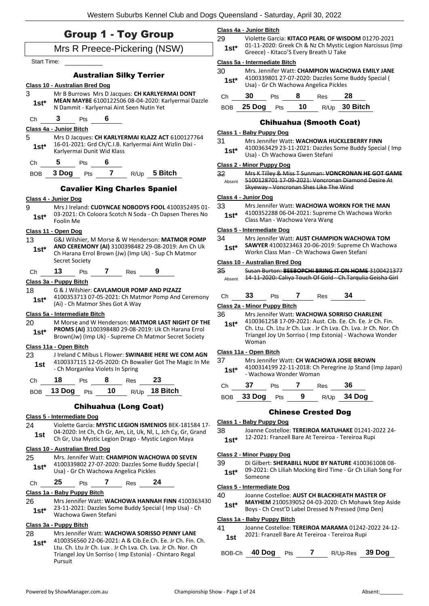|               |                                           |            |                         |                                 | <b>Group 1 - Toy Group</b>                                                                                                                                                     | 29               | Class 4a - Junior Bitch               |     |                                |                                        | Violette Garcia: KITACO PEARL OF WISDOM 01270-2021                                                                                            |                                                                                                                  |
|---------------|-------------------------------------------|------------|-------------------------|---------------------------------|--------------------------------------------------------------------------------------------------------------------------------------------------------------------------------|------------------|---------------------------------------|-----|--------------------------------|----------------------------------------|-----------------------------------------------------------------------------------------------------------------------------------------------|------------------------------------------------------------------------------------------------------------------|
|               |                                           |            |                         |                                 | Mrs R Preece-Pickering (NSW)                                                                                                                                                   | $1st*$           |                                       |     |                                | Greece) - Kitaco'S Every Breath U Take |                                                                                                                                               | 01-11-2020: Greek Ch & Nz Ch Mystic Legion Narcissus (Imp                                                        |
| Start Time:   |                                           |            |                         |                                 |                                                                                                                                                                                |                  | Class 5a - Intermediate Bitch         |     |                                |                                        |                                                                                                                                               |                                                                                                                  |
|               | Class 10 - Australian Bred Dog            |            |                         | <b>Australian Silky Terrier</b> |                                                                                                                                                                                | 30<br>$1st*$     |                                       |     |                                | Usa) - Gr Ch Wachowa Angelica Pickles  | Mrs. Jennifer Watt: CHAMPION WACHOWA EMILY JANE<br>4100339801 27-07-2020: Dazzles Some Buddy Special (                                        |                                                                                                                  |
| 3             |                                           |            |                         |                                 | Mr B Burrows Mrs D Jacques: CH KARLYERMAI DONT                                                                                                                                 |                  | 30                                    |     |                                |                                        | 28                                                                                                                                            |                                                                                                                  |
| $1st*$        | N Dammit - Karlyernai Aint Seen Nutin Yet |            |                         |                                 | MEAN MAYBE 6100122506 08-04-2020: Karlyermai Dazzle                                                                                                                            | Ch<br><b>BOB</b> | $25$ Dog $Pts$                        | Pts | 8<br>10                        | <b>Res</b>                             | R/Up 30 Bitch                                                                                                                                 |                                                                                                                  |
| Ch            | 3                                         | Pts        | 6                       |                                 |                                                                                                                                                                                |                  |                                       |     |                                | <b>Chihuahua (Smooth Coat)</b>         |                                                                                                                                               |                                                                                                                  |
|               | Class 4a - Junior Bitch                   |            |                         |                                 |                                                                                                                                                                                |                  | Class 1 - Baby Puppy Dog              |     |                                |                                        |                                                                                                                                               |                                                                                                                  |
| 5<br>$1st*$   | Karlyermai Dunit Wid Klass                |            |                         |                                 | Mrs D Jacques: CH KARLYERMAI KLAZZ ACT 6100127764<br>16-01-2021: Grd Ch/C.I.B. Karlyermai Aint Wizlin Dixi -                                                                   | 31<br>$1st*$     |                                       |     | Usa) - Ch Wachowa Gwen Stefani |                                        | Mrs Jennifer Watt: WACHOWA HUCKLEBERRY FINN                                                                                                   | 4100363429 23-11-2021: Dazzles Some Buddy Special ( Imp                                                          |
| Ch            | 5                                         | Pts        | 6                       |                                 |                                                                                                                                                                                |                  | Class 2 - Minor Puppy Dog             |     |                                |                                        |                                                                                                                                               |                                                                                                                  |
| <b>BOB</b>    | 3 Dog                                     | Pts        | $\overline{\mathbf{r}}$ |                                 | $R/Up$ 5 Bitch                                                                                                                                                                 | 32<br>Absent     |                                       |     |                                | Skyeway - Voncronan Shes Like The Wind | 5100128701 17-09-2021: Voncronan Diamond Desire At                                                                                            | Mrs K Tilley & Miss T Sunman: VONCRONAN HE GOT GAME                                                              |
|               |                                           |            |                         |                                 | <b>Cavalier King Charles Spaniel</b>                                                                                                                                           |                  |                                       |     |                                |                                        |                                                                                                                                               |                                                                                                                  |
|               | Class 4 - Junior Dog                      |            |                         |                                 |                                                                                                                                                                                | 33               | Class 4 - Junior Dog                  |     |                                |                                        | Mrs Jennifer Watt: WACHOWA WORKN FOR THE MAN                                                                                                  |                                                                                                                  |
| 9<br>$1st^*$  | Foolin Me                                 |            |                         |                                 | Mrs J Ireland: CUDYNCAE NOBODYS FOOL 4100352495 01-<br>03-2021: Ch Coloora Scotch N Soda - Ch Dapsen Theres No                                                                 | $1st*$           |                                       |     | Class Man - Wachowa Vera Wang  |                                        | 4100352288 06-04-2021: Supreme Ch Wachowa Workn                                                                                               |                                                                                                                  |
|               | Class 11 - Open Dog                       |            |                         |                                 |                                                                                                                                                                                |                  | Class 5 - Intermediate Dog            |     |                                |                                        |                                                                                                                                               |                                                                                                                  |
| 13<br>$1st^*$ |                                           |            |                         |                                 | G&J Wilshier, M Morse & W Henderson: MATMOR POMP<br>AND CEREMONY (AI) 3100398482 29-08-2019: Am Ch Uk<br>Ch Harana Errol Brown (Jw) (Imp Uk) - Sup Ch Matmor                   | 34<br>$1st^*$    |                                       |     |                                |                                        | Mrs Jennifer Watt: AUST CHAMPION WACHOWA TOM<br>SAWYER 4100323463 20-06-2019: Supreme Ch Wachowa<br>Workn Class Man - Ch Wachowa Gwen Stefani |                                                                                                                  |
|               | Secret Society                            |            |                         |                                 |                                                                                                                                                                                |                  | <b>Class 10 - Australian Bred Dog</b> |     |                                |                                        |                                                                                                                                               |                                                                                                                  |
| Ch            | 13                                        | <b>Pts</b> | 7                       | Res                             |                                                                                                                                                                                | 35               |                                       |     |                                |                                        |                                                                                                                                               | Susan Burton: BEEBOPCHI BRING IT ON HOME 3100421377<br>14 11 2020: Caliya Touch Of Gold Ch. Tarqulia Geisha Girl |
|               | Class 3a - Puppy Bitch                    |            |                         |                                 |                                                                                                                                                                                | Absent           |                                       |     |                                |                                        |                                                                                                                                               |                                                                                                                  |
| 18<br>$1st*$  | (Ai) - Ch Matmor Shes Got A Way           |            |                         |                                 | G & J Wilshier: CAVLAMOUR POMP AND PIZAZZ<br>4100353713 07-05-2021: Ch Matmor Pomp And Ceremony                                                                                | Ch               | 33<br>Class 2a - Minor Puppy Bitch    | Pts | $\overline{7}$                 | Res                                    | 34                                                                                                                                            |                                                                                                                  |
|               | Class 5a - Intermediate Bitch             |            |                         |                                 |                                                                                                                                                                                | 36               |                                       |     |                                |                                        | Mrs Jennifer Watt: WACHOWA SORRISO CHARLENE                                                                                                   |                                                                                                                  |
| 20<br>$1st*$  |                                           |            |                         |                                 | M Morse and W Henderson: MATMOR LAST NIGHT OF THE<br>PROMS (AI) 3100398480 29-08-2019: Uk Ch Harana Errol<br>Brown(Jw) (Imp Uk) - Supreme Ch Matmor Secret Society             | $1st^*$          | Woman                                 |     |                                |                                        | 4100361258 17-09-2021: Aust. Cib. Ee. Ch. Ee. Jr Ch. Fin.<br>Triangel Joy Un Sorriso (Imp Estonia) - Wachowa Wonder                           | Ch. Ltu. Ch. Ltu Jr Ch. Lux . Jr Ch Lva. Ch. Lva. Jr Ch. Nor. Ch                                                 |
|               | Class 11a - Open Bitch                    |            |                         |                                 |                                                                                                                                                                                |                  | Class 11a - Open Bitch                |     |                                |                                        |                                                                                                                                               |                                                                                                                  |
| 23<br>1st     | - Ch Morganlea Violets In Spring          |            |                         |                                 | J Ireland C Mibus L Flower: SWINABIE HERE WE COM AGN<br>4100337115 12-05-2020: Ch Bowalier Got The Magic In Me                                                                 | 37<br>$1st^*$    |                                       |     | - Wachowa Wonder Woman         |                                        | Mrs Jennifer Watt: CH WACHOWA JOSIE BROWN                                                                                                     | 4100314199 22-11-2018: Ch Peregrine Jp Stand (Imp Japan)                                                         |
| Ch            | 18                                        | Pts        | 8                       | Res                             | 23                                                                                                                                                                             | Ch               | 37                                    | Pts | 7                              | Res                                    | 36                                                                                                                                            |                                                                                                                  |
| <b>BOB</b>    | 13 Dog                                    | Pts        | 10                      |                                 | R/Up 18 Bitch                                                                                                                                                                  | <b>BOB</b>       | 33 Dog Pts                            |     | 9                              |                                        | R/Up 34 Dog                                                                                                                                   |                                                                                                                  |
|               |                                           |            |                         | <b>Chihuahua (Long Coat)</b>    |                                                                                                                                                                                |                  |                                       |     |                                | <b>Chinese Crested Dog</b>             |                                                                                                                                               |                                                                                                                  |
|               | Class 5 - Intermediate Dog                |            |                         |                                 |                                                                                                                                                                                |                  | Class 1 - Baby Puppy Dog              |     |                                |                                        |                                                                                                                                               |                                                                                                                  |
| 24<br>1st     |                                           |            |                         |                                 | Violette Garcia: MYSTIC LEGION ISMENIOS BEK-181584 17-<br>04-2020: Int Ch, Ch Gr, Am, Lit, Uk, Nl, L, Jch Cy, Gr, Grand<br>Ch Gr, Usa Mystic Legion Drago - Mystic Legion Maya | 38<br>$1st*$     |                                       |     |                                |                                        | Joanne Costelloe: TEREIROA MATUHAKE 01241-2022 24-<br>12-2021: Franzell Bare At Tereiroa - Tereiroa Rupi                                      |                                                                                                                  |
|               | Class 10 - Australian Bred Dog            |            |                         |                                 |                                                                                                                                                                                |                  | Class 2 - Minor Puppy Dog             |     |                                |                                        |                                                                                                                                               |                                                                                                                  |
| 25<br>$1st*$  | Usa) - Gr Ch Wachowa Angelica Pickles     |            |                         |                                 | Mrs. Jennifer Watt: CHAMPION WACHOWA 00 SEVEN<br>4100339802 27-07-2020: Dazzles Some Buddy Special (                                                                           | 39<br>$1st*$     | Someone                               |     |                                |                                        | Di Gilbert: SHERABILL NUDE BY NATURE 4100361008 08-                                                                                           | 09-2021: Ch Liliah Mocking Bird Time - Gr Ch Liliah Song For                                                     |
| Ch            | 25                                        | Pts        | 7                       | Res                             | 24                                                                                                                                                                             |                  | <b>Class 5 - Intermediate Dog</b>     |     |                                |                                        |                                                                                                                                               |                                                                                                                  |
| 26            | Class 1a - Baby Puppy Bitch               |            |                         |                                 | Mrs Jennifer Watt: WACHOWA HANNAH FINN 4100363430<br>23-11-2021: Dazzles Some Buddy Special (Imp Usa) - Ch                                                                     | 40<br>$1st^*$    |                                       |     |                                |                                        | Joanne Costelloe: AUST CH BLACKHEATH MASTER OF                                                                                                | MAYHEM 2100539052 04-03-2020: Ch Mohawk Step Aside                                                               |
| $1st*$        | Wachowa Gwen Stefani                      |            |                         |                                 |                                                                                                                                                                                |                  | Class 1a - Baby Puppy Bitch           |     |                                |                                        | Boys - Ch Crest'D Label Dressed N Pressed (Imp Den)                                                                                           |                                                                                                                  |

#### **Class 3a - Puppy Bitch**

#### 28 Mrs Jennifer Watt: **WACHOWA SORISSO PENNY LANE**

4100356560 22-06-2021: A & Cib.Ee.Ch. Ee. Jr Ch. Fin. Ch. Ltu. Ch. Ltu Jr Ch. Lux . Jr Ch Lva. Ch. Lva. Jr Ch. Nor. Ch Triangel Joy Un Sorriso ( Imp Estonia) - Chintaro Regal Pursuit **1st\***

BOB-Ch **40 Dog** Pts **7** R/Up-Res **39 Dog**

2021: Franzell Bare At Tereiroa - Tereiroa Rupi **1st**

41 Joanne Costelloe: **TEREIROA MARAMA** 01242-2022 24-12-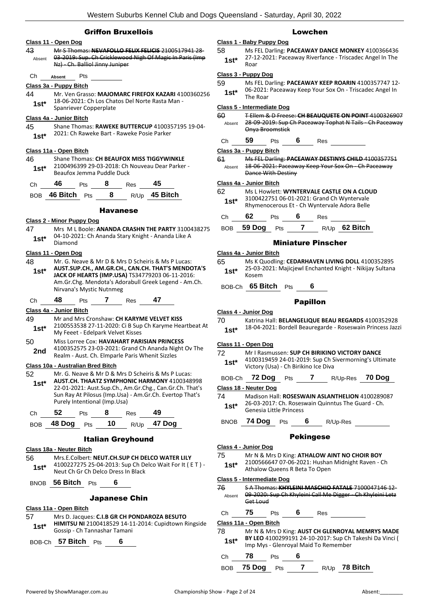- Griffon Bruxellois **Class 11 - Open Dog** 43 Mr S Thomas: **NEVAFOLLO FELIX FELICIS** 2100517941 28- 03-2019: Sup. Ch Cricklewood Nigh Of Magic In Paris (Imp Nz) - Ch. Balliol Jinny Juniper Absent Ch **Absent** Pts **Class 3a - Puppy Bitch** 44 Mr. Ven Grasso: **MAJOMARC FIREFOX KAZARI** 4100360256 18-06-2021: Ch Los Chatos Del Norte Rasta Man - **1st**\* 18-06-2021: Un Los Unaisonal Spanriever Copperplate **Class 4a - Junior Bitch** 45 Shane Thomas: **RAWEKE BUTTERCUP** 4100357195 19-04- 1st\* 2021: Ch Raweke Bart - Raweke Posie Parker **Class 11a - Open Bitch** 46 Shane Thomas: **CH BEAUFOX MISS TIGGYWINKLE** 2100496399 29-03-2018: Ch Nouveau Dear Parker - **1st**\* 2100496399 29-03-2018: Ch<br>Beaufox Jemma Puddle Duck Ch **46** Pts **8** Res **45** BOB **46 Bitch** Pts **8** R/Up **45 Bitch** Havanese **Class 2 - Minor Puppy Dog** 47 Mrs M L Boole: **ANANDA CRASHN THE PARTY** 3100438275 04-10-2021: Ch Ananda Stary Knight - Ananda Like A Diamond **1st\* Class 11 - Open Dog**
- 48 Mr. G. Neave & Mr D & Mrs D Scheiris & Ms P Lucas: **AUST.SUP.CH., AM.GR.CH., CAN.CH. THAT'S MENDOTA'S JACK OF HEARTS (IMP.USA)** TS34779203 06-11-2016: Am.Gr.Chg. Mendota's Adorabull Greek Legend - Am.Ch. Nirvana's Mystic Nutnmeg **1st\***

#### Ch **48** Pts **7** Res **47**

#### **Class 4a - Junior Bitch**

- 49 Mr and Mrs Cronshaw: **CH KARYME VELVET KISS**
- 2100553538 27-11-2020: Ci B Sup Ch Karyme Heartbeat At 1st\* <u>210053338</u> 27-11-2020: CLB Sup<br>My Feeet - Edelpark Velvet Kisses
- 50 Miss Lorree Cox: **HAVAHART PARISIAN PRINCESS** 4100352575 23-03-2021: Grand Ch Ananda Night Ov The 2nd <sup>4100352575</sup> 23-03-2021: Grand Ch Ananda Nig<br>Realm - Aust. Ch. Elmparle Paris Whenit Sizzles

#### **Class 10a - Australian Bred Bitch**

52 Mr. G. Neave & Mr D & Mrs D Scheiris & Ms P Lucas: **AUST.CH. THAATZ SYMPHONIC HARMONY** 4100348998 22-01-2021: Aust.Sup.Ch., Am.Gr.Chg., Can.Gr.Ch. That's Sun Ray At Pilosus (Imp.Usa) - Am.Gr.Ch. Evertop That's Purely Intentional (Imp.Usa) **1st\***

| Ch - | 52 | <b>Pts</b> | 8 | Res | 49                            |
|------|----|------------|---|-----|-------------------------------|
|      |    |            |   |     | BOB 48 Dog Pts 10 R/Up 47 Dog |

#### Italian Greyhound

#### **Class 18a - Neuter Bitch**

56 Mrs.E.Colbert: **NEUT.CH.SUP CH DELCO WATER LILY** 4100227275 25-04-2013: Sup Ch Delco Wait For It ( E T ) - 1st\* 4100227275 25-04-2013: Sup Ch D<br>Neut Ch Gr Ch Delco Dress In Black

BNOB **56 Bitch** Pts **6**

#### Japanese Chin

#### **Class 11a - Open Bitch**

- 57 Mrs D. Jacques: **C.I.B GR CH PONDAROZA BESUTO**
- **HIMITSU NI** 2100418529 14-11-2014: Cupidtown Ringside Gossip - Ch Tannashar Tamani **1st\***

BOB-Ch **57 Bitch** Pts **6**

#### Lowchen

### **Class 1 - Baby Puppy Dog**

58 Ms FEL Darling: **PACEAWAY DANCE MONKEY** 4100366436 27-12-2021: Paceaway Riverfance - Triscadec Angel In The **1st**\*  $\frac{27-1}{R}$ 

#### **Class 3 - Puppy Dog**

- 59 Ms FEL Darling: **PACEAWAY KEEP ROARIN** 4100357747 12- 06-2021: Paceaway Keep Your Sox On - Triscadec Angel In
	- **1st**\*  $\frac{06-20211}{\text{The Roar}}$

#### **Class 5 - Intermediate Dog**

60 T Ellem & D Freese: **CH BEAUQUETE ON POINT** 4100326907 28-09-2019: Sup Ch Paceaway Tophat N Tails - Ch Paceaway Onya Broomstick Absent

Ch **59** Pts **6** Res

#### **Class 3a - Puppy Bitch**

61 Ms FEL Darling: **PACEAWAY DESTINYS CHILD** 4100357751 18-06-2021: Paceaway Keep Your Sox On - Ch Paceaway Dance With Destiny Absent

#### **Class 4a - Junior Bitch**

| 62<br>$1st*$ |    |            |   | Ms L Howlett: WYNTERVALE CASTLE ON A CLOUD<br>3100422751 06-01-2021: Grand Ch Wyntervale<br>Rhymenocerous Et - Ch Wyntervale Adora Belle |
|--------------|----|------------|---|------------------------------------------------------------------------------------------------------------------------------------------|
| Ch.          | 62 | <b>Pts</b> | 6 | Res                                                                                                                                      |

#### BOB **59 Dog** Pts **7** R/Up **62 Bitch**

#### Miniature Pinscher

#### **Class 4a - Junior Bitch**

- 65 Ms K Quodling: **CEDARHAVEN LIVING DOLL** 4100352895 25-03-2021: Majicjewl Enchanted Knight - Nikijay Sultana **1st**\* <sup>25-03-</sup>
- BOB-Ch **65 Bitch** Pts **6**

#### Papillon

#### **Class 4 - Junior Dog**

70 Katrina Hall: **BELANGELIQUE BEAU REGARDS** 4100352928 18-04-2021: Bordell Beauregarde - Roseswain Princess Jazzi **1st\***

#### **Class 11 - Open Dog**

- 72 Mr I Rasmussen: **SUP CH BIRIKINO VICTORY DANCE** 4100319459 24-01-2019: Sup Ch Sivermorning's Ultimate
- **1st** 4100319459 24-01-2019: Sup Ch S<br>Victory (Usa) Ch Birikino Ice Diva

| BOB-Ch 72 Dog Pts |  | R/Up-Res 70 Dog |
|-------------------|--|-----------------|
|                   |  |                 |

#### **Class 18 - Neuter Dog**

74 Madison Hall: **ROSESWAIN ASLANTHELION** 4100289087 26-03-2017: Ch. Roseswain Quinntus The Guard - Ch. **1st**\* <sup>2b-03-2017: Ch. Roses<br>Genesia Little Princess</sup>

BNOB **74 Dog** Pts **6** R/Up-Res

#### Pekingese

#### **Class 4 - Junior Dog**

75 Mr N & Mrs D King: **ATHALOW AINT NO CHOIR BOY**

2100566647 07-06-2021: Hushan Midnight Raven - Ch 1st\* 2100566647 07-06-2021: Hushan<br>Athalow Queens R Beta To Open

#### **Class 5 - Intermediate Dog**

76 S A Thomas: **KHYLEINI MASCHIO FATALE** 7100047146 12- 09-2020: Sup Ch Khyleini Call Me Digger - Ch Khyleini Letz Get Loud Absent

| Ch | 75 | Pts | b | Res |
|----|----|-----|---|-----|
|----|----|-----|---|-----|

#### **Class 11a - Open Bitch**

78 Mr N & Mrs D King: **AUST CH GLENROYAL MEMRYS MADE BY LEO** 4100299191 24-10-2017: Sup Ch Takeshi Da Vinci ( Imp Mys - Glenroyal Maid To Remember **1st\***

Ch **78** Pts **6**

BOB **75 Dog** Pts **7** R/Up **78 Bitch**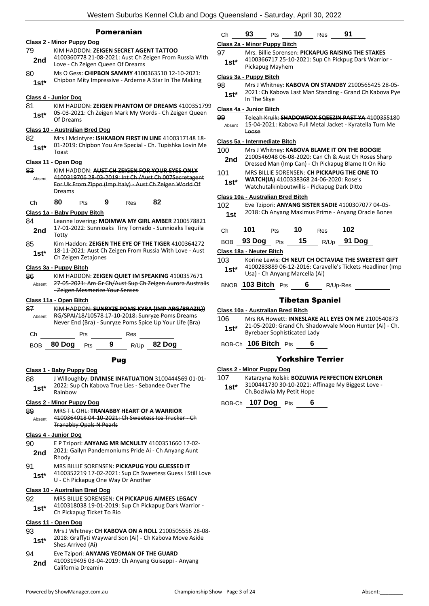|               | Pomeranian                                                                                                                                                         |  |  |  |  |  |  |
|---------------|--------------------------------------------------------------------------------------------------------------------------------------------------------------------|--|--|--|--|--|--|
|               | <b>Class 2 - Minor Puppy Dog</b>                                                                                                                                   |  |  |  |  |  |  |
| 79            | KIM HADDON: <b>ZEIGEN SECRET AGENT TATTOO</b>                                                                                                                      |  |  |  |  |  |  |
| 2nd           | 4100360778 21-08-2021: Aust Ch Zeigen From Russia With<br>Love - Ch Zeigen Queen Of Dreams                                                                         |  |  |  |  |  |  |
| 80            | Ms O Gess: CHIPBON SAMMY 4100363510 12-10-2021:                                                                                                                    |  |  |  |  |  |  |
| $1st*$        | Chipbon Mity Impressive - Arderne A Star In The Making                                                                                                             |  |  |  |  |  |  |
|               | <u>Class 4 - Junior Dog</u>                                                                                                                                        |  |  |  |  |  |  |
| 81            | KIM HADDON: ZEIGEN PHANTOM OF DREAMS 4100351799                                                                                                                    |  |  |  |  |  |  |
| 1st*          | 05-03-2021: Ch Zeigen Mark My Words - Ch Zeigen Queen<br>Of Dreams                                                                                                 |  |  |  |  |  |  |
|               | Class 10 - Australian Bred Dog                                                                                                                                     |  |  |  |  |  |  |
| 82            | Mrs I McIntyre: ISHKABON FIRST IN LINE 4100317148 18-                                                                                                              |  |  |  |  |  |  |
| 1st*          | 01-2019: Chipbon You Are Special - Ch. Tupishka Lovin Me<br>Toast                                                                                                  |  |  |  |  |  |  |
|               | Class 11 - Open Dog                                                                                                                                                |  |  |  |  |  |  |
| 83<br>Absent  | KIM HADDON: AUST CH ZEIGEN FOR YOUR EYES ONLY<br>4100319706 28 03 2019: Int Ch / Aust Ch 007Secretagent<br>For Uk From Zippo (Imp Italy) - Aust Ch Zeigen World Of |  |  |  |  |  |  |
|               | Dreams                                                                                                                                                             |  |  |  |  |  |  |
| Сh            | 80<br>9<br>82<br>Pts<br>Res                                                                                                                                        |  |  |  |  |  |  |
|               | Class 1a - Baby Puppy Bitch                                                                                                                                        |  |  |  |  |  |  |
| 84<br>2nd     | Leanne lovering: MOIMWA MY GIRL AMBER 2100578821<br>17-01-2022: Sunnioaks Tiny Tornado - Sunnioaks Tequila<br>Totty                                                |  |  |  |  |  |  |
| 85<br>$1st^*$ | Kim Haddon: ZEIGEN THE EYE OF THE TIGER 4100364272<br>18-11-2021: Aust Ch Zeigen From Russia With Love - Aust                                                      |  |  |  |  |  |  |
|               | Ch Zeigen Zetajones<br>Class 3a - Puppy Bitch                                                                                                                      |  |  |  |  |  |  |
| 86            | KIM HADDON: ZEIGEN QUIET IM SPEAKING 4100357671                                                                                                                    |  |  |  |  |  |  |
| Absent        | 27-05-2021: Am Gr Ch/Aust Sup Ch Zeigen Aurora Australis<br><u>- Zeigen Mesmerize Your Senses</u>                                                                  |  |  |  |  |  |  |
|               | Class 11a - Open Bitch                                                                                                                                             |  |  |  |  |  |  |
| 87            | KIM HADDON: SUNRYZE POMS KYRA (IMP ARG/BRAZIL))                                                                                                                    |  |  |  |  |  |  |
| Absent        | RG/SPAI/18/10578 17-10-2018: Sunryze Poms Dreams                                                                                                                   |  |  |  |  |  |  |
|               | Never End (Bra) - Sunryze Poms Spice Up Your Life (Bra)                                                                                                            |  |  |  |  |  |  |
| Сh            | Pts<br>Res                                                                                                                                                         |  |  |  |  |  |  |
| BOB           | 9<br>82 Dog<br>80 Dog<br>Pts<br>R/Up                                                                                                                               |  |  |  |  |  |  |
|               |                                                                                                                                                                    |  |  |  |  |  |  |
|               | Pug                                                                                                                                                                |  |  |  |  |  |  |
|               | Class 1 - Baby Puppy Dog                                                                                                                                           |  |  |  |  |  |  |
| 88            | J Willoughby: DIVINISE INFATUATION 3100444569 01-01-                                                                                                               |  |  |  |  |  |  |
| 1st*          | 2022: Sup Ch Kabova True Lies - Sebandee Over The                                                                                                                  |  |  |  |  |  |  |
|               | Rainhow                                                                                                                                                            |  |  |  |  |  |  |
|               | <b>Class 2 - Minor Puppy Dog</b>                                                                                                                                   |  |  |  |  |  |  |
| 89            | <b>MRS T L OHL: TRANABBY HEART OF A WARRIOR</b>                                                                                                                    |  |  |  |  |  |  |
| Absent        | 4100364018 04-10-2021: Ch Sweetess Ice Trucker - Ch<br><b>Tranabby Opals N Pearls</b>                                                                              |  |  |  |  |  |  |
|               | Class 4 - Junior Dog                                                                                                                                               |  |  |  |  |  |  |
| 90            | E P Tzipori: ANYANG MR MCNULTY 4100351660 17-02-                                                                                                                   |  |  |  |  |  |  |
| 2nd           | 2021: Gailyn Pandemoniums Pride Ai - Ch Anyang Aunt<br>Rhody                                                                                                       |  |  |  |  |  |  |
| 91            | MRS BILLIE SORENSEN: PICKAPUG YOU GUESSED IT                                                                                                                       |  |  |  |  |  |  |
| 1st*          | 4100352219 17-02-2021: Sup Ch Sweetess Guess I Still Love<br>U - Ch Pickapug One Way Or Another                                                                    |  |  |  |  |  |  |
|               | Class 10 - Australian Bred Dog                                                                                                                                     |  |  |  |  |  |  |
| 92            | MRS BILLIE SORENSEN: CH PICKAPUG AIMEES LEGACY                                                                                                                     |  |  |  |  |  |  |
| 1st*          | 4100318038 19-01-2019: Sup Ch Pickapug Dark Warrior -                                                                                                              |  |  |  |  |  |  |
|               | Ch Pickapug Ticket To Rio                                                                                                                                          |  |  |  |  |  |  |
|               | Class 11 - Open Dog                                                                                                                                                |  |  |  |  |  |  |
| 93            | Mrs J Whitney: CH KABOVA ON A ROLL 2100505556 28-08-                                                                                                               |  |  |  |  |  |  |
| $1st*$        | 2018: Graffyti Wayward Son (Ai) - Ch Kabova Move Aside<br>Shes Arrived (Ai)                                                                                        |  |  |  |  |  |  |

#### 94 Eve Tzipori: **ANYANG YEOMAN OF THE GUARD** 4100319495 03-04-2019: Ch Anyang Guiseppi - Anyang **2nd** <sup>4100319495 03-04</sup> **California Dreamin**

| Ch | 93 | Pts | 10 | Res | 91 |  |
|----|----|-----|----|-----|----|--|
|----|----|-----|----|-----|----|--|

#### **Class 2a - Minor Puppy Bitch**

97 Mrs. Billie Sorensen: **PICKAPUG RAISING THE STAKES** 4100366717 25-10-2021: Sup Ch Pickpug Dark Warrior - Pickapug Mayhem **1st\***

#### **Class 3a - Puppy Bitch**

- 98 Mrs J Whitney: **KABOVA ON STANDBY** 2100565425 28-05- 2021: Ch Kabova Last Man Standing - Grand Ch Kabova Pye
	- **1st**\* <sup>2021: Ch Ka</sup><br>In The Skye

#### **Class 4a - Junior Bitch**

99 Teleah Kruik: **SHADOWFOX SQEEZIN PAST YA** 4100355180

15-04-2021: Kabova Full Metal Jacket - Kyratella Turn Me Loose Absent

#### **Class 5a - Intermediate Bitch**

- 100 Mrs J Whitney: **KABOVA BLAME IT ON THE BOOGIE** 2100546948 06-08-2020: Can Ch & Aust Ch Roses Sharp 2nd 2100546946 06-06-2020: Can Ch & Aust Ch Roses Sha<br>Dressed Man (Imp Can) - Ch Pickapug Blame It On Rio
- 101 MRS BILLIE SORENSEN: **CH PICKAPUG THE ONE TO** 
	- **WATCH(IA)** 4100338368 24-06-2020: Rose's Watchutalkinboutwillis - Pickapug Dark Ditto **1st\***

#### **Class 10a - Australian Bred Bitch**

102 Eve Tzipori: **ANYANG SISTER SADIE** 4100307077 04-05- 2018: Ch Anyang Maximus Prime - Anyang Oracle Bones **1st**

| Ch                       | 101                           | <b>Pts</b> | 10 | <b>Res</b> | 102 |  |
|--------------------------|-------------------------------|------------|----|------------|-----|--|
|                          | BOB 93 Dog Pts 15 R/Up 91 Dog |            |    |            |     |  |
| Class 18a - Neuter Bitch |                               |            |    |            |     |  |

- 103 Korine Lewis: **CH NEUT CH OCTAVIAE THE SWEETEST GIFT** 4100283889 06-12-2016: Caravelle's Tickets Headliner (Imp Usa) - Ch Anyang Marcella (Ai) **1st\***
- BNOB **103 Bitch** Pts **6** R/Up-Res

#### Tibetan Spaniel

#### **Class 10a - Australian Bred Bitch**

106 Mrs RA Howett: **INNESLAKE ALL EYES ON ME** 2100540873 21-05-2020: Grand Ch. Shadowvale Moon Hunter (Ai) - Ch. Byrebaer Sophisticated Lady **1st\***

BOB-Ch **106 Bitch** Pts **6**

#### Yorkshire Terrier

#### **Class 2 - Minor Puppy Dog**

107 Katarzyna Rolski: **BOZLIWIA PERFECTION EXPLORER** 3100441730 30-10-2021: Affinage My Biggest Love - **1st** 3100441730 30-10-2021: A<br>Ch.Bozliwia My Petit Hope

BOB-Ch **107 Dog** Pts **6**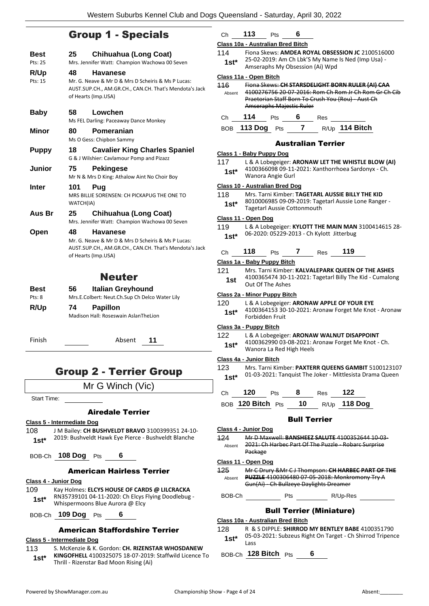### Group 1 - Specials

| Best              | 25<br>Chihuahua (Long Coat)                                                                                                                                  |
|-------------------|--------------------------------------------------------------------------------------------------------------------------------------------------------------|
| Pts: 25           | Mrs. Jennifer Watt: Champion Wachowa 00 Seven                                                                                                                |
| R/Up<br>Pts: $15$ | 48<br>Havanese<br>Mr. G. Neave & Mr D & Mrs D Scheiris & Ms P Lucas:<br>AUST.SUP.CH., AM.GR.CH., CAN.CH. That's Mendota's Jack<br>of Hearts (Imp.USA)        |
| <b>Baby</b>       | 58<br>Lowchen<br>Ms FEL Darling: Paceaway Dance Monkey                                                                                                       |
| <b>Minor</b>      | Pomeranian<br>80<br>Ms O Gess: Chipbon Sammy                                                                                                                 |
| <b>Puppy</b>      | 18<br><b>Cavalier King Charles Spaniel</b><br>G & J Wilshier: Cavlamour Pomp and Pizazz                                                                      |
| Junior            | 75<br>Pekingese<br>Mr N & Mrs D King: Athalow Aint No Choir Boy                                                                                              |
| Inter             | 101<br>Pug<br>MRS BILLIE SORENSEN: CH PICKAPUG THE ONE TO<br>WATCH(IA)                                                                                       |
| Aus Br            | 25<br>Chihuahua (Long Coat)<br>Mrs. Jennifer Watt: Champion Wachowa 00 Seven                                                                                 |
| Open              | 48<br><b>Havanese</b><br>Mr. G. Neave & Mr D & Mrs D Scheiris & Ms P Lucas:<br>AUST.SUP.CH., AM.GR.CH., CAN.CH. That's Mendota's Jack<br>of Hearts (Imp.USA) |
|                   | <b>Neuter</b>                                                                                                                                                |
| Best<br>Pts: 8    | <b>Italian Greyhound</b><br>56<br>Mrs.E.Colbert: Neut.Ch.Sup Ch Delco Water Lily                                                                             |
| R/Up              | <b>Papillon</b><br>74<br>Madison Hall: Roseswain AslanTheLion                                                                                                |
|                   |                                                                                                                                                              |

### Group 2 - Terrier Group

### Mr G Winch (Vic)

Start Time:

#### Airedale Terrier

#### **Class 5 - Intermediate Dog**

108 J M Bailey: **CH BUSHVELDT BRAVO** 3100399351 24-10- 2019: Bushveldt Hawk Eye Pierce - Bushveldt Blanche **1st\***

BOB-Ch **108 Dog** Pts **6**

#### American Hairless Terrier

#### **Class 4 - Junior Dog**

- 109 Kay Holmes: **ELCYS HOUSE OF CARDS @ LILCRACKA** RN35739101 04-11-2020: Ch Elcys Flying Doodlebug - Whispermoons Blue Aurora @ Elcy **1st\***
	-
- BOB-Ch **109 Dog** Pts **6**

#### American Staffordshire Terrier

#### **Class 5 - Intermediate Dog**

113 S. McKenzie & K. Gordon: **CH. RIZENSTAR WHOSDANEW KINGOFHELL** 4100325075 18-07-2019: Staffwild Licence To Thrill - Rizenstar Bad Moon Rising (Ai) **1st\***

Ch **113** Pts **6**

#### **Class 10a - Australian Bred Bitch**

114 Fiona Skews: **AMDEA ROYAL OBSESSION JC** 2100516000 25-02-2019: Am Ch Lbk'S My Name Is Ned (Imp Usa) - **1st**\* 25-02-2019: Am Ch LDK S My Name<br>Amseraphs My Obsession (Ai) Wpd

#### **Class 11a - Open Bitch**

116 Fiona Skews: **CH STARSDELIGHT BORN RULER (AI) CAA** 4100276756 20-07-2016: Rom Ch Rom Jr Ch Rom Gr Ch Cib Praetorian Staff Born To Crush You (Rou) - Aust Ch Amseraphs Majestic Ruler Absent

### Ch **114** Pts **6** Res

BOB **113 Dog** Pts **7** R/Up **114 Bitch**

#### Australian Terrier

#### **Class 1 - Baby Puppy Dog**

| 117    | L & A Lobegeiger: ARONAW LET THE WHISTLE BLOW (AI) |
|--------|----------------------------------------------------|
| $1st*$ | 4100366098 09-11-2021: Xanthorrhoea Sardonyx - Ch. |
|        | Wanora Angie Gurl                                  |

#### **Class 10 - Australian Bred Dog**

- 118 Mrs. Tarni Kimber: **TAGETARL AUSSIE BILLY THE KID**
	- 8010006985 09-09-2019: Tagetarl Aussie Lone Ranger 1st\* 8010006985 09-09-2019: Tagetarl Aussie Cottonmouth

#### **Class 11 - Open Dog**

| 119    | L & A Lobegeiger: KYLOTT THE MAIN MAN 3100414615 28- |
|--------|------------------------------------------------------|
| $1st*$ | 06-2020: 05229-2013 - Ch Kylott Jitterbug            |

| Сh | 118 | Pts | Res | 119 |
|----|-----|-----|-----|-----|
|    |     |     |     |     |

#### **Class 1a - Baby Puppy Bitch**

121 Mrs. Tarni Kimber: **KALVALEPARK QUEEN OF THE ASHES** 4100365474 30-11-2021: Tagetarl Billy The Kid - Cumalong **1st**  $\frac{410036547430-1}{0}$ 

#### **Class 2a - Minor Puppy Bitch**

120 L & A Lobegeiger: **ARONAW APPLE OF YOUR EYE** 4100364153 30-10-2021: Aronaw Forget Me Knot - Aronaw Forbidden Fruit **1st\***

#### **Class 3a - Puppy Bitch**

#### 122 L & A Lobegeiger: **ARONAW WALNUT DISAPPOINT**

4100362990 03-08-2021: Aronaw Forget Me Knot - Ch. Wanora La Red High Heels **1st\***

#### **Class 4a - Junior Bitch**

123 Mrs. Tarni Kimber: **PAXTERR QUEENS GAMBIT** 5100123107 01-03-2021: Tanquist The Joker - Mittlesista Drama Queen **1st\***

Ch **120** Pts **8** Res **122**

BOB **120 Bitch** Pts **10** R/Up **118 Dog**

#### Bull Terrier

- **Class 4 - Junior Dog**
- 124 Mr D Maxwell: **BANSHEEZ SALUTE** 4100352644 10-03- 2021: Ch Harbec Part Of The Puzzle - Robarc Surprise Package Absent

#### **Class 11 - Open Dog**

- 125 Mr C Drury &Mr C J Thompson: **CH HARBEC PART OF THE PUZZLE** 4100306480 07-05-2018: Monkromony Try A Gun(Ai) - Ch Bullzeye Daylights Dreamer Absent
- BOB-Ch Pts R/Up-Res

#### Bull Terrier (Miniature)

#### **Class 10a - Australian Bred Bitch**

- 128 R & S DIPPLE: **SHIRROD MY BENTLEY BABE** 4100351790
- 05-03-2021: Subzeus Right On Target Ch Shirrod Tripence  $1$ st<sup>\*</sup>  $\frac{05}{1}$

BOB-Ch **128 Bitch** Pts **6**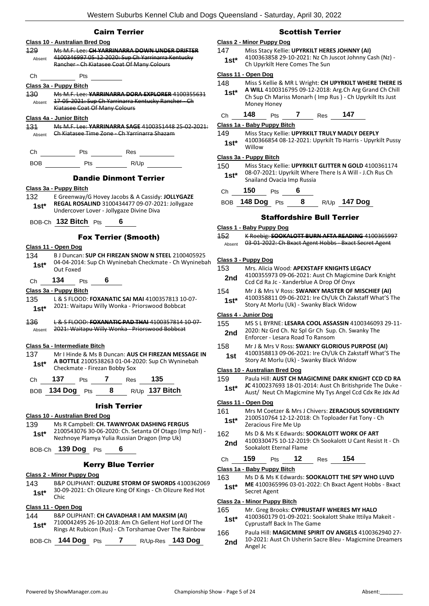#### Cairn Terrier



#### Scottish Terrier

#### **Class 2 - Minor Puppy Dog**

147 Miss Stacy Kellie: **UPYRKILT HERES JOHNNY (AI)** 4100363858 29-10-2021: Nz Ch Juscot Johnny Cash (Nz) - 1st\* 4100363858 29-10-2021: NZ Ch J<br>Ch Upyrkilt Here Comes The Sun

#### **Class 11 - Open Dog**

- 148 Miss S Kellie & MR L Wright: **CH UPYRKILT WHERE THERE IS A WILL** 4100316795 09-12-2018: Arg.Ch Arg Grand Ch Chill Ch Sup Ch Mariss Monarh ( Imp Rus ) - Ch Upyrkilt Its Just Money Honey **1st\***
- Ch **148** Pts **7** Res **147**

#### **Class 1a - Baby Puppy Bitch**

#### 149 Miss Stacy Kellie: **UPYRKILT TRULY MADLY DEEPLY**

4100366854 08-12-2021: Upyrkilt Tb Harris - Upyrkilt Pussy Willow **1st\***

#### **Class 3a - Puppy Bitch**

#### 150 Miss Stacy Kellie: **UPYRKILT GLITTER N GOLD** 4100361174

08-07-2021: Upyrkilt Where There Is A Will - J.Ch Rus Ch **1st**\* U8-07-2021: Opyrklit Where<br>Snailand Ovacia Imp Russia

Ch **150** Pts **6**

BOB **148 Dog** Pts **8** R/Up **147 Dog**

#### Staffordshire Bull Terrier

#### **Class 1 - Baby Puppy Dog**

| 152 <sub>2</sub> | K Roobig: COOKALOTT RURN AFTA READING 4100365007<br><del>K ROCOK. SSSRIES IT BSINTARIA READING 410030337</del> |
|------------------|----------------------------------------------------------------------------------------------------------------|
|                  |                                                                                                                |

Absent 03-01-2022: Ch Bxact Agent Hobbs - Bxact Secret Agent

#### **Class 3 - Puppy Dog**

| 153 | Mrs. Alicia Wood: APEXSTAFF KNIGHTS LEGACY           |
|-----|------------------------------------------------------|
| 2nd | 4100355973 09-06-2021: Aust Ch Magicmine Dark Knight |
|     | Ccd Cd Ra Jc - Xanderblue A Drop Of Onyx             |

154 Mr J & Mrs V Ross: **SWANKY MASTER OF MISCHIEF (AI)** 4100358811 09-06-2021: Ire Ch/Uk Ch Zakstaff What'S The **1st** 4100358811 09-06-2021: Ire Ch/OK Ch Zaki<br>Story At Morlu (Uk) - Swanky Black Widow

#### **Class 4 - Junior Dog**

- 155 MS S L BYRNE: **LESARA COOL ASSASSIN** 4100346093 29-11- 2020: Nz Grd Ch. Nz Spl Gr Ch Sup. Ch. Swanky The **2nd** *2020*: Nz Gra Cn. Nz Spi Gr Cn Sup<br>Enforcer - Lesara Road To Ransom
- 158 Mr J & Mrs V Ross: **SWANKY GLORIOUS PURPOSE (AI)**
	- 4100358813 09-06-2021: Ire Ch/Uk Ch Zakstaff What'S The **1st** 4100358813 09-06-2021: If CHI CHI CHI CHI CHI Story At Morlu (Uk) - Swanky Black Widow

#### **Class 10 - Australian Bred Dog**

| 159    | Paula Hill: AUST CH MAGICMINE DARK KNIGHT CCD CD RA       |
|--------|-----------------------------------------------------------|
| $1st*$ | JC 4100237693 18-01-2014: Aust Ch Britishpride The Duke - |
|        | Aust/ Neut Ch Magicmine My Tys Angel Ccd Cdx Re Jdx Ad    |

#### **Class 11 - Open Dog**

- 161 Mrs M Coetzer & Mrs J Chivers: **ZERACIOUS SOVEREIGNTY** 2100510764 12-12-2018: Ch Toploader Fat Tony - Ch
- **1st**\* 2100510764 12-12-20<br>Zeracious Fire Me Up 162 Ms D & Ms K Edwards: **SOOKALOTT WORK OF ART**
- 4100330475 10-12-2019: Ch Sookalott U Cant Resist It Ch 2nd <sup>4100330475</sup> <sup>10-12-2019</sup><br>Sookalott Eternal Flame

| Ch | 159 | <b>Pts</b> | $\overline{\mathbf{12}}$ | Res | 154 |
|----|-----|------------|--------------------------|-----|-----|
|    |     |            |                          |     |     |

**Class 1a - Baby Puppy Bitch**

163 Ms D & Ms K Edwards: **SOOKALOTT THE SPY WHO LUVD** 

**ME** 4100365996 03-01-2022: Ch Bxact Agent Hobbs - Bxact Secret Agent **1st\***

#### **Class 2a - Minor Puppy Bitch**

- 165 Mr. Greg Brooks: **CYPRUSTAFF WHERES MY HALO**
- 4100360179 01-09-2021: Sookalott Shake Ittilya Makeit Cyprustaff Back In The Game **1st\***
- 166 Paula Hill: **MAGICMINE SPIRIT OV ANGELS** 4100362940 27- 10-2021: Aust Ch Usherin Sacre Bleu - Magicmine Dreamers **2nd**  $\frac{10-2021}{\text{Angle Jc}}$

143 B&P OLIPHANT: **OLIZURE STORM OF SWORDS** 4100362069 30-09-2021: Ch Olizure King Of Kings - Ch Olizure Red Hot

BOB-Ch **144 Dog** Pts **7** R/Up-Res **143 Dog**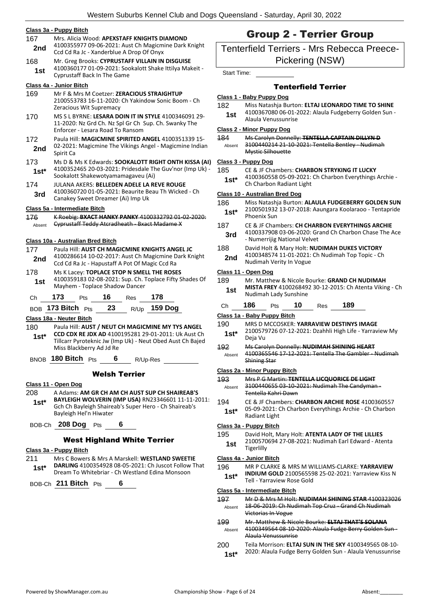|                                   |                                                                                                                                                 |                        |                                    |                                    |                                                                                                                                                                       | Western Suburbs Kennel Club and Dog                                                                              |  |
|-----------------------------------|-------------------------------------------------------------------------------------------------------------------------------------------------|------------------------|------------------------------------|------------------------------------|-----------------------------------------------------------------------------------------------------------------------------------------------------------------------|------------------------------------------------------------------------------------------------------------------|--|
| Class 3a - Puppy Bitch            |                                                                                                                                                 |                        |                                    |                                    |                                                                                                                                                                       |                                                                                                                  |  |
| 167<br>2nd                        | Mrs. Alicia Wood: APEXSTAFF KNIGHTS DIAMOND<br>4100355977 09-06-2021: Aust Ch Magicmine Dark Knight<br>Ccd Cd Ra Jc - Xanderblue A Drop Of Onyx |                        |                                    |                                    |                                                                                                                                                                       |                                                                                                                  |  |
| 168<br>1st                        |                                                                                                                                                 |                        | <b>Cyprustaff Back In The Game</b> |                                    | Mr. Greg Brooks: CYPRUSTAFF VILLAIN IN DISGUISE<br>4100360177 01-09-2021: Sookalott Shake Ittilya Makeit -                                                            |                                                                                                                  |  |
| Class 4a - Junior Bitch           |                                                                                                                                                 |                        |                                    |                                    |                                                                                                                                                                       |                                                                                                                  |  |
| 169                               |                                                                                                                                                 |                        | Zeracious Wit Supremacy            |                                    | Mr F & Mrs M Coetzer: ZERACIOUS STRAIGHTUP<br>2100553783 16-11-2020: Ch Yakindow Sonic Boom - Ch                                                                      |                                                                                                                  |  |
| 170                               |                                                                                                                                                 |                        |                                    | Enforcer - Lesara Road To Ransom   | MS S L BYRNE: LESARA DOIN IT IN STYLE 4100346091 29-<br>11-2020: Nz Grd Ch. Nz Spl Gr Ch Sup. Ch. Swanky The                                                          |                                                                                                                  |  |
| 172<br>2nd                        | Spirit Ca                                                                                                                                       |                        |                                    |                                    | Paula Hill: MAGICMINE SPIRITED ANGEL 4100351339 15-                                                                                                                   | 02-2021: Magicmine The Vikings Angel - Magicmine Indian                                                          |  |
| 173<br>1st*                       |                                                                                                                                                 |                        |                                    | Sookalott Shakewotyamamagaveu (Ai) |                                                                                                                                                                       | Ms D & Ms K Edwards: SOOKALOTT RIGHT ONTH KISSA (AI)<br>4100352465 20-03-2021: Pridesdale The Guv'nor (Imp Uk) - |  |
| 174<br>3rd                        |                                                                                                                                                 |                        |                                    | Canakey Sweet Dreamer (Ai) Imp Uk  | JULANA AKERS: BELLEDEN ADELE LA REVE ROUGE<br>4100360720 01-05-2021: Beaurite Beau Th Wicked - Ch                                                                     |                                                                                                                  |  |
| Class 5a - Intermediate Bitch     |                                                                                                                                                 |                        |                                    |                                    |                                                                                                                                                                       |                                                                                                                  |  |
| 176<br>Absent                     |                                                                                                                                                 |                        |                                    |                                    | Cyprustaff Teddy Atcradheath - Bxact Madame X                                                                                                                         | K Roebig: BXACT HANKY PANKY 4100332792 01 02 2020:                                                               |  |
| Class 10a - Australian Bred Bitch |                                                                                                                                                 |                        |                                    |                                    |                                                                                                                                                                       |                                                                                                                  |  |
| 177<br>2nd                        |                                                                                                                                                 |                        |                                    |                                    | Paula Hill: AUST CH MAGICMINE KNIGHTS ANGEL JC<br>4100286614 10-02-2017: Aust Ch Magicmine Dark Knight<br>Ccd Cd Ra Jc - Hapustaff A Pot Of Magic Ccd Ra              |                                                                                                                  |  |
| 178<br>1st                        |                                                                                                                                                 |                        |                                    | Mayhem - Toplace Shadow Dancer     | Ms K Lacey: TOPLACE STOP N SMELL THE ROSES                                                                                                                            | 4100359183 02-08-2021: Sup. Ch. Toplace Fifty Shades Of                                                          |  |
| Сh                                | 173                                                                                                                                             | Pts                    | 16                                 | Res                                | 178                                                                                                                                                                   |                                                                                                                  |  |
|                                   | BOB 173 Bitch Pts                                                                                                                               |                        | 23                                 |                                    | R/Up 159 Dog                                                                                                                                                          |                                                                                                                  |  |
| Class 18a - Neuter Bitch          |                                                                                                                                                 |                        |                                    |                                    |                                                                                                                                                                       |                                                                                                                  |  |
| 180<br>1st*                       |                                                                                                                                                 |                        | Miss Blackberry Ad Jd Re           |                                    | Paula Hill: AUST / NEUT CH MAGICMINE MY TYS ANGEL<br>CCD CDX RE JDX AD 4100195281 29-01-2011: Uk Aust Ch<br>Tillcarr Pyroteknic Jw (Imp Uk) - Neut Obed Aust Ch Bajed |                                                                                                                  |  |
|                                   |                                                                                                                                                 |                        |                                    |                                    | BNOB 180 Bitch Pts 6 R/Up-Res                                                                                                                                         |                                                                                                                  |  |
|                                   |                                                                                                                                                 |                        |                                    | <b>Welsh Terrier</b>               |                                                                                                                                                                       |                                                                                                                  |  |
| Class 11 - Open Dog               |                                                                                                                                                 |                        |                                    |                                    | A Adams: AM GR CH AM CH AUST SUP CH SHAIREAB'S                                                                                                                        |                                                                                                                  |  |
| 208<br>$1st^*$                    |                                                                                                                                                 | Bayleigh Hel'n Hiwater |                                    |                                    | Gch Ch Bayleigh Shaireab's Super Hero - Ch Shaireab's                                                                                                                 | BAYLEIGH WOLVERIN (IMP USA) RN23346601 11-11-2011:                                                               |  |
|                                   |                                                                                                                                                 |                        | BOB-Ch 208 Dog Pts 6               |                                    |                                                                                                                                                                       |                                                                                                                  |  |
|                                   |                                                                                                                                                 |                        |                                    |                                    | <b>West Highland White Terrier</b>                                                                                                                                    |                                                                                                                  |  |
| Class 3a - Puppy Bitch            |                                                                                                                                                 |                        |                                    |                                    |                                                                                                                                                                       |                                                                                                                  |  |
| 211                               |                                                                                                                                                 |                        |                                    |                                    | Mrs C Bowers & Mrs A Marskell: WESTLAND SWEETIE<br>DARLING 4100354928 08-05-2021: Ch Juscot Follow That                                                               |                                                                                                                  |  |
| $1st*$                            |                                                                                                                                                 |                        |                                    |                                    | Dream To Whitebriar - Ch Westland Edina Monsoon                                                                                                                       |                                                                                                                  |  |

BOB-Ch **211 Bitch** Pts **6**

## Group 2 - Terrier Group

### Tenterfield Terriers - Mrs Rebecca Preece-Pickering (NSW)

### Tenterfield Terrier

### **Class 1 - Baby Puppy Dog**

Start Time:

- 182 Miss Natashja Burton: **ELTAJ LEONARDO TIME TO SHINE**
- 4100367080 06-01-2022: Alaula Fudgeberry Golden Sun Alaula Venussunrise **1st**

#### **Class 2 - Minor Puppy Dog**

184 Ms Carolyn Donnelly: **TENTELLA CAPTAIN DILLYN D** 3100440214 21-10-2021: Tentella Bentley - Nudimah Mystic Silhouette Absent

#### **Class 3 - Puppy Dog**

- 185 CE & JF Chambers: **CHARBON STRYKING IT LUCKY**
	- 4100360558 05-09-2021: Ch Charbon Everythings Archie **1st**\* 4100360558 05-09-2021:<br>Ch Charbon Radiant Light

#### **Class 10 - Australian Bred Dog**

- 186 Miss Natashja Burton: **ALAULA FUDGEBERRY GOLDEN SUN** 2100501932 13-07-2018: Aaungara Koolaraoo - Tentapride Phoenix Sun **1st\***
- 187 CE & JF Chambers: **CH CHARBON EVERYTHINGS ARCHIE** 4100337908 03-06-2020: Grand Ch Charbon Chase The Ace 3rd 4100337908 03-06-2020: Gr<br>- Numerrijig National Velvet
- 188 David Holt & Mary Holt: **NUDIMAH DUKES VICTORY** 4100348574 11-01-2021: Ch Nudimah Top Topic - Ch 2nd <sup>4100348574</sup> 11-01-2021:<br>
Nudimah Verity In Vogue

#### **Class 11 - Open Dog**

| 189 |                       | Mr. Matthew & Nicole Bourke: GRAND CH NUDIMAH                  |  |
|-----|-----------------------|----------------------------------------------------------------|--|
| 1st | Nudimah Lady Sunshine | <b>MISTA FREY 4100268492 30-12-2015: Ch Atenta Viking - Ch</b> |  |
|     |                       |                                                                |  |

| Сh | 186 | ⊃ts | 10 | Res | 189 |
|----|-----|-----|----|-----|-----|
|    |     |     |    |     |     |

#### **Class 1a - Baby Puppy Bitch**

#### 190 MRS D MCCOSKER: **YARRAVIEW DESTINYS IMAGE**

- 2100579726 07-12-2021: Dzahhli High Life Yarraview My **1st**\* 2100579<br>Deja Vu
- 192 Ms Carolyn Donnelly: **NUDIMAH SHINING HEART**
- 4100365546 17-12-2021: Tentella The Gambler Nudimah Shining Star Absent

#### **Class 2a - Minor Puppy Bitch**

| 193    | Mrs P G Martin: TENTELLA LICQUORICE DE LIGHT  |
|--------|-----------------------------------------------|
| Absent | 3100440655 03-10-2021: Nudimah The Candyman - |
|        | <del>Tentella Kahri Dawn</del>                |

194 CE & JF Chambers: **CHARBON ARCHIE ROSE** 4100360557 05-09-2021: Ch Charbon Everythings Archie - Ch Charbon 1st<sup>\* 05-09-2021:4</sup><br>Radiant Light

#### **Class 3a - Puppy Bitch**

- 195 David Holt, Mary Holt: **ATENTA LADY OF THE LILLIES**
- 2100570694 27-08-2021: Nudimah Earl Edward Atenta 1st <sup>21005</sup>/

#### **Class 4a - Junior Bitch**

196 MR P CLARKE & MRS M WILLIAMS-CLARKE: **YARRAVIEW INDIUM GOLD** 2100565598 25-02-2021: Yarraview Kiss N **1st\* INDIUM GOLD** 210056559<br>Tell - Yarraview Rose Gold

#### **Class 5a - Intermediate Bitch**

- 197 Mr D & Mrs M Holt: **NUDIMAH SHINING STAR** 4100323026 18-06-2019: Ch Nudimah Top Cruz - Grand Ch Nudimah Victorias In Vogue Absent
- 199 Mr. Matthew & Nicole Bourke: **ELTAJ THAT'S SOLANA** 4100349564 08-10-2020: Alaula Fudge Berry Golden Sun - Alaula Venussunrise Absent
- 200 Teila Morrison: **ELTAJ SUN IN THE SKY** 4100349565 08-10- 2020: Alaula Fudge Berry Golden Sun - Alaula Venussunrise **1st\***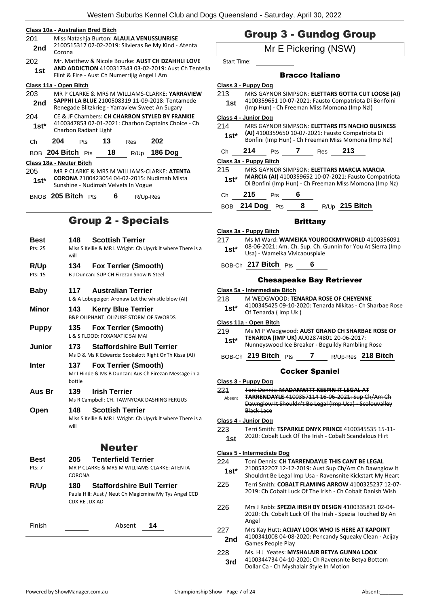#### **Class 10a - Australian Bred Bitch**

|                | Class 10a - Australian Bred Bitch |                                           |    |                                              |                                                                                                   |  |
|----------------|-----------------------------------|-------------------------------------------|----|----------------------------------------------|---------------------------------------------------------------------------------------------------|--|
| 201            |                                   | Miss Natashja Burton: ALAULA VENUSSUNRISE |    |                                              |                                                                                                   |  |
| 2nd            | Corona                            |                                           |    |                                              | 2100515317 02-02-2019: Silvieras Be My Kind - Atenta                                              |  |
| 202            |                                   |                                           |    |                                              | Mr. Matthew & Nicole Bourke: AUST CH DZAHHLI LOVE                                                 |  |
| 1st            |                                   |                                           |    | Flint & Fire - Aust Ch Numerrijig Angel I Am | <b>AND ADDICTION 4100317343 03-02-2019: Aust Ch Tentella</b>                                      |  |
|                | Class 11a - Open Bitch            |                                           |    |                                              |                                                                                                   |  |
| 203            |                                   |                                           |    |                                              | MR P CLARKE & MRS M WILLIAMS-CLARKE: <b>YARRAVIEW</b>                                             |  |
| 2nd            |                                   |                                           |    |                                              | SAPPHI LA BLUE 2100508319 11-09-2018: Tentamede                                                   |  |
|                |                                   |                                           |    |                                              | Renegade Blitzkrieg - Yarraview Sweet An Sugary                                                   |  |
| 204            |                                   |                                           |    |                                              | CE & JF Chambers: CH CHARBON STYLED BY FRANKIE                                                    |  |
| $1st^*$        | Charbon Radiant Light             |                                           |    |                                              | 4100347853 02-01-2021: Charbon Captains Choice - Ch                                               |  |
| Ch             | 204                               | <b>Pts</b>                                | 13 | <b>Res</b>                                   | - 202                                                                                             |  |
|                | вов <b>204 Bitch</b> Pts          |                                           | 18 |                                              | R/Up 186 Dog                                                                                      |  |
|                | Class 18a - Neuter Bitch          |                                           |    |                                              |                                                                                                   |  |
| 205<br>$1st^*$ |                                   |                                           |    | Sunshine - Nudimah Velvets In Vogue          | MR P CLARKE & MRS M WILLIAMS-CLARKE: ATENTA<br><b>CORONA</b> 2100423054 04-02-2015: Nudimah Mista |  |
|                |                                   |                                           |    |                                              |                                                                                                   |  |

BNOB **205 Bitch** Pts **6** R/Up-Res

## Group 2 - Specials

| <b>Best</b>   | 148           | <b>Scottish Terrier</b>                                            |  |  |
|---------------|---------------|--------------------------------------------------------------------|--|--|
| Pts: 25       | will          | Miss S Kellie & MR L Wright: Ch Upyrkilt where There is a          |  |  |
| R/Up          | 134           | <b>Fox Terrier (Smooth)</b>                                        |  |  |
| Pts: 15       |               | <b>B.J Duncan: SUP CH Firezan Snow N Steel</b>                     |  |  |
| <b>Baby</b>   | 117           | <b>Australian Terrier</b>                                          |  |  |
|               |               | L & A Lobegeiger: Aronaw Let the whistle blow (AI)                 |  |  |
| Minor         | 143           | <b>Kerry Blue Terrier</b><br>B&P OLIPHANT: OLIZURE STORM OF SWORDS |  |  |
| <b>Puppy</b>  | 135           | <b>Fox Terrier (Smooth)</b><br>L & S FLOOD: FOXANATIC SAI MAI      |  |  |
| <b>Junior</b> | 173.          | <b>Staffordshire Bull Terrier</b>                                  |  |  |
|               |               | Ms D & Ms K Edwards: Sookalott Right OnTh Kissa (AI)               |  |  |
| <b>Inter</b>  | 137           | <b>Fox Terrier (Smooth)</b>                                        |  |  |
|               | bottle        | Mr I Hinde & Ms B Duncan: Aus Ch Firezan Message in a              |  |  |
| Aus Br        | 139           | <b>Irish Terrier</b>                                               |  |  |
|               |               | Ms R Campbell: CH. TAWNYOAK DASHING FERGUS                         |  |  |
| Open          | 148           | <b>Scottish Terrier</b>                                            |  |  |
|               | will          | Miss S Kellie & MR L Wright: Ch Upyrkilt where There is a          |  |  |
|               |               | <b>Neuter</b>                                                      |  |  |
| <b>Best</b>   | 205           | <b>Tenterfield Terrier</b>                                         |  |  |
| Pts: 7        | CORONA        | MR P CLARKE & MRS M WILLIAMS-CLARKE: ATENTA                        |  |  |
| R/Up          | 180           | <b>Staffordshire Bull Terrier</b>                                  |  |  |
|               | CDX RE JDX AD | Paula Hill: Aust / Neut Ch Magicmine My Tys Angel CCD              |  |  |

| Finish | Absent | 14 |  |
|--------|--------|----|--|
|        |        |    |  |

### Group 3 - Gundog Group

Mr E Pickering (NSW)

Start Time:

### Bracco Italiano

|                     | Class 3 - Puppy Dog                                      |                                                                                                            |                 |                                                                                                                 |  |  |  |
|---------------------|----------------------------------------------------------|------------------------------------------------------------------------------------------------------------|-----------------|-----------------------------------------------------------------------------------------------------------------|--|--|--|
| 213                 |                                                          |                                                                                                            |                 |                                                                                                                 |  |  |  |
| 1st                 |                                                          | MRS GAYNOR SIMPSON: ELETTARS GOTTA CUT LOOSE (AI)<br>4100359651 10-07-2021: Fausto Compatriota Di Bonfoini |                 |                                                                                                                 |  |  |  |
|                     |                                                          |                                                                                                            |                 | (Imp Hun) - Ch Freeman Miss Momona (Imp Nzl)                                                                    |  |  |  |
|                     | Class 4 - Junior Dog                                     |                                                                                                            |                 |                                                                                                                 |  |  |  |
| 214                 |                                                          |                                                                                                            |                 | MRS GAYNOR SIMPSON: ELETTARS ITS NACHO BUSINESS                                                                 |  |  |  |
| $1st^*$             |                                                          |                                                                                                            |                 | (AI) 4100359650 10-07-2021: Fausto Compatriota Di                                                               |  |  |  |
|                     |                                                          |                                                                                                            |                 | Bonfini (Imp Hun) - Ch Freeman Miss Momona (Imp Nzl)                                                            |  |  |  |
| Сh                  | 214                                                      | Pts 7 Res 213                                                                                              |                 |                                                                                                                 |  |  |  |
|                     | Class 3a - Puppy Bitch                                   |                                                                                                            |                 |                                                                                                                 |  |  |  |
| 215                 |                                                          |                                                                                                            |                 | MRS GAYNOR SIMPSON: ELETTARS MARCIA MARCIA                                                                      |  |  |  |
| 1st $^{\star}$ .    |                                                          |                                                                                                            |                 | MARCIA (AI) 4100359652 10-07-2021: Fausto Compatriota<br>Di Bonfini (Imp Hun) - Ch Freeman Miss Momona (Imp Nz) |  |  |  |
|                     |                                                          |                                                                                                            |                 |                                                                                                                 |  |  |  |
|                     | Ch 215 Pts 6                                             |                                                                                                            |                 |                                                                                                                 |  |  |  |
|                     |                                                          |                                                                                                            |                 | BOB 214 Dog Pts 8 R/Up 215 Bitch                                                                                |  |  |  |
|                     |                                                          |                                                                                                            |                 |                                                                                                                 |  |  |  |
|                     |                                                          |                                                                                                            | <b>Brittany</b> |                                                                                                                 |  |  |  |
|                     | Class 3a - Puppy Bitch                                   |                                                                                                            |                 |                                                                                                                 |  |  |  |
| 217                 |                                                          |                                                                                                            |                 | Ms M Ward: WAMEIKA YOUROCKMYWORLD 4100356091<br>08-06-2021: Am. Ch. Sup. Ch. Gunnin'for You At Sierra (Imp      |  |  |  |
| $1st^*$             | Usa) - Wameika Vivicaouspixie                            |                                                                                                            |                 |                                                                                                                 |  |  |  |
|                     | BOB-Ch 217 Bitch Pts 6                                   |                                                                                                            |                 |                                                                                                                 |  |  |  |
|                     |                                                          |                                                                                                            |                 |                                                                                                                 |  |  |  |
|                     |                                                          | <b>Chesapeake Bay Retriever</b>                                                                            |                 |                                                                                                                 |  |  |  |
|                     | Class 5a - Intermediate Bitch                            |                                                                                                            |                 |                                                                                                                 |  |  |  |
| 218                 |                                                          |                                                                                                            |                 | M WEDGWOOD: TENARDA ROSE OF CHEYENNE                                                                            |  |  |  |
| $1st*$              | 4100345425 09-10-2020: Tenarda Nikitas - Ch Sharbae Rose |                                                                                                            |                 |                                                                                                                 |  |  |  |
| Of Tenarda (Imp Uk) |                                                          |                                                                                                            |                 |                                                                                                                 |  |  |  |
|                     | Class 11a - Open Bitch                                   |                                                                                                            |                 |                                                                                                                 |  |  |  |
| 219                 | TENARDA (IMP UK) AU02874801 20-06-2017:                  |                                                                                                            |                 | Ms M P Wedgwood: AUST GRAND CH SHARBAE ROSE OF                                                                  |  |  |  |
| $1st^*$             |                                                          |                                                                                                            |                 | Nunneyswood Ice Breaker - Beguildy Rambling Rose                                                                |  |  |  |
|                     |                                                          |                                                                                                            |                 | BOB-Ch 219 Bitch Pts 7 R/Up-Res 218 Bitch                                                                       |  |  |  |
|                     |                                                          |                                                                                                            |                 |                                                                                                                 |  |  |  |
|                     |                                                          | <b>Cocker Spaniel</b>                                                                                      |                 |                                                                                                                 |  |  |  |

|                | <b>Cocker Spaniel</b>                                                                                                                                                 |
|----------------|-----------------------------------------------------------------------------------------------------------------------------------------------------------------------|
|                | Class 3 - Puppy Dog                                                                                                                                                   |
| 221<br>Absent  | Toni Dennis: MADANWITT KEEPIN IT LEGAL AT<br>TARRENDAYLE 4100357114 16-06-2021: Sup Ch/Am Ch<br>Dawnglow It Shouldn't Be Legal (Imp Usa) - Scolouvalley<br>Black Lace |
|                | Class 4 - Junior Dog                                                                                                                                                  |
| 223.<br>1st    | Terri Smith: TSPARKLE ONYX PRINCE 4100345535 15-11-<br>2020: Cobalt Luck Of The Irish - Cobalt Scandalous Flirt                                                       |
|                | Class 5 - Intermediate Dog                                                                                                                                            |
| 224<br>$1st^*$ | Toni Dennis: CH TARRENDAYLE THIS CANT BE LEGAL<br>2100532207 12-12-2019: Aust Sup Ch/Am Ch Dawnglow It<br>Shouldnt Be Legal Imp Usa - Ravensnite Kickstart My Heart   |
| 225            | Terri Smith: COBALT FLAMING ARROW 4100325237 12-07-<br>2019: Ch Cobalt Luck Of The Irish - Ch Cobalt Danish Wish                                                      |
| 226            | Mrs J Robb: SPEZIA IRISH BY DESIGN 4100335821 02-04-<br>2020: Ch. Cobalt Luck Of The Irish - Spezia Touched By An<br>Angel                                            |
| 227<br>2nd     | Mrs Kay Hutt: ACIJAY LOOK WHO IS HERE AT KAPOINT<br>4100341008 04-08-2020: Pencandy Squeaky Clean - Acijay<br>Games People Play                                       |
| 228<br>3rd     | Ms. H J Yeates: MYSHALAIR BETYA GUNNA LOOK<br>4100344734 04-10-2020: Ch Ravensnite Betya Bottom<br>Dollar Ca - Ch Myshalair Style In Motion                           |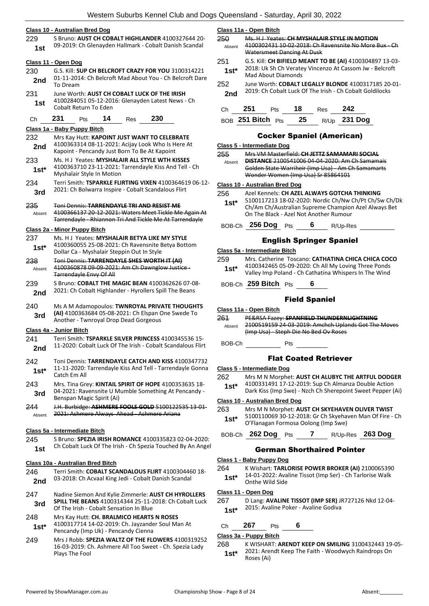#### **Class 10 - Australian Bred Dog**

229 S Bruno: **AUST CH COBALT HIGHLANDER** 4100327644 20- 09-2019: Ch Glenayden Hallmark - Cobalt Danish Scandal **1st**

#### **Class 11 - Open Dog**

- 230 G.S. Kill: **SUP CH BELCROFT CRAZY FOR YOU** 3100314221 01-11-2014: Ch Belcroft Mad About You - Ch Belcroft Dare **2nd**  $\frac{U_1 - 11 - 2U_1}{\text{To Dream}}$
- 231 June Worth: **AUST CH COBALT LUCK OF THE IRISH** 4100284051 05-12-2016: Glenayden Latest News - Ch **1st** 4100284051 05-12-20

#### Ch **231** Pts **14** Res **230**

#### **Class 1a - Baby Puppy Bitch**

- 232 Mrs Kay Hutt: **KAPOINT JUST WANT TO CELEBRATE** 4100363314 08-11-2021: Acijay Look Who Is Here At Kapoint - Pencandy Just Born To Be At Kapoint **2nd** 233 Ms. H J Yeates: **MYSHALAIR ALL STYLE WTH KISSES**
- 4100363710 23-11-2021: Tarrendayle Kiss And Tell Ch **1st** <sup>4100363710 23-11-2021:<br>Myshalair Style In Motion</sup>
- 234 Terri Smith: **TSPARKLE FLIRTING VIXEN** 4100364619 06-12- 2021: Ch Bolwarra Inspire - Cobalt Scandalous Flirt **3rd**

### 235 Toni Dennis: **TARRENDAYLE TRI AND RESIST ME**

4100366137 20-12-2021: Waters Meet Tickle Me Again At Tarrendayle - Rhiannon Tri And Tickle Me At Tarrendayle Absent

#### **Class 2a - Minor Puppy Bitch**

- 237 Ms. H J Yeates: **MYSHALAIR BETYA LIKE MY STYLE** 4100360055 25-08-2021: Ch Ravensnite Betya Bottom 1st\* 4100360055 25-08-2021: Ch Ravensnite i<br>Dollar Ca - Myshalair Steppin Out In Style
- 238 Toni Dennis: **TARRENDAYLE SHES WORTH IT (AI)** 4100360878 09-09-2021: Am Ch Dawnglow Justice - Tarrendayle Envy Of All Absent
- 239 S Bruno: **COBALT THE MAGIC BEAN** 4100362626 07-08- 2nd 2021: Ch Cobalt Highlander - Hyrollers Spill The Beans
- 240 Ms A M Adamopoulos: **TWNROYAL PRIVATE THOUGHTS (AI)** 4100363684 05-08-2021: Ch Elspan One Swede To **3rd And 4100303064 03-06-2021**. Ch Eispan Gorgeous

#### **Class 4a - Junior Bitch**

- 241 Terri Smith: **TSPARKLE SILVER PRINCESS** 4100345536 15- 2nd <sup>11-2020: Cobalt Luck Of The Irish - Cobalt Scandalous Flirt</sup>
- 242 Toni Dennis: **TARRENDAYLE CATCH AND KISS** 4100347732 11-11-2020: Tarrendayle Kiss And Tell - Tarrendayle Gonna **1st\*** 11-11-2020:<br>Catch Em All
- 243 Mrs. Tina Grey: **KINTAIL SPIRIT OF HOPE** 4100353635 18- 04-2021: Ravensnite U Mumble Something At Pencandy - **3rd** U<sup>4-2021: Ravenshite U M<br>Benspan Magic Spirit (Ai)</sup>
- 244 J.H. Burbidge: **ASHMERE FOOLS GOLD** 5100122535 13-01- Absent 2021: Ashmere Always Ahead Ashmere Ariana

#### **Class 5a - Intermediate Bitch**

245 S Bruno: **SPEZIA IRISH ROMANCE** 4100335823 02-04-2020: 1st Ch Cobalt Luck Of The Irish - Ch Spezia Touched By An Angel

#### **Class 10a - Australian Bred Bitch**

- 246 Terri Smith: **COBALT SCANDALOUS FLIRT** 4100304460 18- 03-2018: Ch Acvaal King Jedi - Cobalt Danish Scandal **2nd**
- 247 Nadine Siemon And Kylie Zimmerle: **AUST CH HYROLLERS SPILL THE BEANS** 4100314344 25-11-2018: Ch Cobalt Luck **3rd** SPILL THE BEANS 4100314344 25-11-4<br>Of The Irish - Cobalt Sensation In Blue

### 248 Mrs Kay Hutt: **CH. BRALMICO HEARTS N ROSES**

- 4100317714 14-02-2019: Ch. Jayzander Soul Man At Pencandy (Imp Uk) - Pencandy Cienna **1st\***
- 249 Mrs J Robb: **SPEZIA WALTZ OF THE FLOWERS** 4100319252 16-03-2019: Ch. Ashmere All Too Sweet - Ch. Spezia Lady Plays The Fool

**Class 11a - Open Bitch**

| 25<br>Absent  |           | <b>Watersmeet Dancing At Dusk</b> |    |      | Voatos: CH MAVCHAI AID CTVI E IN MAOTI<br>1100302131 10-02-2018: Ch Rayenspite No More Rux                          |  |
|---------------|-----------|-----------------------------------|----|------|---------------------------------------------------------------------------------------------------------------------|--|
| 251<br>$1st*$ |           | Mad About Diamonds                |    |      | G.S. Kill: CH BIFIELD MEANT TO BE (AI) 4100304897 13-03-<br>2018: Uk Sh Ch Veratey Vincenzo At Cassom Jw - Belcroft |  |
| 252<br>2nd    |           |                                   |    |      | June Worth: COBALT LEGALLY BLONDE 4100317185 20-01-<br>2019: Ch Cobalt Luck Of The Irish - Ch Cobalt Goldilocks     |  |
| Сh            | 251       | Pts                               | 18 | Res  | 242                                                                                                                 |  |
|               | 251 Bitch | Pts                               | 25 | R/Up | Doa                                                                                                                 |  |

#### Cocker Spaniel (American)

|               | Class 5 - Intermediate Dog             |     |                                                                                                                                                               |
|---------------|----------------------------------------|-----|---------------------------------------------------------------------------------------------------------------------------------------------------------------|
| Absent        | Wonder Women (Imp Usa) Sr 85864101     |     | <u> Mrs VM Masterfield: CH IETT7 CAMAMARI COCI</u><br><b>DISTANCE 2100541006 04 04 2020; Am Ch Samama</b><br>Golden State Warriheir (Imp Usa) - Am Ch Samar   |
|               | Class 10 - Australian Bred Dog         |     |                                                                                                                                                               |
| 256<br>$1st*$ | On The Black - Azel Not Another Rumour |     | Azel Kennels: CH AZEL ALWAYS GOTCHA THINKING<br>5100117213 18-02-2020: Nordic Ch/Nw Ch/Pt Ch/Sw Ch/Dk<br>Ch/Am Ch/Australian Supreme Champion Azel Always Bet |
|               | 256 Dog                                | Pts | Res                                                                                                                                                           |

#### English Springer Spaniel

#### **Class 5a - Intermediate Bitch**

- 259 Mrs. Catherine Toscano: **CATHATINA CHICA CHICA COCO** 4100342465 05-09-2020: Ch All My Loving Three Ponds Valley Imp Poland - Ch Cathatina Whispers In The Wind **1st\***
- BOB-Ch **259 Bitch** Pts **6**

#### Field Spaniel

#### **Class 11a - Open Bitch**

261 PE&RSA Fazey: **SPANFIELD THUNDERNLIGHTNING** 2100519159 24-03-2019: Amchch Uplands Got The Moves (Imp Usa) - Steph Die No Bed Ov Roses Absent

BOB-Ch Pts

#### Flat Coated Retriever

#### **Class 5 - Intermediate Dog**

262 Mrs M N Morphet: **AUST CH ALUBYC THE ARTFUL DODGER** 4100331491 17-12-2019: Sup Ch Almanza Double Action **1st** 4100331491 17-12-2019: Sup Ch Almanza Double Action<br>Dark Kiss (Imp Swe) - Nzch Ch Sherepoint Sweet Pepper (Ai)

### **Class 10 - Australian Bred Dog**

- 263 Mrs M N Morphet: **AUST CH SKYEHAVEN OLIVER TWIST**
- 5100110069 30-12-2018: Gr Ch Skyehaven Man Of Fire Ch <sup>O</sup>'Flanagan Formosa Oolong (Imp Swe) **1st\***

#### BOB-Ch **262 Dog** Pts **7** R/Up-Res **263 Dog**

#### German Shorthaired Pointer

#### **Class 1 - Baby Puppy Dog**

264 K Wishart: **TARLORISE POWER BROKER (AI)** 2100065390 14-01-2022: Avaline Tissot (Imp Ser) - Ch Tarlorise Walk **1st**\* 14-01-2022: Ave

#### **Class 11 - Open Dog**

- 267 D Lang: **AVALINE TISSOT (IMP SER)** JR727126 Nkd 12-04-
- 2015: Avaline Poker Avaline Godiva **1st\***

#### Ch **267** Pts **6**

#### **Class 3a - Puppy Bitch**

268 K WISHART: **ARENDT KEEP ON SMILING** 3100432443 19-05- 2021: Arendt Keep The Faith - Woodwych Raindrops On **1st**\* <sup>2021: Are Roses (Ai)</sup>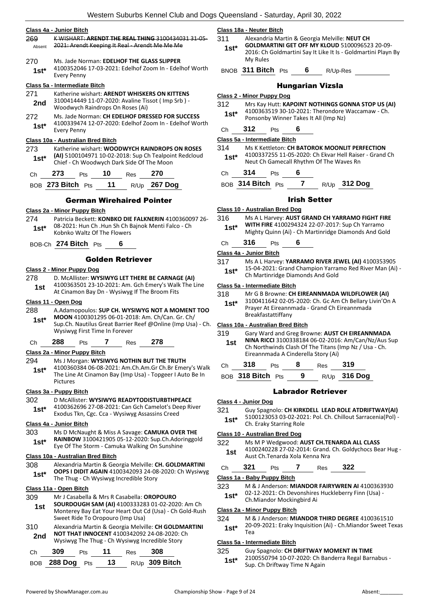|                                                                                                                                                                                                                      |                                                                                       |    |                         | western Suburbs Kennel Club and Dog                                                                               |  |
|----------------------------------------------------------------------------------------------------------------------------------------------------------------------------------------------------------------------|---------------------------------------------------------------------------------------|----|-------------------------|-------------------------------------------------------------------------------------------------------------------|--|
| 269<br>Absent                                                                                                                                                                                                        | Class 4a - Junior Bitch<br>2021: Arendt Keeping It Real - Arendt Me Me Me             |    |                         | K WISHART: ARENDT THE REAL THING 3100434031 31 05                                                                 |  |
| 270<br>$1st*$                                                                                                                                                                                                        | Ms. Jade Norman: EDELHOF THE GLASS SLIPPER<br><b>Every Penny</b>                      |    |                         | 4100352046 17-03-2021: Edelhof Zoom In - Edelhof Worth                                                            |  |
|                                                                                                                                                                                                                      | Class 5a - Intermediate Bitch                                                         |    |                         |                                                                                                                   |  |
| 271                                                                                                                                                                                                                  | Katherine wishart: ARENDT WHISKERS ON KITTENS                                         |    |                         |                                                                                                                   |  |
| 2nd                                                                                                                                                                                                                  | 3100414449 11-07-2020: Avaline Tissot (Imp Srb) -<br>Woodwych Raindrops On Roses (Ai) |    |                         |                                                                                                                   |  |
| 272                                                                                                                                                                                                                  |                                                                                       |    |                         | Ms. Jade Norman: CH EDELHOF DRESSED FOR SUCCESS                                                                   |  |
| $1st*$                                                                                                                                                                                                               | <b>Every Penny</b>                                                                    |    |                         | 4100339474 12-07-2020: Edelhof Zoom In - Edelhof Worth                                                            |  |
|                                                                                                                                                                                                                      | Class 10a - Australian Bred Bitch                                                     |    |                         |                                                                                                                   |  |
| 273<br>1st*                                                                                                                                                                                                          | Chief - Ch Woodwych Dark Side Of The Moon                                             |    |                         | Katherine wishart: WOODWYCH RAINDROPS ON ROSES<br>(AI) 5100104971 10-02-2018: Sup Ch Tealpoint Redcloud           |  |
| Сh                                                                                                                                                                                                                   | 273<br><b>Pts</b>                                                                     | 10 | <b>Res</b>              | 270                                                                                                               |  |
|                                                                                                                                                                                                                      | BOB 273 Bitch Pts $11$ R/Up 267 Dog                                                   |    |                         |                                                                                                                   |  |
|                                                                                                                                                                                                                      |                                                                                       |    |                         |                                                                                                                   |  |
|                                                                                                                                                                                                                      | <b>German Wirehaired Pointer</b>                                                      |    |                         |                                                                                                                   |  |
|                                                                                                                                                                                                                      | Class 2a - Minor Puppy Bitch                                                          |    |                         |                                                                                                                   |  |
| 274                                                                                                                                                                                                                  |                                                                                       |    |                         | Patricia Beckett: KONBKO DIE FALKNERIN 4100360097 26-                                                             |  |
| 1st*                                                                                                                                                                                                                 | Kobnko Waltz Of The Flowers                                                           |    |                         | 08-2021: Hun Ch .Hun Sh Ch Bajnok Menti Falco - Ch                                                                |  |
|                                                                                                                                                                                                                      | BOB-Ch 274 Bitch Pts                                                                  |    | 6                       |                                                                                                                   |  |
|                                                                                                                                                                                                                      |                                                                                       |    | <b>Golden Retriever</b> |                                                                                                                   |  |
|                                                                                                                                                                                                                      | Class 2 - Minor Puppy Dog                                                             |    |                         |                                                                                                                   |  |
| 278                                                                                                                                                                                                                  |                                                                                       |    |                         | D. McAllister: WYSIWYG LET THERE BE CARNAGE (AI)                                                                  |  |
| 1st                                                                                                                                                                                                                  | At Cinamon Bay Dn - Wysiwyg If The Broom Fits                                         |    |                         | 4100363501 23-10-2021: Am. Gch Emery's Walk The Line                                                              |  |
|                                                                                                                                                                                                                      | Class 11 - Open Dog                                                                   |    |                         |                                                                                                                   |  |
| A.Adamopoulos: SUP CH. WYSIWYG NOT A MOMENT TOO<br>288<br>MOON 4100301295 06-01-2018: Am. Ch/Can. Gr. Ch/<br>$1st^*$<br>Sup.Ch. Nautilus Great Barrier Reef @Online (Imp Usa) - Ch.<br>Wysiwyg First Time In Forever |                                                                                       |    |                         |                                                                                                                   |  |
| Сh                                                                                                                                                                                                                   | 288<br>Pts                                                                            | 7  | Res                     | 278                                                                                                               |  |
|                                                                                                                                                                                                                      | Class 2a - Minor Puppy Bitch                                                          |    |                         |                                                                                                                   |  |
| 294                                                                                                                                                                                                                  | Ms J Morgan: WYSIWYG NOTHIN BUT THE TRUTH                                             |    |                         |                                                                                                                   |  |
| 1st*                                                                                                                                                                                                                 | Pictures                                                                              |    |                         | 4100360384 06-08-2021: Am.Ch.Am.Gr Ch.Br Emery's Walk<br>The Line At Cinamon Bay (Imp Usa) - Topgeer I Auto Be In |  |
|                                                                                                                                                                                                                      | Class 3a - Puppy Bitch                                                                |    |                         |                                                                                                                   |  |
| 302                                                                                                                                                                                                                  |                                                                                       |    |                         | D McAllister: WYSIWYG READYTODISTURBTHPEACE                                                                       |  |
| $1st^*$                                                                                                                                                                                                              | Exodus Tkn, Cgc. Cca - Wysiwyg Assassins Creed                                        |    |                         | 4100362696 27-08-2021: Can Gch Camelot's Deep River                                                               |  |
|                                                                                                                                                                                                                      | Class 4a - Junior Bitch                                                               |    |                         |                                                                                                                   |  |
| 303<br>1st*                                                                                                                                                                                                          | Eye Of The Storm - Camuka Walking On Sunshine                                         |    |                         | Ms D McNaught & Miss A Savage: CAMUKA OVER THE<br>RAINBOW 3100421905 05-12-2020: Sup.Ch.Adoringgold               |  |
|                                                                                                                                                                                                                      | Class 10a - Australian Bred Bitch                                                     |    |                         |                                                                                                                   |  |
| 308                                                                                                                                                                                                                  |                                                                                       |    |                         | Alexandria Martin & Georgia Melville: CH. GOLDMARTINI                                                             |  |
| $1st^*$                                                                                                                                                                                                              | The Thug - Ch Wysiwyg Incredible Story                                                |    |                         | OOPS I DIDIT AGAIN 4100342093 24-08-2020: Ch Wysiwyg                                                              |  |
|                                                                                                                                                                                                                      | Class 11a - Open Bitch                                                                |    |                         |                                                                                                                   |  |
| 309                                                                                                                                                                                                                  | Mr J Casabella & Mrs R Casabella: OROPOURO                                            |    |                         | <b>SOURDOUGH SAM (AI)</b> 4100333283 01-02-2020: Am Ch                                                            |  |
|                                                                                                                                                                                                                      |                                                                                       |    |                         |                                                                                                                   |  |

- **SOURDOUGH SAM (AI)** 4100333283 01-02-2020: Am Ch Monterey Bay Eat Your Heart Out Cd (Usa) - Ch Gold-Rush Sweet Ride To Oropouro (Imp Usa) **1st**
- 310 Alexandria Martin & Georgia Melville: **CH GOLDMARTINI NOT THAT INNOCENT** 4100342092 24-08-2020: Ch 2nd **NOT THAT INNOCENT** 4100342092 24-08-2020: **2nd** Wysiwyg The Thug - Ch Wysiwyg Incredible Story

| Ch 309 Pts 11 Res 308 |  |                |
|-----------------------|--|----------------|
| BOB 288 Dog Pts 13    |  | R/Up 309 Bitch |

**Class 18a - Neuter Bitch**

311 Alexandria Martin & Georgia Melville: **NEUT CH** 

- **GOLDMARTINI GET OFF MY KLOUD** 5100096523 20-09- 2016: Ch Goldmartini Say It Like It Is - Goldmartini Playn By My Rules **1st\***
- BNOB **311 Bitch** Pts **6** R/Up-Res

#### Hungarian Vizsla

|  |  |  | Class 2 - Minor Puppy Dog |  |  |
|--|--|--|---------------------------|--|--|
|--|--|--|---------------------------|--|--|

312 Mrs Kay Hutt: **KAPOINT NOTHINGS GONNA STOP US (AI)** 4100363519 30-10-2021: Therondore Waccamaw - Ch. Ponsonby Winner Takes It All (Imp Nz) **1st\***

Ch **312** Pts **6**

**Class 5a - Intermediate Bitch**

- 314 Ms K Kettleton: **CH BATOROK MOONLIT PERFECTION** 4100337255 11-05-2020: Ch Ekvar Hell Raiser - Grand Ch **1st** <sup>4100337255 11-05-2020: Ch Ekvar Hell Raise<br>Neut Ch Gamecall Rhythm Of The Waves Rn</sup>
- Ch **314** Pts **6**
- BOB **314 Bitch** Pts **7** R/Up **312 Dog**

#### Irish Setter

#### **Class 10 - Australian Bred Dog**

316 Ms A L Harvey: **AUST GRAND CH YARRAMO FIGHT FIRE WITH FIRE** 4100294324 22-07-2017: Sup Ch Yarramo

**1st\* WITH FIKE** 4100294324 22-07-2017: Sup Ch Yarramo<br>Mighty Quinn (Ai) - Ch Martinridge Diamonds And Gold

### Ch **316** Pts **6**

#### **Class 4a - Junior Bitch**

317 Ms A L Harvey: **YARRAMO RIVER JEWEL (AI)** 4100353905 15-04-2021: Grand Champion Yarramo Red River Man (Ai) - **1st**\* 15-04-2021: Grand Champion Yarrar<br>Ch Martinridge Diamonds And Gold

#### **Class 5a - Intermediate Bitch**

- 318 Mr G B Browne: **CH EIREANNMADA WILDFLOWER (AI)**
	- 3100411642 02-05-2020: Ch. Gc Am Ch Bellary Livin'On A Prayer At Eireannmada - Grand Ch Eireannmada Breakfastattiffany **1st\***

#### **Class 10a - Australian Bred Bitch**

- 319 Gary Ward and Greg Browne: **AUST CH EIREANNMADA** 
	- **NINA RICCI** 3100338184 06-02-2016: Am/Can/Nz/Aus Sup Ch Northwinds Clash Of The Titans (Imp Nz / Usa - Ch. Eireannmada A Cinderella Story (Ai) **1st**

| Сh | 318 | Pts | Res | 319 |
|----|-----|-----|-----|-----|
|    |     |     |     |     |

BOB **318 Bitch** Pts **9** R/Up **316 Dog**

#### Labrador Retriever

#### **Class 4 - Junior Dog**

321 Guy Spagnolo: **CH KIRKDELL LEAD ROLE ATDRIFTWAY(AI)** 5100123053 03-02-2021: Pol. Ch. Chillout Sarracenia(Pol) - Ch. Eraky Starring Role **1st\***

#### **Class 10 - Australian Bred Dog**

- 322 Ms M P Wedgwood: **AUST CH.TENARDA ALL CLASS** 4100240228 27-02-2014: Grand. Ch. Goldychocs Bear Hug -
- **1st** <sup>4100240228 27-02-2014: Grand.<br>Aust Ch.Tenarda Xola Kenna Nra</sup>
- Ch **321** Pts **7** Res **322**

#### **Class 1a - Baby Puppy Bitch**

- 323 M & J Anderson: **MIANDOR FAIRYWREN AI** 4100363930
	- 02-12-2021: Ch Devonshires Huckleberry Finn (Usa) 1st\* U2-12-2021: Ch. Devonshires<br>Ch. Miandor Mockingbird Ai

#### **Class 2a - Minor Puppy Bitch**

324 M & J Anderson: **MIANDOR THIRD DEGREE** 4100361510 20-09-2021: Eraky Inquisition (Ai) - Ch.Miandor Sweet Texas  $1$ st<sup>\*</sup> $\frac{20-6}{1}$ 

#### **Class 5a - Intermediate Bitch**

325 Guy Spagnolo: **CH DRIFTWAY MOMENT IN TIME**

2100550794 10-07-2020: Ch Banderra Regal Barnabus - Sup. Ch Driftway Time N Again **1st\*** Sup. Ch Driftway Time N Again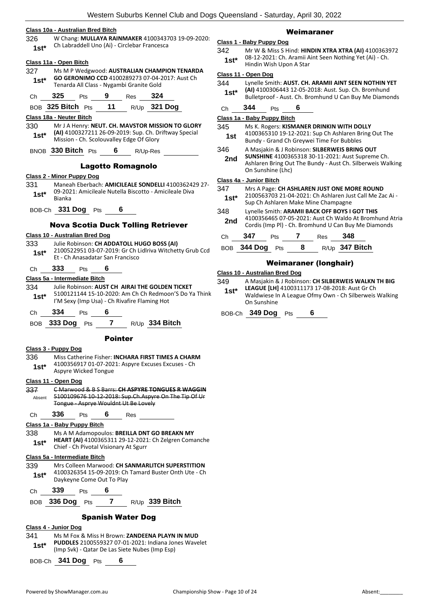#### **Class 10a - Australian Bred Bitch**

326 W Chang: **MULLAYA RAINMAKER** 4100343703 19-09-2020: Ch Labraddell Uno (Ai) - Circlebar Francesca **1st\***

#### **Class 11a - Open Bitch**

- 327 Ms M P Wedgwood: **AUSTRALIAN CHAMPION TENARDA GO GERONIMO CCD** 4100289273 07-04-2017: Aust Ch Tenarda All Class - Nygambi Granite Gold **1st\***
- Ch **325** Pts **9** Res **324**

BOB **325 Bitch** Pts **11** R/Up **321 Dog**

- **Class 18a - Neuter Bitch**
- 330 Mr J A Henry: **NEUT. CH. MAVSTOR MISSION TO GLORY (AI)** 4100327211 26-09-2019: Sup. Ch. Driftway Special 1st\* (AI) 4100327211 26-09-2019: Sup. Cn. D<br>Mission - Ch. Scolouvalley Edge Of Glory

BNOB **330 Bitch** Pts **6** R/Up-Res

#### Lagotto Romagnolo

#### **Class 2 - Minor Puppy Dog**

- 331 Maneah Eberbach: **AMICILEALE SONDELLI** 4100362429 27- 09-2021: Amicileale Nutella Biscotto - Amicileale Diva Bianka **1st\***
- BOB-Ch **331 Dog** Pts **6**

#### Nova Scotia Duck Tolling Retriever

#### **Class 10 - Australian Bred Dog**

333 Julie Robinson: **CH ADDATOLL HUGO BOSS (AI)** 2100522951 03-07-2019: Gr Ch Lidlriva Witchetty Grub Ccd Et - Ch Anasadatar San Francisco **1st\***

Ch **333** Pts **6**

#### **Class 5a - Intermediate Bitch**

- 334 Julie Robinson: **AUST CH AIRAI THE GOLDEN TICKET** 5100121144 15-10-2020: Am Ch Ch Redmoon'S Do Ya Think <sup>I</sup>'M Sexy (Imp Usa) - Ch Rivafire Flaming Hot **1st\***
- Ch **334** Pts **6**
- BOB **333 Dog** Pts **7** R/Up **334 Bitch**

#### Pointer

- **Class 3 - Puppy Dog**
- 336 Miss Catherine Fisher: **INCHARA FIRST TIMES A CHARM** 4100356917 01-07-2021: Aspyre Excuses Excuses - Ch Aspyre Wicked Tongue **1st\***

#### **Class 11 - Open Dog**

337 C Marwood & B S Barrs: **CH ASPYRE TONGUES R WAGGIN** 5100109676 10-12-2018: Sup.Ch.Aspyre On The Tip Of Ur Tongue - Asprye Wouldnt Ut Be Lovely Absent Ch **336** Pts **6** Res **Class 1a - Baby Puppy Bitch**

338 Ms A M Adamopoulos: **BREILLA DNT GO BREAKN MY HEART (AI)** 4100365311 29-12-2021: Ch Zelgren Comanche **1st\*** HEARI (AI) 4100365311 29-12-2021<br>Chief - Ch Pivotal Visionary At Sgurr

#### **Class 5a - Intermediate Bitch**

- 339 Mrs Colleen Marwood: **CH SANMARLITCH SUPERSTITION** 4100326354 15-09-2019: Ch Tamard Buster Onth Ute - Ch Daykeyne Come Out To Play **1st\***
- Ch **339** Pts **6**
- BOB **336 Dog** Pts **7** R/Up **339 Bitch**

#### Spanish Water Dog

#### **Class 4 - Junior Dog**

341 Ms M Fox & Miss H Brown: **ZANDEENA PLAYN IN MUD PUDDLES** 2100559327 07-01-2021: Indiana Jones Wavelet (Imp Svk) - Qatar De Las Siete Nubes (Imp Esp) **1st\***

#### BOB-Ch **341 Dog** Pts **6**

#### Weimaraner

#### **Class 1 - Baby Puppy Dog**

342 Mr W & Miss S Hind: **HINDIN XTRA XTRA (AI)** 4100363972 08-12-2021: Ch. Aramii Aint Seen Nothing Yet (Ai) - Ch. 1st<sup>\*</sup> U8-12-2021: Ch. Aramii A<br>Hindin Wish Upon A Star

#### **Class 11 - Open Dog**

- 344 Lynelle Smith: **AUST. CH. ARAMII AINT SEEN NOTHIN YET (AI)** 4100306443 12-05-2018: Aust. Sup. Ch. Bromhund **1st\*** (Al) 4100306443 12-05-2018: Aust. Sup. Ch. Bromhund<br>Bulletproof - Aust. Ch. Bromhund U Can Buy Me Diamonds
	-

## Ch **344** Pts **6**

- **Class 1a - Baby Puppy Bitch** 345 Ms K. Rogers: **KISMANER DRINKIN WITH DOLLY**
- 4100365310 19-12-2021: Sup Ch Ashlaren Bring Out The **1st** 4100365310 19-12-2021: Sup Ch Ashiaren Biomagne Bundy - Grand Ch Greywei Time For Bubbles
- 346 A Masjakin & J Robinson: **SILBERWEIS BRING OUT**
- **SUNSHINE** 4100365318 30-11-2021: Aust Supreme Ch. Ashlaren Bring Out The Bundy - Aust Ch. Silberweis Walking On Sunshine (Lhc) **2nd**

#### **Class 4a - Junior Bitch**

| 347<br>$1st*$ |         |     | Sup Ch Ashlaren Make Mine Champagne | Mrs A Page: CH ASHLAREN JUST ONE MORE ROUND<br>2100563703 21-04-2021: Ch Ashlaren Just Call Me Zac Ai -                                                          |
|---------------|---------|-----|-------------------------------------|------------------------------------------------------------------------------------------------------------------------------------------------------------------|
| 348<br>2nd    |         |     |                                     | Lynelle Smith: ARAMII BACK OFF BOYS I GOT THIS<br>4100356465 07-05-2021: Aust Ch Waldo At Bromhund Atria<br>Cordis (Imp PI) - Ch. Bromhund U Can Buy Me Diamonds |
| Сh            | 347     | Pts | Res                                 | 348                                                                                                                                                              |
|               | 344 Dog | Pts | R/Up                                | 347 Bitch                                                                                                                                                        |

### Weimaraner (longhair)

#### **Class 10 - Australian Bred Dog**

- 349 A Masjakin & J Robinson: **CH SILBERWEIS WALKN TH BIG LEAGUE [LH]** 4100311173 17-08-2018: Aust Gr Ch **1st\***
	- Waldwiese In A League Ofmy Own Ch Silberweis Walking On Sunshine

BOB-Ch **349 Dog** Pts **6**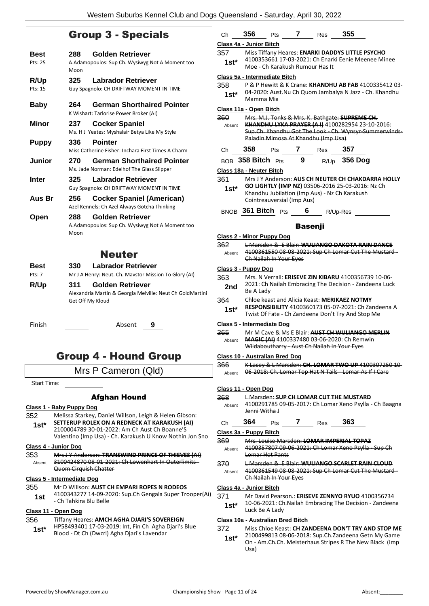### Group 3 - Specials

| Best         | 288         | Golden Retriever                                                                 |
|--------------|-------------|----------------------------------------------------------------------------------|
| Pts: 25      | Moon        | A.Adamopoulos: Sup Ch. Wysiwyg Not A Moment too                                  |
| R/Up         | 325         | Labrador Retriever                                                               |
| Pts: 15      |             | Guy Spagnolo: CH DRIFTWAY MOMENT IN TIME                                         |
| Baby         | 264         | <b>German Shorthaired Pointer</b><br>K Wishart: Tarlorise Power Broker (AI)      |
| Minor        | 237         | <b>Cocker Spaniel</b><br>Ms. H J Yeates: Myshalair Betya Like My Style           |
| Puppy        | 336         | <b>Pointer</b><br>Miss Catherine Fisher: Inchara First Times A Charm             |
| Junior       | 270         | <b>German Shorthaired Pointer</b><br>Ms. Jade Norman: Edelhof The Glass Slipper  |
| <b>Inter</b> | 325.        | <b>Labrador Retriever</b><br>Guy Spagnolo: CH DRIFTWAY MOMENT IN TIME            |
| Aus Br       | 256         | <b>Cocker Spaniel (American)</b><br>Azel Kennels: Ch Azel Always Gotcha Thinking |
| Open         | 288<br>Moon | Golden Retriever<br>A.Adamopoulos: Sup Ch. Wysiwyg Not A Moment too              |
|              |             | Neuter                                                                           |

### Neuter

| <b>Best</b> | 330 | <b>Labrador Retriever</b>                                 |
|-------------|-----|-----------------------------------------------------------|
| Pts: 7      |     | Mr J A Henry: Neut. Ch. Mavstor Mission To Glory (AI)     |
| R/Up        | 311 | Golden Retriever                                          |
|             |     | Alexandria Martin & Georgia Melville: Neut Ch GoldMartini |
|             |     | Get Off My Kloud                                          |
|             |     |                                                           |

Finish Absent **9**

### Group 4 - Hound Group

### Mrs P Cameron (Qld)

Start Time:

#### Afghan Hound

#### **Class 1 - Baby Puppy Dog**

- 352 Melissa Starkey, Daniel Willson, Leigh & Helen Gibson: **SETTERUP ROLEX ON A REDNECK AT KARAKUSH (AI)**
- 2100004789 30-01-2022: Am Ch Aust Ch Boanne'S Valentino (Imp Usa) - Ch. Karakush U Know Nothin Jon Sno **1st\***

#### **Class 4 - Junior Dog**

353 Mrs J Y Anderson: **TRANSWIND PRINCE OF THIEVES (AI)** 3100424870 08-01-2021: Ch Lowenhart In Outerlimits - Quom Cirquish Chatter Absent

### **Class 5 - Intermediate Dog**

- 355 Mr D Willson: **AUST CH EMPARI ROPES N RODEOS**
	- 4100343277 14-09-2020: Sup.Ch Gengala Super Trooper(Ai) - Ch Tahkira Blu Belle **1st**

#### **Class 11 - Open Dog**

- 356 Tiffany Heares: **AMCH AGHA DJARI'S SOVEREIGN**
	- HP58493401 17-03-2019: Int, Fin Ch Agha Djari's Blue **1st**\* HP58493401 17-03-2019: Int, Fin Ch Agha I<br>Blood - Dt Ch (Dwzrl) Agha Djari's Lavendar

| Ch             | <b>7</b> Res 355<br>356<br>Pts                                                                                                                                                                       |
|----------------|------------------------------------------------------------------------------------------------------------------------------------------------------------------------------------------------------|
|                | Class 4a - Junior Bitch                                                                                                                                                                              |
| 357<br>1st*    | Miss Tiffany Heares: ENARKI DADDYS LITTLE PSYCHO<br>4100353661 17-03-2021: Ch Enarki Eenie Meenee Minee<br>Moe - Ch Karakush Rumour Has It                                                           |
|                | Class 5a - Intermediate Bitch                                                                                                                                                                        |
| 358            | P & P Hewitt & K Crane: KHANDHU AB FAB 4100335412 03-                                                                                                                                                |
| $1st*$         | 04-2020: Aust. Nu Ch Quom Jambalya N Jazz - Ch. Khandhu<br>Mamma Mia                                                                                                                                 |
|                | Class 11a - Open Bitch                                                                                                                                                                               |
| 360<br>Absent  | Mrs. M.J. Tonks & Mrs. K. Bathgate: SUPREME CH.<br>KHANDHU LYKA PRAYER (A I) 4100282954 23-10-2016:<br>Sup.Ch. Khandhu Got The Look - Ch. Wynsyr-Summerwinds-<br>Paladin Mimosa At Khandhu (Imp Usa) |
| Ch 358         | Pts 7 Res 357                                                                                                                                                                                        |
|                | 9 R/Up 356 Dog<br>BOB 358 Bitch Pts                                                                                                                                                                  |
|                | <b>Class 18a - Neuter Bitch</b>                                                                                                                                                                      |
| 361<br>$1st^*$ | Mrs J Y Anderson: AUS CH NEUTER CH CHAKDARRA HOLLY<br>GO LIGHTLY (IMP NZ) 03506-2016 25-03-2016: Nz Ch<br>Khandhu Jubilation (Imp Aus) - Nz Ch Karakush<br>Cointreauversial (Imp Aus)                |
|                | BNOB 361 Bitch Pts 6 R/Up-Res                                                                                                                                                                        |
|                | <b>Basenji</b>                                                                                                                                                                                       |
|                | <b>Class 2 - Minor Puppy Dog</b>                                                                                                                                                                     |
| 362            | L Marsden & E Blair: WULIANGO DAKOTA RAIN DANCE                                                                                                                                                      |
| Absent         | 4100361550 08-08-2021: Sup Ch Lomar Cut The Mustard-                                                                                                                                                 |
|                | Ch Nailah In Your Eyes                                                                                                                                                                               |
|                | Class 3 - Puppy Dog                                                                                                                                                                                  |
| 363            | Mrs. N Verrall: ERISEVE ZIN KIBARU 4100356739 10-06-                                                                                                                                                 |
| 2nd            | 2021: Ch Nailah Embracing The Decision - Zandeena Luck<br>Be A Lady                                                                                                                                  |
| 364            | Chloe keast and Alicia Keast: MERIKAEZ NOTMY                                                                                                                                                         |
| $1st*$         | <b>RESPONSIBILITY 4100360173 05-07-2021: Ch Zandeena A</b><br>Twist Of Fate - Ch Zandeena Don't Try And Stop Me                                                                                      |
|                | Class 5 - Intermediate Dog                                                                                                                                                                           |
| 365            | Mr M Cave & Ms E Blair: AUST CH WULIANGO MERLIN                                                                                                                                                      |
| Absent         | MAGIC (AI) 4100337480 03 06 2020: Ch Remwin<br>Wildaboutharry - Aust Ch Nailah In Your Eyes                                                                                                          |
|                | <u> Class 10 - Australian Bred Dog</u>                                                                                                                                                               |
| 366            | K Lacey & L Marsden: CH. LOMAR TWO UP 4100307250 10-                                                                                                                                                 |
| Absent         | 06-2018: Ch. Lomar Top Hat N Tails Lomar As If I Care                                                                                                                                                |
|                | Class 11 - Open Dog                                                                                                                                                                                  |
| 368            | <b>L Marsden: SUP CH LOMAR CUT THE MUSTARD</b>                                                                                                                                                       |
| Absent         | 4100291785 09-05-2017: Ch Lomar Xeno Psylla - Ch Baagna<br><del>Jenni Witha J</del>                                                                                                                  |
| Сh             | 364<br>363<br>7<br>Pts<br>Res                                                                                                                                                                        |
|                | Class 3a - Puppy Bitch                                                                                                                                                                               |
| 369            | Mrs. Louise Marsden: LOMAR IMPERIAL TOPAZ<br>4100357807 09-06-2021: Ch Lomar Xeno Psylla - Sup Ch                                                                                                    |
| Absent         | Lomar Hot Pants                                                                                                                                                                                      |
| 370            | L Marsden & E Blair: WULIANGO SCARLET RAIN CLOUD                                                                                                                                                     |
| Absent         | 4100361549 08-08-2021: Sup Ch Lomar Cut The Mustard-<br>Ch Nailah In Your Eyes                                                                                                                       |
|                | Class 4a - Junior Bitch                                                                                                                                                                              |
| 371            | Mr David Pearson.: ERISEVE ZENNYO RYUO 4100356734                                                                                                                                                    |
| $1st*$         | 10-06-2021: Ch.Nailah Embracing The Decision - Zandeena                                                                                                                                              |
|                | Luck Be A Lady<br>Class 10a - Australian Bred Bitch                                                                                                                                                  |

372 Miss Chloe Keast: **CH ZANDEENA DON'T TRY AND STOP ME** 2100499813 08-06-2018: Sup.Ch.Zandeena Getn My Game On - Am.Ch.Ch. Meisterhaus Stripes R The New Black (Imp **1st\***

Usa)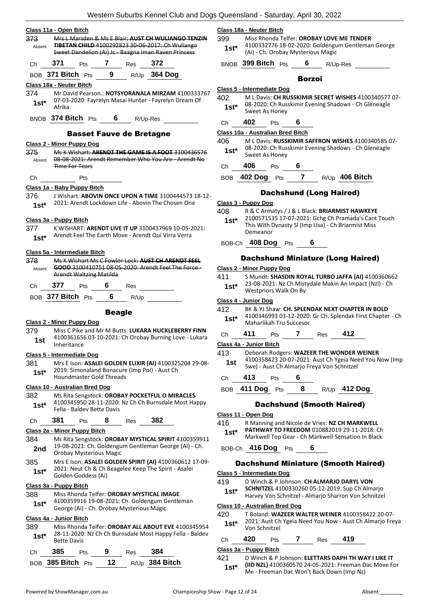| 373.<br>Absent | Mrs L Marsden & Ms E Blair: AUST CH WULIANGO TENZIN<br>TIBETAN CHILD 4100292823 30-06-2017: Ch Wuliango<br>Sweet Dandelion (Ai) Jc - Baagna Iman Raven Princess | Class 18<br>399<br>$1st^*$ |
|----------------|-----------------------------------------------------------------------------------------------------------------------------------------------------------------|----------------------------|
| Сh             | 371<br><b>7</b> Res 372<br>Pts                                                                                                                                  | <b>BNOB</b>                |
|                | BOB 371 Bitch Pts 9 R/Up 364 Dog                                                                                                                                |                            |
|                | Class 18a - Neuter Bitch                                                                                                                                        |                            |
| 374<br>$1st^*$ | Mr David Pearson.: NOTSYORANALA MIRZAM 4100333767<br>07-03-2020: Fayrelyn Masai Hunter - Fayrelyn Dream Of<br>Afrika                                            | Class 5 -<br>402<br>1st*   |
|                | BNOB 374 Bitch Pts 6 R/Up-Res                                                                                                                                   | Ch                         |
|                | <b>Basset Fauve de Bretagne</b>                                                                                                                                 | Class 10                   |
|                | <b>Class 2 - Minor Puppy Dog</b>                                                                                                                                | 406                        |
| 375            | Ms K Wishart: ARENDT THE GAME IS A FOOT 3100436576                                                                                                              | 1st*                       |
| Absent         | 08 08 2021: Arendt Remember Who You Are Arendt No<br><b>Time For Tears</b>                                                                                      | Ch                         |
|                |                                                                                                                                                                 |                            |
| Ch             | Pts                                                                                                                                                             | BOB                        |
| 376            | Class 1a - Baby Puppy Bitch<br>J Wishart: ABOVIN ONCE UPON A TIME 3100444573 18-12-                                                                             |                            |
| $1st^*$        | 2021: Arendt Lockdown Life - Abovin The Chosen One                                                                                                              | Class 3 -<br>408           |
|                | Class 3a - Puppy Bitch                                                                                                                                          | 1st*                       |
| 377            | K WISHART: ARENDT LIVE IT UP 3100437969 10-05-2021:                                                                                                             |                            |
| $1st^*$        | Arendt Feel The Earth Move - Arendt Qui Virra Verra                                                                                                             | <b>BOB-CI</b>              |
|                | <u> Class 5a - Intermediate Bitch</u>                                                                                                                           |                            |
| 378<br>Absent  | Ms K Wishart Ms C Fowler-Lock: AUST CH ARENDT FEEL<br>GOOD 3100410751 08 05 2020: Arendt Feel The Force-<br><b>Arendt Waltzing Matilda</b>                      | Class 2 -                  |
|                |                                                                                                                                                                 | 411                        |
|                | Ch $377$ Pts 6 Res                                                                                                                                              | $1st^*$                    |
|                | BOB 377 Bitch Pts 6<br>R/Up                                                                                                                                     | Class 4 -<br>412           |
|                | <b>Beagle</b>                                                                                                                                                   | 1st*                       |
| 379            | <b>Class 2 - Minor Puppy Dog</b>                                                                                                                                |                            |
| 1st            | Miss C Pike and Mr M Butts: LUKARA HUCKLEBERRY FINN<br>4100361656 03-10-2021: Ch Orobay Burning Love - Lukara<br>Inheritance                                    | Ch<br><u>Class 4a</u>      |
|                | Class 5 - Intermediate Dog                                                                                                                                      | 413                        |
| 381<br>1st*    | Mrs E Ison: ASALEI GOLDEN ELIXIR (AI) 4100325204 29-08-<br>2019: Simonaland Bonacure (Imp Pol) - Aust Ch                                                        | 1st                        |
|                | <b>Houndmaster Gold Threads</b>                                                                                                                                 | Ch                         |
|                | Class 10 - Australian Bred Dog                                                                                                                                  | BOB                        |
| 382<br>1st*    | Ms Rita Sengstock: OROBAY POCKETFUL O MIRACLES<br>4100345950 28-11-2020: Nz Ch Ch Burnsdale Most Happy<br>Fella - Baldev Bette Davis                            |                            |
| Ch             | 381<br>8<br>382<br><b>Pts</b><br>Res                                                                                                                            | Class 11                   |
|                | Class 2a - Minor Puppy Bitch                                                                                                                                    | 416                        |
| 384            | Ms Rita Sengstock: OROBAY MYSTICAL SPIRIT 4100359911                                                                                                            | $1st^*$                    |
| 2nd            | 19-08-2021: Ch. Goldengum Gentleman George (Al) - Ch.<br>Orobay Mysterious Magic                                                                                | <b>BOB-CI</b>              |
| 385            | Mrs E Ison: ASALEI GOLDEN SPIRIT (AI) 4100360612 17-09-                                                                                                         | D                          |
| $1st^*$        | 2021: Neut Ch & Ch Beagelee Keep The Spirit - Asalei<br>Golden Goddess (Ai)                                                                                     | Class 5 -<br>419           |
|                | Class 3a - Puppy Bitch                                                                                                                                          | 1st*                       |
| 388            | Miss Rhonda Telfer: OROBAY MYSTICAL IMAGE<br>4100359916 19-08-2021: Ch. Goldengum Gentleman                                                                     |                            |
| $1st^*$        | George (Ai) - Ch. Orobay Mysterious Magic<br>Class 4a - Junior Bitch                                                                                            | Class 10<br>420            |
| 389            | Miss Rhonda Telfer: OROBAY ALL ABOUT EVE 4100345954                                                                                                             | 1st*                       |
| $1st^*$        | 28-11-2020: Nz Ch Ch Burnsdale Most Happy Fella - Baldev<br><b>Bette Davis</b>                                                                                  | Сh                         |
|                |                                                                                                                                                                 |                            |

#### Powered by ShowManager.com.au examples and the Championship Show - Page 12 of 24 Absent:

BOB **385 Bitch** Pts **12** R/Up **384 Bitch**

#### **Class 18a - Neuter Bitch**

399 Miss Rhonda Telfer: **OROBAY LOVE ME TENDER** 4100332776 18-02-2020: Goldengum Gentleman George (Ai) - Ch. Orobay Mysterious Magic **1st\***

**399 Bitch** Pts **6** R/Up-Res

### Borzoi

- **Class 5 - Intermediate Dog** 402 M L Davis: **CH RUSSKIMIR SECRET WISHES** 4100340577 07- 08-2020: Ch Russkimir Evening Shadows - Ch Gleneagle **Sweet As Honey**
- Ch **402** Pts **6**

#### **Class 10a - Australian Bred Bitch**

406 M L Davis: **RUSSKIMIR SAFFRON WISHES** 4100340585 07- 08-2020: Ch Russkimir Evening Shadows - Ch Gleneagle **Sweet As Honey** 

#### Ch **406** Pts **6**

BOB **402 Dog** Pts **7** R/Up **406 Bitch**

#### Dachshund (Long Haired)

#### **Class 3 - Puppy Dog**

- 408 R & C Armatys / J & L Black: **BRIARMIST HAWKEYE**
- 2100571535 17-07-2021: Gchg Ch Pramada's Cant Touch This With Dynasty Sl (Imp Usa) - Ch Briarmist Miss Demeanor

BOB-Ch **408 Dog** Pts **6**

#### Dachshund Miniature (Long Haired)

#### **Minor Puppy Dog**

411 S Mundt: **SHASDIN ROYAL TURBO JAFFA (AI)** 4100360662 23-08-2021: Nz Ch Mistydale Makin An Impact (Nzl) - Ch **Westpriors Walk On By** 

#### **Class 4 - Junior Dog**

BK & YJ Shaw: CH. SPLENDAK NEXT CHAPTER IN BOLD 4100346993 03-12-2020: Gr Ch. Splendak First Chapter - Ch **Maharlikah Tru Succesor** 

#### Ch **411** Pts **7** Res **412**

#### **Class 4a - Junior Bitch**

413 Deborah Rodgers: **WAZEER THE WONDER WEINER** 4100358423 20-07-2021: Aust Ch Ygeia Need You Now (Imp Swe) - Aust Ch Almarjo Freya Von Schnitzel

Ch **413** Pts **6**

BOB **411 Dog** Pts **8** R/Up **412 Dog**

#### Dachshund (Smooth Haired)

- **Class 11 - Open Dog**
- 416 R Manning and Nicole de Vries: **NZ CH MARKWELL PATHWAY TO FREEDOM** 010882019 29-11-2018: Ch **Markwell Top Gear - Ch Markwell Sensation In Black**

BOB-Ch **416 Dog** Pts **6**

#### achshund Miniature (Smooth Haired)

#### **Class 5 - Intermediate Dog**

- 419 D Winch & P Johnson: **CH ALMARJO DARYL VON**
- **SCHNITZEL** 4100330260 05-12-2019: Sup Ch Almarjo Harvey Von Schnitzel - Almarjo Sharron Von Schnitzel **1st\***

#### **Class 10 - Australian Bred Dog**

420 T Boland: **WAZEER WALTER WEINER** 4100358422 20-07- 2021: Aust Ch Ygeia Need You Now - Aust Ch Almarjo Freya Von Schnitzel **1st\***

| Ch | 420 | Pts | Res | 419 |
|----|-----|-----|-----|-----|
|    |     |     |     |     |

#### **Class 3a - Puppy Bitch**

421 D Winch & P Johnson: **ELETTARS DAPH TH WAY I LIKE IT (IID NZL)** 4100360570 24-05-2021: Freeman Dac Move For Me - Freeman Dac Won't Back Down (Imp Nz) **1st\***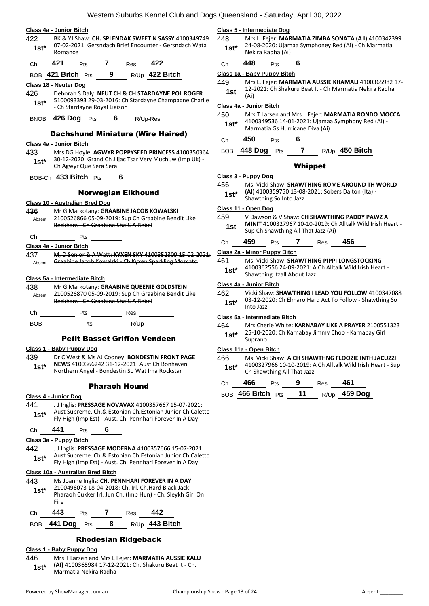|                                                                                                                                                                                                                                                                                                                                                                                                                                   | vvestern Suburbs Kennel Club and Dogs Queensland - Saturday, April 30, 2022                                                                                                            |
|-----------------------------------------------------------------------------------------------------------------------------------------------------------------------------------------------------------------------------------------------------------------------------------------------------------------------------------------------------------------------------------------------------------------------------------|----------------------------------------------------------------------------------------------------------------------------------------------------------------------------------------|
| Class 4a - Junior Bitch                                                                                                                                                                                                                                                                                                                                                                                                           | Class 5 - Intermediate Dog                                                                                                                                                             |
| 422<br>BK & YJ Shaw: CH. SPLENDAK SWEET N SASSY 4100349749<br>07-02-2021: Gersndach Brief Encounter - Gersndach Wata<br>$1st*$<br>Romance                                                                                                                                                                                                                                                                                         | 448<br>Mrs L. Fejer: MARMATIA ZIMBA SONATA (AI) 4100342399<br>24-08-2020: Ujamaa Symphoney Red (Ai) - Ch Marmatia<br>$1st*$<br>Nekira Radha (Ai)                                       |
| 421<br>Pts 7 Res 422<br>Ch                                                                                                                                                                                                                                                                                                                                                                                                        | 448<br>- 6<br>Pts<br>Ch                                                                                                                                                                |
| BOB 421 Bitch Pts 9 R/Up 422 Bitch                                                                                                                                                                                                                                                                                                                                                                                                | Class 1a - Baby Puppy Bitch                                                                                                                                                            |
|                                                                                                                                                                                                                                                                                                                                                                                                                                   | 449<br>Mrs L. Fejer: MARMATIA AUSSIE KHAMALI 4100365982 17-                                                                                                                            |
| Class 18 - Neuter Dog<br>426<br>Deborah S Daly: NEUT CH & CH STARDAYNE POL ROGER<br>5100093393 29-03-2016: Ch Stardayne Champagne Charlie                                                                                                                                                                                                                                                                                         | 12-2021: Ch Shakuru Beat It - Ch Marmatia Nekira Radha<br>1st<br>(Ai)                                                                                                                  |
| $1st^*$<br>- Ch Stardayne Royal Liaison                                                                                                                                                                                                                                                                                                                                                                                           | Class 4a - Junior Bitch                                                                                                                                                                |
| BNOB 426 Dog Pts 6 R/Up-Res                                                                                                                                                                                                                                                                                                                                                                                                       | 450<br>Mrs T Larsen and Mrs L Fejer: MARMATIA RONDO MOCCA<br>4100349536 14-01-2021: Ujamaa Symphony Red (Ai) -<br>$1st^*$<br>Marmatia Gs Hurricane Diva (Ai)                           |
| <b>Dachshund Miniature (Wire Haired)</b>                                                                                                                                                                                                                                                                                                                                                                                          |                                                                                                                                                                                        |
| Class 4a - Junior Bitch                                                                                                                                                                                                                                                                                                                                                                                                           | 450<br>Pts $6$<br>Ch                                                                                                                                                                   |
| 433<br>Mrs DG Hoyle: AGWYR POPPYSEED PRINCESS 4100350364<br>30-12-2020: Grand Ch Jiljac Tsar Very Much Jw (Imp Uk) -<br>$1st^*$                                                                                                                                                                                                                                                                                                   | BOB 448 Dog Pts 7 R/Up 450 Bitch                                                                                                                                                       |
| Ch Agwyr Que Sera Sera                                                                                                                                                                                                                                                                                                                                                                                                            | <b>Whippet</b>                                                                                                                                                                         |
| BOB-Ch 433 Bitch Pts 6                                                                                                                                                                                                                                                                                                                                                                                                            | Class 3 - Puppy Dog<br>456<br>Ms. Vicki Shaw: SHAWTHING ROME AROUND TH WORLD                                                                                                           |
| <b>Norwegian Elkhound</b>                                                                                                                                                                                                                                                                                                                                                                                                         | (AI) 4100359750 13-08-2021: Sobers Dalton (Ita) -<br>$1st*$<br>Shawthing So Into Jazz                                                                                                  |
| Class 10 - Australian Bred Dog                                                                                                                                                                                                                                                                                                                                                                                                    | Class 11 - Open Dog                                                                                                                                                                    |
| Mr G Markotany: GRAABINE JACOB KOWALSKI<br>436<br>2100526866 05-09-2019: Sup Ch Graabine Bendit Like<br>Absent<br>Beckham Ch Graabine She'S A Rebel                                                                                                                                                                                                                                                                               | 459<br>V Dawson & V Shaw: CH SHAWTHING PADDY PAWZ A<br>MINIT 4100327967 10-10-2019: Ch Alltalk Wild Irish Heart -<br>1st<br>Sup Ch Shawthing All That Jazz (Ai)                        |
| Ch<br>Pts<br>$\overline{\phantom{a}}$                                                                                                                                                                                                                                                                                                                                                                                             | 456<br><b>459</b> Pts 7 Res<br>Ch                                                                                                                                                      |
| Class 4a - Junior Bitch                                                                                                                                                                                                                                                                                                                                                                                                           |                                                                                                                                                                                        |
| 437<br>M. D Senior & A Watt: KYXEN SKY 4100352309 15-02-2021:<br>Graabine Jacob Kowalski - Ch Kyxen Sparkling Moscato<br>Absent                                                                                                                                                                                                                                                                                                   | Class 2a - Minor Puppy Bitch<br>461<br>Ms. Vicki Shaw: SHAWTHING PIPPI LONGSTOCKING<br>4100362556 24-09-2021: A Ch Alltalk Wild Irish Heart -<br>$1st*$<br>Shawthing Itzall About Jazz |
| Class 5a - Intermediate Bitch                                                                                                                                                                                                                                                                                                                                                                                                     | Class 4a - Junior Bitch                                                                                                                                                                |
| 438<br>Mr G Markotany: GRAABINE QUEENIE GOLDSTEIN<br>2100526870 05 09 2019: Sup Ch Graabine Bendit Like<br>Absent<br>Beckham - Ch Graabine She'S A Rebel                                                                                                                                                                                                                                                                          | 462<br>Vicki Shaw: SHAWTHING I LEAD YOU FOLLOW 4100347088<br>03-12-2020: Ch Elmaro Hard Act To Follow - Shawthing So<br>$1st*$<br>Into Jazz                                            |
| Pts<br>$\frac{1}{\sqrt{1-\frac{1}{2}}\sqrt{1-\frac{1}{2}}\sqrt{1-\frac{1}{2}}\sqrt{1-\frac{1}{2}}\sqrt{1-\frac{1}{2}}\sqrt{1-\frac{1}{2}}\sqrt{1-\frac{1}{2}}\sqrt{1-\frac{1}{2}}\sqrt{1-\frac{1}{2}}\sqrt{1-\frac{1}{2}}\sqrt{1-\frac{1}{2}}\sqrt{1-\frac{1}{2}}\sqrt{1-\frac{1}{2}}\sqrt{1-\frac{1}{2}}\sqrt{1-\frac{1}{2}}\sqrt{1-\frac{1}{2}}\sqrt{1-\frac{1}{2}}\sqrt{1-\frac{1}{2}}\sqrt{1-\frac{1}{2}}\sqrt{1-\frac$<br>Ch | Class 5a - Intermediate Bitch                                                                                                                                                          |
| BOB Pts R/Up                                                                                                                                                                                                                                                                                                                                                                                                                      | 464<br>Mrs Cherie White: KARNABAY LIKE A PRAYER 2100551323<br>1st* 25-10-2020: Ch Karnabay Jimmy Choo - Karnabay Girl                                                                  |
| <b>Petit Basset Griffon Vendeen</b>                                                                                                                                                                                                                                                                                                                                                                                               | Suprano                                                                                                                                                                                |
| Class 1 - Baby Puppy Dog                                                                                                                                                                                                                                                                                                                                                                                                          | Class 11a - Open Bitch                                                                                                                                                                 |
| 439<br>Dr C West & Ms AJ Cooney: BONDESTIN FRONT PAGE<br>NEWS 4100366242 31-12-2021: Aust Ch Bonhaven<br>$1st^*$<br>Northern Angel - Bondestin So Wat Ima Rockstar                                                                                                                                                                                                                                                                | 466<br>Ms. Vicki Shaw: A CH SHAWTHNG FLOOZIE INTH JACUZZI<br>4100327966 10-10-2019: A Ch Alltalk Wild Irish Heart - Sup<br>$1st^*$<br>Ch Shawthing All That Jazz                       |
| <b>Pharaoh Hound</b>                                                                                                                                                                                                                                                                                                                                                                                                              | 9<br>461<br>466<br>Pts<br><b>Res</b><br>Ch                                                                                                                                             |
| Class 4 - Junior Dog                                                                                                                                                                                                                                                                                                                                                                                                              | BOB 466 Bitch Pts<br>11<br>R/Up 459 Dog                                                                                                                                                |
| 441<br>J J Inglis: PRESSAGE NOVAVAX 4100357667 15-07-2021:<br>Aust Supreme. Ch.& Estonian Ch.Estonian Junior Ch Caletto<br>$1st^*$                                                                                                                                                                                                                                                                                                |                                                                                                                                                                                        |
| Fly High (Imp Est) - Aust. Ch. Pennhari Forever In A Day<br>441<br>6<br>Pts                                                                                                                                                                                                                                                                                                                                                       |                                                                                                                                                                                        |
| Ch                                                                                                                                                                                                                                                                                                                                                                                                                                |                                                                                                                                                                                        |
| Class 3a - Puppy Bitch<br>442.                                                                                                                                                                                                                                                                                                                                                                                                    |                                                                                                                                                                                        |
| J J Inglis: PRESSAGE MODERNA 4100357666 15-07-2021:<br>Aust Supreme. Ch.& Estonian Ch.Estonian Junior Ch Caletto<br>$1st^*$<br>Fly High (Imp Est) - Aust. Ch. Pennhari Forever In A Day                                                                                                                                                                                                                                           |                                                                                                                                                                                        |
| Class 10a - Australian Bred Bitch                                                                                                                                                                                                                                                                                                                                                                                                 |                                                                                                                                                                                        |

- 443 Ms Joanne Inglis: **CH. PENNHARI FOREVER IN A DAY** 2100496073 18-04-2018: Ch. Irl. Ch.Hard Black Jack Pharaoh Cukker Irl. Jun Ch. (Imp Hun) - Ch. Sleykh Girl On Fire **1st\***
- Ch **443** Pts **7** Res **442**
- BOB **441 Dog** Pts **8** R/Up **443 Bitch**

### Rhodesian Ridgeback

### **Class 1 - Baby Puppy Dog**

- 446 Mrs T Larsen and Mrs L Fejer: **MARMATIA AUSSIE KALU (AI)** 4100365984 17-12-2021: Ch. Shakuru Beat It - Ch.
- Marmatia Nekira Radha **1st\***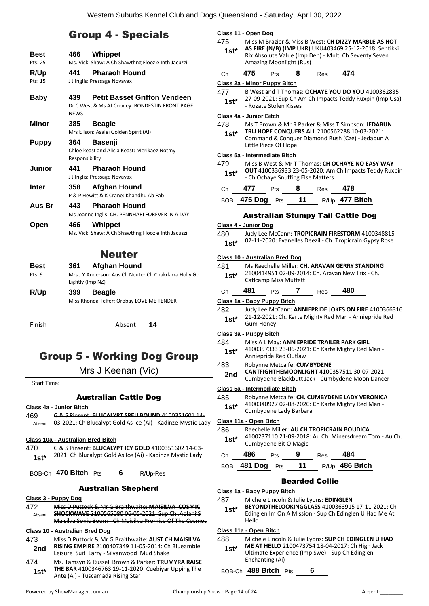### Group 4 - Specials

| <b>Best</b><br>Pts: 25 | 466<br>Whippet<br>Ms. Vicki Shaw: A Ch Shawthng Floozie Inth Jacuzzi                                        |
|------------------------|-------------------------------------------------------------------------------------------------------------|
| R/Up                   | <b>Pharaoh Hound</b><br>441                                                                                 |
| Pts: 15                | J J Inglis: Pressage Novavax                                                                                |
| <b>Baby</b>            | <b>Petit Basset Griffon Vendeen</b><br>439<br>Dr C West & Ms AJ Cooney: BONDESTIN FRONT PAGE<br><b>NFWS</b> |
| Minor                  | 385<br><b>Beagle</b><br>Mrs E Ison: Asalei Golden Spirit (AI)                                               |
| <b>Puppy</b>           | 364<br><b>Basenji</b><br>Chloe keast and Alicia Keast: Merikaez Notmy<br>Responsibility                     |
| <b>Junior</b>          | <b>Pharaoh Hound</b><br>441<br>J J Inglis: Pressage Novavax                                                 |
| <b>Inter</b>           | Afghan Hound<br>358<br>P & P Hewitt & K Crane: Khandhu Ab Fab                                               |
| Aus Br                 | <b>Pharaoh Hound</b><br>443<br>Ms Joanne Inglis: CH. PENNHARI FOREVER IN A DAY                              |
| Open                   | 466<br>Whippet<br>Ms. Vicki Shaw: A Ch Shawthng Floozie Inth Jacuzzi                                        |
|                        | Neuter                                                                                                      |
| <b>Best</b><br>Pts: 9  | <b>Afghan Hound</b><br>361<br>Mrs J Y Anderson: Aus Ch Neuter Ch Chakdarra Holly Go<br>Lightly (Imp NZ)     |
| R/Up                   | 399<br><b>Beagle</b><br>Miss Rhonda Telfer: Orobay LOVE ME TENDER                                           |
| Finish                 | Absent<br>14                                                                                                |

### Group 5 - Working Dog Group

Mrs J Keenan (Vic)

Start Time:

#### Australian Cattle Dog

**Class 4a - Junior Bitch**

469 G & S Pinsent: **BLUCALYPT SPELLBOUND** 4100351601 14- Absent 03-2021: Ch Blucalypt Gold As Ice (Ai) - Kadinze Mystic Lady

#### **Class 10a - Australian Bred Bitch**

470 G & S Pinsent: **BLUCALYPT ICY GOLD** 4100351602 14-03- 2021: Ch Blucalypt Gold As Ice (Ai) - Kadinze Mystic Lady **1st\***

BOB-Ch **470 Bitch** Pts **6** R/Up-Res

### Australian Shepherd

#### **Class 3 - Puppy Dog**

472 Miss D Puttock & Mr G Braithwaite: **MAISILVA COSMIC SHOCKWAVE** 2100565080 06-05-2021: Sup Ch .Aolani'S Maisilva Sonic Boom - Ch Maisilva Promise Of The Cosmos Absent

#### **Class 10 - Australian Bred Dog**

- 473 Miss D Puttock & Mr G Braithwaite: **AUST CH MAISILVA RISING EMPIRE** 2100407349 11-05-2014: Ch Blueamble 2nd **KISING EMPIKE 2100407349 11-05-2014**: Crack Leisure Suit Larry - Silvanwood Mud Shake
- 474 Ms. Tamsyn & Russell Brown & Parker: **TRUMYRA RAISE THE BAR** 4100346763 19-11-2020: Cuebiyar Upping The Ante (Ai) - Tuscamada Rising Star **1st\***

#### **Class 11 - Open Dog**

- 475 Miss M Brazier & Miss B West: **CH DIZZY MARBLE AS HOT AS FIRE (N/B) (IMP UKR)** UKU403469 25-12-2018: Sentikki Rix Absolute Value (Imp Den) - Multi Ch Seventy Seven Amazing Moonlight (Rus) **1st\***
	- Ch **475** Pts **8** Res **474**

### **Class 2a - Minor Puppy Bitch**

477 B West and T Thomas: **OCHAYE YOU DO YOU** 4100362835 27-09-2021: Sup Ch Am Ch Impacts Teddy Ruxpin (Imp Usa) 1st<sup>\*</sup> <sup>27-09-2021: Sup Ch Ar<br>Rozate Stolen Kisses -</sup>

#### **Class 4a - Junior Bitch**

478 Ms T Brown & Mr R Parker & Miss T Simpson: **JEDABUN TRU HOPE CONQUERS ALL** 2100562288 10-03-2021: Command & Conquer Diamond Rush (Cze) - Jedabun A Little Piece Of Hope **1st\* Class 5a - Intermediate Bitch** 479 Miss B West & Mr T Thomas: **CH OCHAYE NO EASY WAY OUT** 4100336933 23-05-2020: Am Ch Impacts Teddy Ruxpin 1st\* **001** 4100336933 23-05-2020: Am<br>Ch Ochaye Snuffing Else Matters Ch **477** Pts **8** Res **478** BOB **475 Dog** Pts **11** R/Up **477 Bitch** Australian Stumpy Tail Cattle Dog **Class 4 - Junior Dog** 480 Judy Lee McCann: **TROPICRAIN FIRESTORM** 4100348815 02-11-2020: Evanelles Deezil - Ch. Tropicrain Gypsy Rose **1st\* Class 10 - Australian Bred Dog**

| 481                    |     |                                                                           |   |                       | Ms Raechelle Miller: CH. ARAVAN GERRY STANDING                                                  |                                                        |  |  |
|------------------------|-----|---------------------------------------------------------------------------|---|-----------------------|-------------------------------------------------------------------------------------------------|--------------------------------------------------------|--|--|
| $1st*$                 |     | Caticamp Miss Muffett                                                     |   |                       | 2100414951 02-09-2014: Ch. Aravan New Trix - Ch.                                                |                                                        |  |  |
| Ch                     | 481 | Pts                                                                       | 7 | <b>Res</b>            | 480                                                                                             |                                                        |  |  |
|                        |     | Class 1a - Baby Puppy Bitch                                               |   |                       |                                                                                                 |                                                        |  |  |
| 482                    |     |                                                                           |   |                       |                                                                                                 | Judy Lee McCann: ANNIEPRIDE JOKES ON FIRE 4100366316   |  |  |
| $1st*$                 |     | 21-12-2021: Ch. Karte Mighty Red Man - Anniepride Red<br><b>Gum Honey</b> |   |                       |                                                                                                 |                                                        |  |  |
| Class 3a - Puppy Bitch |     |                                                                           |   |                       |                                                                                                 |                                                        |  |  |
| 484                    |     |                                                                           |   |                       | Miss A L May: ANNIEPRIDE TRAILER PARK GIRL                                                      |                                                        |  |  |
| $1st^*$                |     | Anniepride Red Outlaw                                                     |   |                       | 4100357333 23-06-2021: Ch Karte Mighty Red Man -                                                |                                                        |  |  |
| 483                    |     | Robynne Metcalfe: CUMBYDENE                                               |   |                       |                                                                                                 |                                                        |  |  |
| 2nd                    |     |                                                                           |   |                       | CANTFIGHTHEMOONLIGHT 4100357511 30-07-2021:<br>Cumbydene Blackbutt Jack - Cumbydene Moon Dancer |                                                        |  |  |
|                        |     | Class 5a - Intermediate Bitch                                             |   |                       |                                                                                                 |                                                        |  |  |
| 485                    |     |                                                                           |   |                       | Robynne Metcalfe: CH. CUMBYDENE LADY VERONICA                                                   |                                                        |  |  |
| $1st^*$                |     | Cumbydene Lady Barbara                                                    |   |                       | 4100340927 02-08-2020: Ch Karte Mighty Red Man -                                                |                                                        |  |  |
| Class 11a - Open Bitch |     |                                                                           |   |                       |                                                                                                 |                                                        |  |  |
| 486                    |     |                                                                           |   |                       | Raechelle Miller: AU CH TROPICRAIN BOUDICA                                                      |                                                        |  |  |
| $1st*$                 |     | Cumbydene Bit O Magic                                                     |   |                       |                                                                                                 | 4100237110 21-09-2018: Au Ch. Minersdream Tom - Au Ch. |  |  |
| Ch                     | 486 | Pts                                                                       | 9 | <b>Res</b>            | 484                                                                                             |                                                        |  |  |
|                        |     | BOB 481 Dog Pts 11                                                        |   |                       | R/Up 486 Bitch                                                                                  |                                                        |  |  |
|                        |     |                                                                           |   | <b>Bearded Collie</b> |                                                                                                 |                                                        |  |  |
|                        |     | Class 1a - Baby Puppy Bitch                                               |   |                       |                                                                                                 |                                                        |  |  |
| 187.                   |     | Michele Lincoln & Julie Lyons: <b>EDINGLEN</b>                            |   |                       |                                                                                                 |                                                        |  |  |

- 487 Michele Lincoln & Julie Lyons: **EDINGLEN**
- **BEYONDTHELOOKINGGLASS** 4100363915 17-11-2021: Ch Edinglen Im On A Mission - Sup Ch Edinglen U Had Me At Hello **1st\***

#### **Class 11a - Open Bitch**

488 Michele Lincoln & Julie Lyons: **SUP CH EDINGLEN U HAD ME AT HELLO** 2100473754 18-04-2017: Ch High Jack Ultimate Experience (Imp Swe) - Sup Ch Edinglen Enchanting (Ai) **1st\***

BOB-Ch **488 Bitch** Pts **6**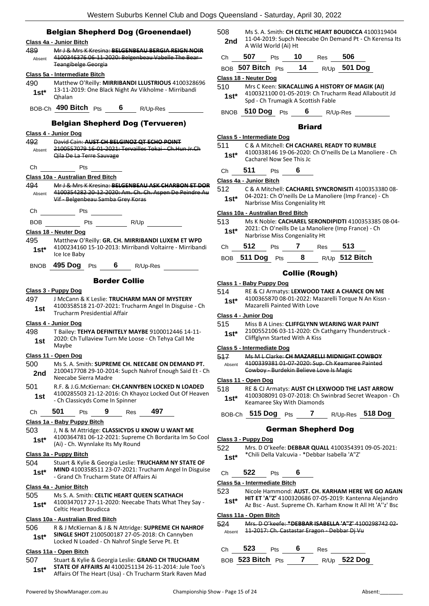|  | <b>Belgian Shepherd Dog (Groenendael)</b> |
|--|-------------------------------------------|

#### **Class 4a - Junior Bitch**

489 Mr J & Mrs K Kresina: **BELGENBEAU BERGIA REIGN NOIR** 4100346376 06-11-2020: Belgenbeau Vabelle The Bear - Teangibelge Georgia Absent

#### **Class 5a - Intermediate Bitch**

490 Matthew O'Reilly: **MIRRIBANDI LLUSTRIOUS** 4100328696 13-11-2019: One Black Night Av Vikholme - Mirribandi **1st**\* 13-11-4<br>Ohalan

### BOB-Ch **490 Bitch** Pts **6** R/Up-Res

#### Belgian Shepherd Dog (Tervueren)

#### **Class 4 - Junior Dog**

492 David Cain: **AUST CH BELGINOZ QT ECHO POINT** 2100557079 16-01-2021: Tervailles Tokai - Ch.Hun Jr.Ch Qila De La Terre Sauvage Absent Ch Pts

#### **Class 10a - Australian Bred Bitch**

494 Mr J & Mrs K Kresina: **BELGENBEAU ASK CHARBON ET DOR** 4100354282 20-12-2020: Am. Ch. Ch. Aspen De Peindre Au Vif - Belgenbeau Samba Grey Koras Absent

Ch Pts

BOB Pts R/Up

#### **Class 18 - Neuter Dog**

495 Matthew O'Reilly: **GR. CH. MIRRIBANDI LUXEM ET WPD** 4100234160 15-10-2013: Mirribandi Voltairre - Mirribandi Ice Ice Baby **1st\***

BNOB **495 Dog** Pts **6** R/Up-Res

#### Border Collie

#### **Class 3 - Puppy Dog**

497 J McCann & K Leslie: **TRUCHARM MAN OF MYSTERY** 4100358518 21-07-2021: Trucharm Angel In Disguise - Ch 1st 4100338318 21-07-2021; 110<br>Trucharm Presidential Affair

#### **Class 4 - Junior Dog**

498 T Bailey: **TEHYA DEFINITELY MAYBE** 9100012446 14-11- 2020: Ch Tullaview Turn Me Loose - Ch Tehya Call Me 1st <sup>2020: U</sup>

#### **Class 11 - Open Dog**

- 500 Ms S. A. Smith: **SUPREME CH. NEECABE ON DEMAND PT.** 2100417708 29-10-2014: Supch Nahrof Enough Said Et - Ch 2nd <sup>2100417</sup>/08 29-10-20.<br>Neecabe Sierra Madre
- 501 R.F. & J.G.McKiernan: **CH.CANNYBEN LOCKED N LOADED** 4100285503 21-12-2016: Ch Khayoz Locked Out Of Heaven 1st 4100285503 21-12-2016: Ch Kh<br>Ch Classicyds Come In Spinner

#### Ch **501** Pts **9** Res **497**

#### **Class 1a - Baby Puppy Bitch**

503 J, N & M Attridge: **CLASSICYDS U KNOW U WANT ME** 4100364781 06-12-2021: Supreme Ch Bordarita Im So Cool (Ai) - Ch. Wynnlake Its My Round **1st\***

#### **Class 3a - Puppy Bitch**

504 Stuart & Kylie & Georgia Leslie: **TRUCHARM NY STATE OF MIND** 4100358511 23-07-2021: Trucharm Angel In Disguise - Grand Ch Trucharm State Of Affairs Ai **1st\***

#### **Class 4a - Junior Bitch**

505 Ms S. A. Smith: **CELTIC HEART QUEEN SCATHACH** 4100347017 27-11-2020: Neecabe Thats What They Say - Celtic Heart Boudicca **1st\***

#### **Class 10a - Australian Bred Bitch**

- 506 R & J McKiernan & J & N Attridge: **SUPREME CH NAHROF SINGLE SHOT** 2100500187 27-05-2018: Ch Cannyben Locked N Loaded - Ch Nahrof Single Serve Pt. Et **1st\***
- 

#### **Class 11a - Open Bitch**

- 507 Stuart & Kylie & Georgia Leslie: **GRAND CH TRUCHARM STATE OF AFFAIRS AI** 4100251134 26-11-2014: Jule Too's Affairs Of The Heart (Usa) - Ch Trucharm Stark Raven Mad **1st\***
	-

508 Ms S. A. Smith: **CH CELTIC HEART BOUDICCA** 4100319404 11-04-2019: Supch Neecabe On Demand Pt - Ch Kerensa Its **2nd** 11-04-2019: Supch N<br>A Wild World (Ai) Ht

| Ch | 507               | <b>Pts</b> | 10 | Res | - 506        |
|----|-------------------|------------|----|-----|--------------|
|    | BOB 507 Bitch Pts |            | 14 |     | R/Up 501 Dog |

#### **Class 18 - Neuter Dog**

510 Mrs C Keen: **SIKACALLING A HISTORY OF MAGIK (AI)** 4100321100 01-05-2019: Ch Trucharm Read Allaboutit Jd Spd - Ch Trumagik A Scottish Fable **1st\***

BNOB **510 Dog** Pts **6** R/Up-Res

#### **Briard**

### **Class 5 - Intermediate Dog**

- 511 C & A Mitchell: **CH CACHAREL READY TO RUMBLE** 4100338146 19-06-2020: Ch O'neills De La Manoliere - Ch **1st**\* 4100338146 19-06-2020:<br>Cacharel Now See This Jc
- Ch **511** Pts **6**

#### **Class 4a - Junior Bitch**

512 C & A Mitchell: **CACHAREL SYNCRONISITI** 4100353380 08- 04-2021: Ch O'neills De La Manoliere (Imp France) - Ch **1st\*** 04-2021: Ch O'neills De La Mar<br>Narbrisse Miss Congeniality Ht

#### **Class 10a - Australian Bred Bitch**

- 513 Ms K Noble: **CACHAREL SERONDIPIDTI** 4100353385 08-04- 2021: Ch O'neills De La Manoliere (Imp France) - Ch
- **1st** <br>**1st** <br>**1st Narbrisse Miss Congeniality Ht** Ch **512** Pts **7** Res **513** BOB **511 Dog** Pts **8** R/Up **512 Bitch**

### Collie (Rough)

#### **Class 1 - Baby Puppy Dog**

- 514 RE & CJ Armatys: **LEXWOOD TAKE A CHANCE ON ME**
- 4100365870 08-01-2022: Mazarelli Torque N An Kissn Mazarelli Painted With Love **1st\***

#### **Class 4 - Junior Dog**

- 515 Miss B A Lines: **CLIFFGLYNN WEARING WAR PAINT**
	- 2100552106 03-11-2020: Ch Cathgarry Thunderstruck 1st\* 2100552106 03-11-2020: Ch<br>Cliffglynn Started With A Kiss

#### **Class 5 - Intermediate Dog**

- 517 Ms M L Clarke: **CH MAZARELLI MIDNIGHT COWBOY**
- 4100339381 01-07-2020: Sup. Ch Keamaree Painted Absent
	- Cowboy Burdekin Believe Love Is Magic

#### **Class 11 - Open Dog**

- 518 RE & CJ Armatys: **AUST CH LEXWOOD THE LAST ARROW**
- 4100308091 03-07-2018: Ch Swinbrad Secret Weapon Ch 1st\* 4100308091 03-07-2018: Ch Stxteen Meamaree Sky With Diamonds

### BOB-Ch **515 Dog** Pts **7** R/Up-Res **518 Dog**

#### German Shepherd Dog

#### **Class 3 - Puppy Dog**

522 Mrs. D O'keefe: **DEBBAR QUALL** 4100354391 09-05-2021: \*Chili Della Valcuvia - \*Debbar Isabella 'A"Z' **1st\***

Ch **522** Pts **6**

#### **Class 5a - Intermediate Bitch**

523 Nicole Hammond: **AUST. CH. KARHAM HERE WE GO AGAIN HIT ET 'A''Z'** 4100320686 07-05-2019: Kantenna Alejandro Az Bsc - Aust. Supreme Ch. Karham Know It All Ht 'A''z' Bsc **1st\***

#### **Class 11a - Open Bitch**

524 Mrs. D O'keefe: **\*DEBBAR ISABELLA 'A"Z'** 4100298742 02- Absent **11-2017: Ch. Castastar Eragon - Debbar Dj Vu** 

| Ch | 523               | <b>Pts</b> | Res |                |
|----|-------------------|------------|-----|----------------|
|    | BOB 523 Bitch Pts |            |     | $R/Up$ 522 Dog |

- 
- -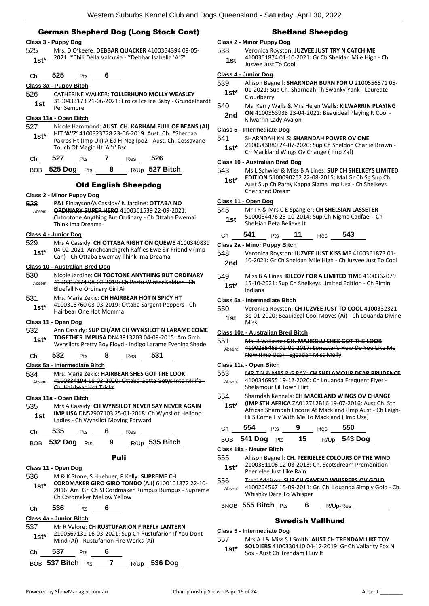#### German Shepherd Dog (Long Stock Coat)

#### **Class 3 - Puppy Dog**

525 Mrs. D O'keefe: **DEBBAR QUACKER** 4100354394 09-05- 2021: \*Chili Della Valcuvia - \*Debbar Isabella 'A"Z' **1st\***

Ch **525** Pts **6**

#### **Class 3a - Puppy Bitch**

#### 526 CATHERINE WALKER: **TOLLERHUND MOLLY WEASLEY**

3100433173 21-06-2021: Eroica Ice Ice Baby - Grundelhardt 1st <sup>310043317</sup>

#### **Class 11a - Open Bitch**

527 Nicole Hammond: **AUST. CH. KARHAM FULL OF BEANS (AI) HIT 'A''Z'** 4100323728 23-06-2019: Aust. Ch. \*Shernaa Pakros Ht (Imp Uk) A Ed H-Neg Ipo2 - Aust. Ch. Cossavane Touch Of Magic Ht 'A''z' Bsc **1st\***

| Ch | 527                   | <b>Pts</b> | Res 526 |                  |
|----|-----------------------|------------|---------|------------------|
|    | BOB $525$ Dog $Pts$ 8 |            |         | $R/Up$ 527 Bitch |

#### Old English Sheepdog

#### **Class 2 - Minor Puppy Dog**

528 P&L Finlayson/A Cassidy/ N Jardine: **OTTABA NO ORDINARY SUPER HERO** 4100361539 22-09-2021: Chtootone Anything But Ordinary - Ch Ottaba Ewemai Think Ima Dreama Absent

#### **Class 4 - Junior Dog**

529 Mrs A Cassidy: **CH OTTABA RIGHT ON QUEWE** 4100349839 04-02-2021: Amchcanchgrch Raffles Ewe Sir Friendly (Imp **1st** U4-02-2021: Amchdanchgron Rames Ewe Siring Can) - Ch Ottaba Ewemay Think Ima Dreama

#### **Class 10 - Australian Bred Dog**

- 530 Nicole Jardine: **CH TOOTONE ANYTHING BUT ORDINARY** 4100317374 08-02-2019: Ch Perfu Winter Soldier - Ch Bluefall No Ordinary Girl Ai Absent
- 531 Mrs. Maria Zekic: **CH HAIRBEAR HOT N SPICY HT** 4100318760 03-03-2019: Ottaba Sargent Peppers - Ch 1st<sup>\*</sup> <sup>4100318760 03-03-2019: C<br>Hairbear One Hot Momma</sup>

#### **Class 11 - Open Dog**

- 532 Ann Cassidy: **SUP CH/AM CH WYNSILOT N LARAME COME TOGETHER IMPUSA** DN43913203 04-09-2015: Am Grch 1st\* **IOGETHER IMPOSA** DN43913203 04-09-2015: Am Grch<br>Wynsilots Pretty Boy Floyd - Indigo Larame Evening Shade
	- Ch **532** Pts **8** Res **531**

#### **Class 5a - Intermediate Bitch**

#### 534 Mrs. Maria Zekic: **HAIRBEAR SHES GOT THE LOOK**

4100334194 18-03-2020: Ottaba Gotta Getys Into N Ch. Hairbear Hot Tricks Absent

#### **Class 11a - Open Bitch**

535 Mrs A Cassidy: **CH WYNSILOT NEVER SAY NEVER AGAIN IMP USA** DN52907103 25-01-2018: Ch Wynsilot Hellooo Ladies - Ch Wynsilot Moving Forward **1st**

| Сh | 535 | ⊃ts | O | Res |  |
|----|-----|-----|---|-----|--|
|    |     |     |   |     |  |

|  | BOB 532 Dog Pts |  |  |  | $R/Up$ 535 Bitch |
|--|-----------------|--|--|--|------------------|
|--|-----------------|--|--|--|------------------|

#### Puli

#### **Class 11 - Open Dog**

536 M & K Stone, S Huebner, P Kelly: **SUPREME CH CORDMAKER GIRO GIRO TONDO (A.I)** 6100101872 22-10- 2016: Am Gr Ch SI Cordmaker Rumpus Bumpus - Supreme Ch Cordmaker Mellow Yellow **1st\***

### Ch **536** Pts **6**

#### **Class 4a - Junior Bitch**

#### 537 Mr R Valore: **CH RUSTUFARION FIREFLY LANTERN** 2100567131 16-03-2021: Sup Ch Rustufarion If You Dont Mind (Ai) - Rustufarion Fire Works (Ai) **1st\***

| Ch $537$ Pts      |  |                |
|-------------------|--|----------------|
| BOB 537 Bitch Pts |  | $R/Up$ 536 Dog |

#### Shetland Sheepdog

#### **Class 2 - Minor Puppy Dog**

538 Veronica Royston: **JUZVEE JUST TRY N CATCH ME** 4100361874 01-10-2021: Gr Ch Sheldan Mile High - Ch Juzvee Just To Cool **1st**

#### **Class 4 - Junior Dog**

- 539 Allison Begnell: **SHARNDAH BURN FOR U** 2100556571 05-
	- 01-2021: Sup Ch. Sharndah Th Swanky Yank Laureate 1st<sup>\*</sup> <sup>01-2021: St</sup><br>Cloudberry
- 540 Ms. Kerry Walls & Mrs Helen Walls: **KILWARRIN PLAYING ON** 4100353938 23-04-2021: Beauideal Playing It Cool -
- 2nd UN 4100353938 23-04<br>Kilwarrin Lady Avalon

### **Class 5 - Intermediate Dog**

541 SHARNDAH KNLS: **SHARNDAH POWER OV ONE** 2100543880 24-07-2020: Sup Ch Sheldon Charlie Brown - Ch Mackland Wings Ov Change ( Imp Zaf) **1st\***

#### **Class 10 - Australian Bred Dog**

- 543 Ms L Schwier & Miss B A Lines: **SUP CH SHELKEYS LIMITED** 
	- **EDITION** 5100090262 22-08-2015: Mal Gr Ch Sg Sup Ch Aust Sup Ch Paray Kappa Sigma Imp Usa - Ch Shelkeys Cherished Dream **1st\***

#### **Class 11 - Open Dog**

- 545 Mr I R & Mrs C E Spangler: **CH SHELSIAN LASSETER** 5100084476 23-10-2014: Sup.Ch Nigma Cadfael - Ch Shelsian Beta Believe It **1st**
- Ch **541** Pts **11** Res **543**

#### **Class 2a - Minor Puppy Bitch**

- 548 Veronica Royston: **JUZVEE JUST KISS ME** 4100361873 01- 10-2021: Gr Ch Sheldan Mile High - Ch Juzvee Just To Cool **2nd**
- 549 Miss B A Lines: **KILCOY FOR A LIMITED TIME** 4100362079 15-10-2021: Sup Ch Shelkeys Limited Edition - Ch Rimini Indiana **1st\***

#### **Class 5a - Intermediate Bitch**

550 Veronica Royston: **CH JUZVEE JUST TO COOL** 4100332321 31-01-2020: Beauideal Cool Moves (Ai) - Ch Louanda Divine 1st  $\frac{31-0}{Misc}$ 

#### **Class 10a - Australian Bred Bitch**

551 Ms. B Williams: **CH. MAJIKBLU SHES GOT THE LOOK** 4100285463 02-01-2017: Lonestar's How Do You Like Me Now (Imp Usa) - Egeadah Miss Molly Absent

#### **Class 11a - Open Bitch**

- 553 MR T N & MRS R G RAY: **CH SHELAMOUR DEAR PRUDENCE** 4100346955 19-12-2020: Ch Louanda Frequent Flyer - Shelamour Lil Town Flirt Absent
- 554 Sharndah Kennels: **CH MACKLAND WINGS OV CHANGE (IMP STH AFRICA** ZA012712B16 19-07-2016: Aust Ch. Sth African Sharndah Encore At Mackland (Imp Aust - Ch Leigh-Hi'S Come Fly With Me To Mackland ( Imp Usa) **1st\***
- Ch **554** Pts **9** Res **550** BOB **541 Dog** Pts **15** R/Up **543 Dog**

#### **Class 18a - Neuter Bitch**

- 555 Allison Begnell: **CH. PEERIELEE COLOURS OF THE WIND** 2100381106 12-03-2013: Ch. Scotsdream Premonition - Peerielee Just Like Rain **1st\***
- 556 Traci Addison: **SUP CH GAVEND WHISPERS OV GOLD** 4100204567 15-09-2011: Gr. Ch. Louanda Simply Gold - Ch. Whishky Dare To Whisper Absent
	- BNOB **555 Bitch** Pts **6** R/Up-Res

### Swedish Vallhund

#### **Class 5 - Intermediate Dog**

- 557 Mrs A J & Miss S J Smith: **AUST CH TRENDAM LIKE TOY SOLDIERS** 4100330410 04-12-2019: Gr Ch Vallarity Fox N
	- **SOLDIERS** 4100330410 04-12-<br>Sox Aust Ch Trendam I Luv It
- 
- 
- 
-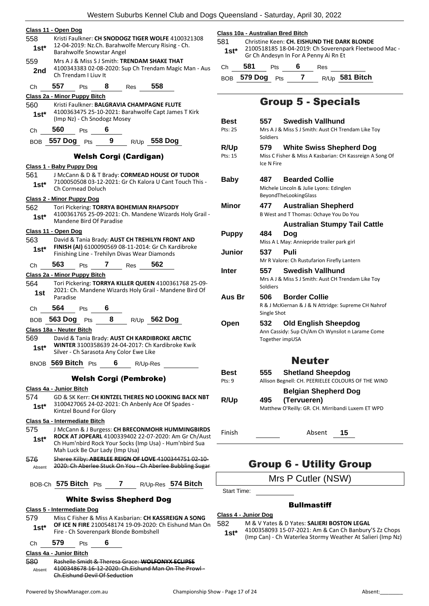|                 | Class 11 - Open Dog                                                                                                                   | <u>CI</u>      |
|-----------------|---------------------------------------------------------------------------------------------------------------------------------------|----------------|
| 558<br>$1st*$   | Kristi Faulkner: CH SNODOGZ TIGER WOLFE 4100321308<br>12-04-2019: Nz.Ch. Barahwolfe Mercury Rising - Ch.<br>Barahwolfe Snowstar Angel | 58             |
| 559             | Mrs A J & Miss S J Smith: TRENDAM SHAKE THAT                                                                                          |                |
| 2nd             | 4100343383 02-08-2020: Sup Ch Trendam Magic Man - Aus                                                                                 | C              |
|                 | Ch Trendam I Liuv It                                                                                                                  | Е              |
| Ch              | 558<br>557<br>8<br>Pts<br>Res                                                                                                         |                |
|                 | Class 2a - Minor Puppy Bitch                                                                                                          |                |
| 560             | Kristi Faulkner: BALGRAVIA CHAMPAGNE FLUTE<br>4100363475 25-10-2021: Barahwolfe Capt James T Kirk                                     |                |
| 1st*            | (Imp Nz) - Ch Snodogz Mosey                                                                                                           | I              |
| Ch              | 560<br>6<br><b>Pts</b>                                                                                                                | P              |
|                 | BOB 557 Dog Pts 9 R/Up 558 Dog                                                                                                        |                |
|                 |                                                                                                                                       | F              |
|                 | <b>Welsh Corgi (Cardigan)</b>                                                                                                         | P              |
|                 | Class 1 - Baby Puppy Dog<br>J McCann & D & T Brady: CORMEAD HOUSE OF TUDOR                                                            |                |
| 561<br>$1st^*$  | 7100050508 03-12-2021: Gr Ch Kalora U Cant Touch This -                                                                               | I              |
|                 | Ch Cormead Doluch                                                                                                                     |                |
|                 | <b>Class 2 - Minor Puppy Dog</b>                                                                                                      |                |
| 562             | Tori Pickering: TORRYA BOHEMIAN RHAPSODY                                                                                              | ľ              |
| $1st*$          | 4100361765 25-09-2021: Ch. Mandene Wizards Holy Grail -<br>Mandene Bird Of Paradise                                                   |                |
|                 | <u> Class 11 - Open Dog</u>                                                                                                           | ŀ              |
| 563             | David & Tania Brady: AUST CH TREHILYN FRONT AND                                                                                       |                |
| $1st^*$         | FINISH (AI) 6100090569 08-11-2014: Gr Ch Kardibroke<br>Finishing Line - Trehilyn Divas Wear Diamonds                                  |                |
|                 |                                                                                                                                       |                |
| Ch              | $7$ Res 562<br>563<br><b>Pts</b>                                                                                                      | ı              |
| 564             | Class 2a - Minor Puppy Bitch<br>Tori Pickering: TORRYA KILLER QUEEN 4100361768 25-09-                                                 |                |
| 1st             | 2021: Ch. Mandene Wizards Holy Grail - Mandene Bird Of<br>Paradise                                                                    | I              |
| Ch              | $564$ Pts<br>6                                                                                                                        |                |
|                 | BOB 563 Dog Pts 8 R/Up 562 Dog                                                                                                        |                |
|                 | Class 18a - Neuter Bitch                                                                                                              |                |
| 569.<br>$1st^*$ | David & Tania Brady: AUST CH KARDIBROKE ARCTIC<br>WINTER 3100358639 24-04-2017: Ch Kardibroke Kwik                                    |                |
|                 | Silver - Ch Sarasota Any Color Ewe Like                                                                                               |                |
|                 | BNOB 569 Bitch Pts<br>- 6<br>R/Up-Res                                                                                                 | F              |
|                 | <b>Welsh Corgi (Pembroke)</b>                                                                                                         | P              |
|                 | Class 4a - Junior Bitch                                                                                                               |                |
| 574             | GD & SK Kerr: CH KINTZEL THERES NO LOOKING BACK NBT                                                                                   | F              |
| 1st*            | 3100427065 24-02-2021: Ch Anbenly Ace Of Spades -<br>Kintzel Bound For Glory                                                          |                |
| 575             | Class 5a - Intermediate Bitch<br>J McCann & J Burgess: CH BRECONMOHR HUMMINGBIRDS                                                     |                |
| $1st*$          | ROCK AT JOPEARL 4100339402 22-07-2020: Am Gr Ch/Aust                                                                                  | F              |
|                 | Ch Hum'nbird Rock Your Socks (Imp Usa) - Hum'nbird Sua                                                                                |                |
| 576             | Mah Luck Be Our Lady (Imp Usa)<br>Sheree Kilby: ABERLEE REIGN OF LOVE 4100344751 02-10-                                               |                |
| Absent          | 2020: Ch Aberlee Stuck On You - Ch Aberlee Bubbling Sugar                                                                             |                |
|                 | BOB-Ch 575 Bitch Pts 7 R/Up-Res 574 Bitch                                                                                             |                |
|                 | <b>White Swiss Shepherd Dog</b>                                                                                                       |                |
|                 | <u>Class 5 - Intermediate Dog</u>                                                                                                     |                |
| 579             | Miss C Fisher & Miss A Kasbarian: CH KASSREIGN A SONG                                                                                 | C <sub>1</sub> |
| 1st*            | <b>OF ICE N FIRE 2100548174 19-09-2020: Ch Eishund Man On</b><br>Fire - Ch Soverenpark Blonde Bombshell                               | 58             |
| Ch              | 579<br>6<br>Pts                                                                                                                       |                |
|                 | Class 4a - Junior Bitch                                                                                                               |                |
| 580             | Rashelle Smidt & Theresa Grace: WOLFONYX ECLIPSE                                                                                      |                |

4100348678 16 12 2020: Ch.Eishund Man On The Prowl-

#### **Class 10a - Australian Bred Bitch**

581 Christine Keen: **CH. EISHUND THE DARK BLONDE** 2100518185 18-04-2019: Ch Soverenpark Fleetwood Mac - **1st**\* 2100518185 18-04-2019: Ch Soverenpa<br>**1st\*** Gr Ch Andesyn In For A Penny Ai Rn Et

| Ch <b>581</b>   | <b>Pts</b> | 6 | Res |                |
|-----------------|------------|---|-----|----------------|
| BOB 579 Dog Pts |            |   |     | R/∪p 581 Bitch |

### Group 5 - Specials

| Best<br>Pts: 25 | <b>Swedish Vallhund</b><br>557<br>Mrs A J & Miss S J Smith: Aust CH Trendam Like Toy<br>Soldiers                 |
|-----------------|------------------------------------------------------------------------------------------------------------------|
| R/Up<br>Pts: 15 | 579<br><b>White Swiss Shepherd Dog</b><br>Miss C Fisher & Miss A Kasbarian: CH Kassreign A Song Of<br>Ice N Fire |
| <b>Baby</b>     | <b>Bearded Collie</b><br>487<br>Michele Lincoln & Julie Lyons: Edinglen<br>BeyondTheLookingGlass                 |
| Minor           | 477<br><b>Australian Shepherd</b><br>B West and T Thomas: Ochaye You Do You                                      |
| <b>Puppy</b>    | <b>Australian Stumpy Tail Cattle</b><br>484<br>Dog<br>Miss A L May: Anniepride trailer park girl                 |
| Junior          | 537<br>Puli<br>Mr R Valore: Ch Rustufarion Firefly Lantern                                                       |
| Inter           | <b>Swedish Vallhund</b><br>557<br>Mrs A J & Miss S J Smith: Aust CH Trendam Like Toy<br>Soldiers                 |
| Aus Br          | 506<br><b>Border Collie</b><br>R & J McKiernan & J & N Attridge: Supreme CH Nahrof<br>Single Shot                |
| Open            | <b>Old English Sheepdog</b><br>532<br>Ann Cassidy: Sup Ch/Am Ch Wynsilot n Larame Come<br>Together impUSA        |
|                 | <b>Neuter</b>                                                                                                    |
| Best<br>Pts: 9  | 555<br><b>Shetland Sheepdog</b><br>Allison Begnell: CH. PEERIELEE COLOURS OF THE WIND                            |
| R/Up            | <b>Belgian Shepherd Dog</b><br>(Tervueren)<br>495<br>Matthew O'Reilly: GR. CH. Mirribandi Luxem ET WPD           |
| Finish          | Absent<br>15                                                                                                     |

### Group 6 - Utility Group

Mrs P Cutler (NSW)

Start Time:

**Bullmastiff** 

#### **Class 4 - Junior Dog**

582 M & V Yates & D Yates: **SALIERI BOSTON LEGAL**

4100358093 15-07-2021: Am & Can Ch Banbury'S Zz Chops (Imp Can) - Ch Waterlea Stormy Weather At Salieri (Imp Nz) **1st\***

Absent

Ch.Eishund Devil Of Seduction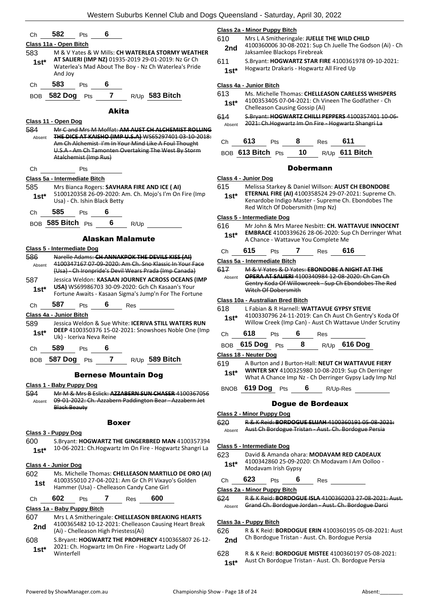| Сh              | 582                              | <b>Pts</b>                           | 6                 |                                           |                                                                                                               |                         |
|-----------------|----------------------------------|--------------------------------------|-------------------|-------------------------------------------|---------------------------------------------------------------------------------------------------------------|-------------------------|
|                 | Class 11a - Open Bitch           |                                      |                   |                                           |                                                                                                               |                         |
| 583             |                                  |                                      |                   |                                           | M & V Yates & W Mills: CH WATERLEA STORMY WEATHER                                                             |                         |
| $1st^*$         |                                  |                                      |                   |                                           | AT SALIERI (IMP NZ) 01935-2019 29-01-2019: Nz Gr Ch<br>Waterlea's Mad About The Boy - Nz Ch Waterlea's Pride  | 6                       |
|                 | And Joy                          |                                      |                   |                                           |                                                                                                               |                         |
| Ch              | 583                              | <b>Pts</b>                           | 6                 |                                           |                                                                                                               |                         |
|                 |                                  |                                      |                   |                                           | 7 R/Up 583 Bitch                                                                                              |                         |
| BOB             | 582 Dog                          | <b>Pts</b>                           |                   |                                           |                                                                                                               |                         |
|                 |                                  |                                      | <b>Akita</b>      |                                           |                                                                                                               |                         |
|                 | <u> Class 11 - Open Dog</u>      |                                      |                   |                                           |                                                                                                               |                         |
| 584             |                                  |                                      |                   |                                           | Mr C and Mrs M Moffat: AM AUST CH ALCHEMIST ROLLING                                                           |                         |
| Absent          |                                  |                                      |                   |                                           | THE DICE AT KAISHO (IMP U.S.A) WS65297401 03-10-2018:<br>Am Ch Alchemist I'm In Your Mind Like A Foul Thought |                         |
|                 |                                  |                                      |                   |                                           | U.S.A - Am Ch Tamonten Overtaking The West By Storm                                                           |                         |
|                 |                                  | Atalchemist (Imp Rus)                |                   |                                           |                                                                                                               |                         |
| Ch              |                                  | Pts                                  |                   |                                           |                                                                                                               |                         |
|                 | Class 5a - Intermediate Bitch    |                                      |                   |                                           |                                                                                                               |                         |
| 585             |                                  |                                      |                   |                                           | Mrs Bianca Rogers: SAVHARA FIRE AND ICE (AI)                                                                  |                         |
| 1st*            |                                  |                                      |                   |                                           | 5100120358 26-09-2020: Am. Ch. Mojo's I'm On Fire (Imp                                                        |                         |
|                 |                                  | Usa) - Ch. Ishin Black Betty         |                   |                                           |                                                                                                               |                         |
| Ch <sub>a</sub> | $585$ Pts                        |                                      | 6                 |                                           |                                                                                                               |                         |
|                 | BOB $585$ Bitch $Pts$            |                                      | 6                 | R/Up                                      |                                                                                                               |                         |
|                 |                                  |                                      |                   |                                           |                                                                                                               |                         |
|                 |                                  |                                      |                   | Alaskan Malamute                          |                                                                                                               |                         |
|                 | Class 5 - Intermediate Dog       |                                      |                   |                                           |                                                                                                               |                         |
| 586             |                                  |                                      |                   |                                           | Narelle Adams: CH ANNAKPOK THE DEVILS KISS (AI)<br>4100347167 07-09-2020: Am Ch. Sno Klassic In Your Face     | $\overline{\mathbf{r}}$ |
| Absent          |                                  |                                      |                   |                                           | (Usa) Ch Ironpride's Devil Wears Prada (Imp Canada)                                                           |                         |
| 587             |                                  |                                      |                   |                                           | Jessica Weldon: KASAAN JOURNEY ACROSS OCEANS (IMP                                                             |                         |
| $1st*$          |                                  |                                      |                   |                                           | USA) WS69986703 30-09-2020: Gch Ch Kasaan's Your                                                              |                         |
|                 |                                  |                                      |                   |                                           | Fortune Awaits - Kasaan Sigma's Jump'n For The Fortune                                                        | $\mathbf \Omega$        |
| Ch              | 587                              | <b>Pts</b>                           | $6 \qquad \qquad$ | Restantial                                |                                                                                                               |                         |
|                 | Class 4a - Junior Bitch          |                                      |                   |                                           |                                                                                                               |                         |
| 589             |                                  |                                      |                   |                                           | Jessica Weldon & Sue White: ICERIVA STILL WATERS RUN<br>DEEP 4100350376 15-02-2021: Snowshoes Noble One (Imp  |                         |
| $1st*$          |                                  | Uk) - Iceriva Neva Reine             |                   |                                           |                                                                                                               |                         |
| Ch              | 589                              | Pts $6$                              |                   |                                           |                                                                                                               |                         |
|                 | 587 Dog Pts                      |                                      | $\overline{7}$    |                                           |                                                                                                               |                         |
| BOB             |                                  |                                      |                   |                                           | $R/Up$ 589 Bitch                                                                                              |                         |
|                 |                                  |                                      |                   | <b>Bernese Mountain Dog</b>               |                                                                                                               |                         |
|                 | <u> Class 1 - Baby Puppy Dog</u> |                                      |                   |                                           |                                                                                                               |                         |
| 594             |                                  |                                      |                   |                                           | Mr M & Mrs B Eslick: AZZABERN SUN CHASER 4100367056                                                           |                         |
| Absent          |                                  |                                      |                   |                                           | 09 01 2022: Ch. Azzabern Paddington Bear Azzabern Jet                                                         |                         |
|                 | Black Beauty                     |                                      |                   |                                           |                                                                                                               |                         |
|                 |                                  |                                      | Boxer             |                                           |                                                                                                               |                         |
|                 | Class 3 - Puppy Dog              |                                      |                   |                                           |                                                                                                               |                         |
| 600             |                                  |                                      |                   |                                           | S.Bryant: HOGWARTZ THE GINGERBRED MAN 4100357394                                                              |                         |
| $1st*$          |                                  |                                      |                   |                                           | 10-06-2021: Ch. Hogwartz Im On Fire - Hogwartz Shangri La                                                     | $\overline{\mathbf{c}}$ |
|                 |                                  |                                      |                   |                                           |                                                                                                               | в                       |
|                 | Class 4 - Junior Dog             |                                      |                   |                                           |                                                                                                               |                         |
| 602             |                                  |                                      |                   |                                           | Ms. Michelle Thomas: CHELLEASON MARTILLO DE ORO (AI)<br>4100355010 27-04-2021: Am Gr Ch Pl Vixayo's Golden    |                         |
| 1st             |                                  |                                      |                   | Hammer (Usa) - Chelleason Candy Cane Girl |                                                                                                               | $\overline{\mathbf{c}}$ |
| Ch              | 602                              | Pts                                  |                   | 7 Res                                     | 600                                                                                                           |                         |
|                 | Class 1a - Baby Puppy Bitch      |                                      |                   |                                           |                                                                                                               |                         |
| 607             |                                  |                                      |                   |                                           | Mrs L A Smitheringale: CHELLEASON BREAKING HEARTS                                                             |                         |
| 2nd             |                                  |                                      |                   |                                           | 4100365482 10-12-2021: Chelleason Causing Heart Break                                                         | $\overline{\mathbf{c}}$ |
| ∝∩ء             |                                  | (Ai) - Chelleason High Priestess(Ai) |                   |                                           | C. Priant: <b>HOCWARTZ THE BROBHERCY</b> 4100265807 26 12                                                     | в                       |
|                 |                                  |                                      |                   |                                           |                                                                                                               |                         |

608 S.Bryant: **HOGWARTZ THE PROPHERCY** 4100365807 26-12- 2021: Ch. Hogwartz Im On Fire - Hogwartz Lady Of 1st<sup>\*</sup> <sup>2021: Ch.</sup><br>Winterfell

#### **Class 2a - Minor Puppy Bitch**

- 610 Mrs L A Smitheringale: **JUELLE THE WILD CHILD** 4100360006 30-08-2021: Sup Ch Juelle The Godson (Ai) - Ch 2nd <sup>4100360006</sup> 30-06-2021. Sup<br>Jaksamlee Blackops Firebreak
- 611 S.Bryant: **HOGWARTZ STAR FIRE** 4100361978 09-10-2021: Hogwartz Drakaris - Hogwartz All Fired Up **1st\***

#### **Class 4a - Junior Bitch**

| 613 | Ms. Michelle Thomas: CHELLEASON CARELESS WHISPERS |  |  |  |  |  |
|-----|---------------------------------------------------|--|--|--|--|--|
|     |                                                   |  |  |  |  |  |

| $1st*$ | 4100353405 07-04-2021: Ch Vineen The Godfather - Ch |
|--------|-----------------------------------------------------|
|        | Chelleason Causing Gossip (Ai)                      |

614 S.Bryant: **HOGWARTZ CHILLI PEPPERS** 4100357401 10-06- Absent 2021: Ch.Hogwartz Im On Fire - Hogwartz Shangri La

| Ch $613$ Pts         | 8 | <sub>Res</sub> 611 |                  |
|----------------------|---|--------------------|------------------|
| BOB 613 Bitch Pts 10 |   |                    | $R/Up$ 611 Bitch |

#### Dobermann

- **Class 4 - Junior Dog**
- 615 Melissa Starkey & Daniel Willson: **AUST CH EBONDOBE**

**ETERNAL FIRE (AI)** 4100358524 29-07-2021: Supreme Ch. Kenardobe Indigo Master - Supreme Ch. Ebondobes The Red Witch Of Dobersmith (Imp Nz) **1st\***

#### **Class 5 - Intermediate Dog**

| 616    | Mr John & Mrs Maree Nesbitt: CH. WATTAVUE INNOCENT          |
|--------|-------------------------------------------------------------|
| $1st*$ | <b>EMBRACE</b> 4100339626 28-06-2020: Sup Ch Derringer What |
|        | A Chance - Wattavue You Complete Me                         |

#### Ch **615** Pts **7** Res **616**

**Class 5a - Intermediate Bitch**

| 617 | M. R. V. Vator, R. D. Vator: <b>ERONDORE, A NIGHT AT THE</b><br>$\overline{1}$ |
|-----|--------------------------------------------------------------------------------|
|-----|--------------------------------------------------------------------------------|

**OPERA AT SALIERI** 4100340984 12-08-2020: Ch Can Ch Gentry Koda Of Willowcreek - Sup Ch Ebondobes The Red Witch Of Dobersmith Absent

#### **Class 10a - Australian Bred Bitch**

- 618 L Fabian & R Harnell: **WATTAVUE GYPSY STEVIE** 4100330796 24-11-2019: Can Ch Aust Ch Gentry's Koda Of Willow Creek (Imp Can) - Aust Ch Wattavue Under Scrutiny **1st\***
- Ch **618** Pts **6** Res

## BOB **615 Dog** Pts **8** R/Up **616 Dog**

**Class 18 - Neuter Dog**

- 619 A Burton and J Burton-Hall: **NEUT CH WATTAVUE FIERY WINTER SKY** 4100325980 10-08-2019: Sup Ch Derringer **1st\*** WINTER SKY 4100325980 10-08-2019: Sup Ch Derringer<br>What A Chance Imp Nz - Ch Derringer Gypsy Lady Imp Nzl
- BNOB **619 Dog** Pts **6** R/Up-Res

#### Dogue de Bordeaux

#### **Class 2 - Minor Puppy Dog**

**ELIAH 4100360191 05-08-2021:** Absent Aust Ch Bordogue Tristan - Aust. Ch. Bordogue Persia

#### **Class 5 - Intermediate Dog**

- 623 David & Amanda ohara: **MODAVAM RED CADEAUX** 4100342860 25-09-2020: Ch Modavam I Am Oolloo - Modavam Irish Gypsy **1st\***
- Ch **623** Pts **6** Res
- **Class 2a - Minor Puppy Bitch**
- 624 R & K Reid: **BORDOGUE ISLA** 4100360203 27-08-2021: Aust. Absent Grand Ch. Bordogue Jordan - Aust. Ch. Bordogue Darci

#### **Class 3a - Puppy Bitch**

- 626 R & K Reid: **BORDOGUE ERIN** 4100360195 05-08-2021: Aust 2nd Ch Bordogue Tristan - Aust. Ch. Bordogue Persia
- 628 R & K Reid: **BORDOGUE MISTEE** 4100360197 05-08-2021:
	- Aust Ch Bordogue Tristan Aust. Ch. Bordogue Persia **1st\***

| 620    | <b>R &amp; K Reid: BORDOGUE E</b> |
|--------|-----------------------------------|
| Absent | Aust Ch Bordogue Tristan          |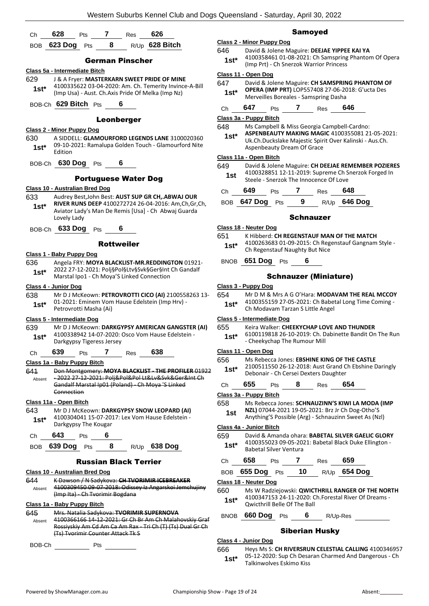| Сh | 628             | <b>Pts</b> |                 | Res | 626              |
|----|-----------------|------------|-----------------|-----|------------------|
|    | BOB 623 Dog Pts |            | 8               |     | $R/Up$ 628 Bitch |
|    |                 |            | German Pinscher |     |                  |

#### **Class 5a - Intermediate Bitch**

- 629 J & A Fryer: **MASTERKARN SWEET PRIDE OF MINE** 4100335622 03-04-2020: Am. Ch. Temerity Invince-A-Bill (Imp Usa) - Aust. Ch.Axis Pride Of Melka (Imp Nz) **1st\***
- BOB-Ch **629 Bitch** Pts **6**

#### Leonberger

#### **Class 2 - Minor Puppy Dog**

- 630 A SIDDELL: **GLAMOURFORD LEGENDS LANE** 3100020360 09-10-2021: Ramalupa Golden Touch - Glamourford Nite  $1$ **st**<sup>\*</sup> $\frac{09-10-7}{F}$
- BOB-Ch **630 Dog** Pts **6**

#### Portuguese Water Dog

#### **Class 10 - Australian Bred Dog**

- 633 Audrey Best,John Best: **AUST SUP GR CH,.ABWAJ OUR RIVER RUNS DEEP** 4100272724 26-04-2016: Am,Ch,Gr,Ch, Aviator Lady's Man De Remis [Usa] - Ch Abwaj Guarda Lovely Lady **1st\***
- BOB-Ch **633 Dog** Pts **6**

#### Rottweiler

#### **Class 1 - Baby Puppy Dog**

636 Angela FRY: **MOYA BLACKLIST-MR.REDDINGTON** 01921- 2022 27-12-2021: Polj§Pol§Ltv§Svk§Ger§Int Ch Gandalf Marstal Ipo1 - Ch Moya'S Linked Connection **1st\***

#### **Class 4 - Junior Dog**

638 Mr D J McKeown: **PETROVROTTI CICO (AI)** 2100558263 13- 01-2021: Eminem Vom Hause Edelstein (Imp Hrv) - **1st**\* U1-2021: Eminem Vom<br>Petrovrotti Masha (Ai)

#### **Class 5 - Intermediate Dog**

- 639 Mr D J McKeown: **DARKGYPSY AMERICAN GANGSTER (AI)** 4100338942 14-07-2020: Osco Vom Hause Edelstein - Darkgypsy Tigeress Jersey **1st\***
- Ch **639** Pts **7** Res **638**

#### **Class 1a - Baby Puppy Bitch**

641 Don Montgomery: **MOYA BLACKLIST - THE PROFILER** 01922 -2022 27-12-2021: Polj&Pol&Pol Lt&Lv&Svk&Ger&Int Ch Gandalf Marstal Ip01 (Poland) - Ch Moya 'S Linked **Connection** Absent

#### **Class 11a - Open Bitch**

643 Mr D J McKeown: **DARKGYPSY SNOW LEOPARD (AI)** 4100304041 15-07-2017: Lex Vom Hause Edelstein - **1st**\*  $\frac{4100304041}{2}$  Darkgypsy The Kougar

| Ch $643$ Pts |  |                                |
|--------------|--|--------------------------------|
|              |  | BOB 639 Dog Pts 8 R/Up 638 Dog |

#### Russian Black Terrier

#### **Class 10 - Australian Bred Dog**

| Absent        | K Dawson / N Sadykova: CH TVORIMIR ICEBREAKER<br>4100309450 09-07-2018: Odissey Iz Angarskoi Jemchujiny<br>(Imp Ita) Ch Tvorimir Bogdana                                                             |
|---------------|------------------------------------------------------------------------------------------------------------------------------------------------------------------------------------------------------|
|               | Class 1a - Baby Puppy Bitch                                                                                                                                                                          |
| 645<br>Absent | Mrs. Natalia Sadykova: TVORIMIR SUPERNOVA<br>4100366166 14-12-2021: Gr Ch Br Am Ch Malahovskiy Graf<br>Rossiyskiy Am Cd Am Ca Am Rax Tri Ch (T) (Ts) Dual Gr Ch<br>(Ts) Tvorimir Counter Attack Tk S |
|               |                                                                                                                                                                                                      |

BOB-Ch Pts

### Samoyed

#### **Class 2 - Minor Puppy Dog**

646 David & Jolene Maguire: **DEEJAE YIPPEE KAI YA** 4100358461 01-08-2021: Ch Samspring Phantom Of Opera (Imp Prt) - Ch Snerzok Warrior Princess **1st\***

#### **Class 11 - Open Dog**

- 647 David & Jolene Maguire: **CH SAMSPRING PHANTOM OF OPERA (IMP PRT)** LOP557408 27-06-2018: G'ucta Des Merveilles Boreales - Samspring Dasha **1st\***
- Ch **647** Pts **7** Res **646**

#### **Class 3a - Puppy Bitch**

648 Ms Campbell & Miss Georgia Campbell-Cardno:

**ASPENBEAUTY MAKING MAGIC** 4100355081 21-05-2021: Uk.Ch.Duckslake Majestic Spirit Over Kalinski - Aus.Ch. Aspenbeauty Dream Of Grace **1st\***

#### **Class 11a - Open Bitch**

- 649 David & Jolene Maguire: **CH DEEJAE REMEMBER POZIERES**
	- 4100328851 12-11-2019: Supreme Ch Snerzok Forged In **1st**  $410032885112-11-2019$ : supreme Cn Steele - Snerzok The Innocence Of Love

| Ch | 649             | <b>Pts</b> |     | Res | 648            |
|----|-----------------|------------|-----|-----|----------------|
|    | BOB 647 Dog Pts |            | - 9 |     | $R/Up$ 646 Dog |

#### Schnauzer

- **Class 18 - Neuter Dog**
- 651 K Hibberd: **CH REGENSTAUF MAN OF THE MATCH** 4100263683 01-09-2015: Ch Regenstauf Gangnam Style -
- 1st\* 4100263683 01-09-2015: Ch Regenstauf Naughty But Nice
- BNOB **651 Dog** Pts **6**

#### Schnauzer (Miniature)

- **Class 3 - Puppy Dog**
- 654 Mr D M & Mrs A G O'Hara: **MODAVAM THE REAL MCCOY**
	- 4100355159 27-05-2021: Ch Babetal Long Time Coming 1st\* 4100355159 27-05-2021: Ch Babel<br>Ch Modavam Tarzan S Little Angel

#### **Class 5 - Intermediate Dog**

655 Keira Walker: **CHEEKYCHAP LOVE AND THUNDER** 6100119818 26-10-2019: Ch. Dabinette Bandit On The Run - Cheekychap The Rumour Mill **1st\***

#### **Class 11 - Open Dog**

- 656 Ms Rebecca Jones: **EBSHINE KING OF THE CASTLE**
- 2100511550 26-12-2018: Aust Grand Ch Ebshine Daringly 1st\* 2100511550 26-12-2018: Aust Grand C<br>Debonair - Ch Cersei Dexters Daughter
- Ch **655** Pts **8** Res **654**

#### **Class 3a - Puppy Bitch**

- 658 Ms Rebecca Jones: **SCHNAUZINN'S KIWI LA MODA (IMP**
- **NZL)** 07044-2021 19-05-2021: Brz Jr Ch Dog-Otho'S Anything'S Possible (Arg) - Schnauzinn Sweet As (Nzl) **1st**

#### **Class 4a - Junior Bitch**

659 David & Amanda ohara: **BABETAL SILVER GAELIC GLORY** 4100355023 09-05-2021: Babetal Black Duke Ellington - Babetal Silver Ventura **1st\***

| Ch | $658$ Pts              |  | Res <b>659</b> |                     |
|----|------------------------|--|----------------|---------------------|
|    | BOB $655$ Dog Pts $10$ |  |                | R/Up <b>654 Dog</b> |

#### **Class 18 - Neuter Dog**

- 660 Ms W Radziejowski: **QWICTHRILL RANGER OF THE NORTH** 4100347153 24-11-2020: Ch.Forestal River Of Dreams - **1st** <sup>4100347153 24-11-2020: Quicthrill Belle Of The Ball</sup>
- BNOB **660 Dog** Pts **6** R/Up-Res

#### Siberian Husky

#### **Class 4 - Junior Dog**

666 Heys Ms S: **CH RIVERSRUN CELESTIAL CALLING** 4100346957 05-12-2020: Sup Ch Desaran Charmed And Dangerous - Ch **1st**\* U<sup>5-12-2020: Sup Ch Desa<br>Talkinwolves Eskimo Kiss</sup>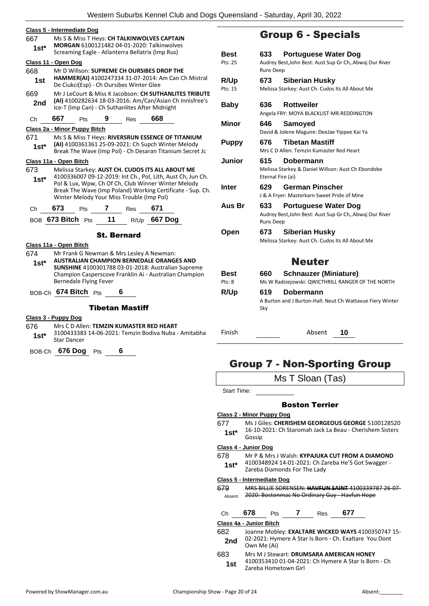#### **Class 5 - Intermediate Dog** 667 Ms S & Miss T Heys: **CH TALKINWOLVES CAPTAIN MORGAN** 6100121482 04-01-2020: Talkinwolves Screaming Eagle - Atlanterra Bellatrix (Imp Rus) **1st\* Class 11 - Open Dog** 668 Mr D Willson: **SUPREME CH OURSIBES DROP THE HAMMER(AI)** 4100247334 31-07-2014: Am Can Ch Mistral **1st EANIMENAL 4100247554 51-07-2014.** 669 Mr J LeCourt & Miss K Jacobson: **CH SUTHANLITES TRIBUTE**

**(AI)** 4100282634 18-03-2016: Am/Can/Asian Ch Innisfree's **2nd** (AI) 4100282634 18-03-2016: Am/Can/Asian Cite-T (Imp Can) - Ch Suthanlites After Midnight

#### Ch **667** Pts **9** Res **668**

#### **Class 2a - Minor Puppy Bitch**

- 671 Ms S & Miss T Heys: **RIVERSRUN ESSENCE OF TITANIUM**
- **(AI)** 4100361361 25-09-2021: Ch Supch Winter Melody Break The Wave (Imp Pol) - Ch Desaran Titanium Secret Jc **1st\***

#### **Class 11a - Open Bitch**

- 673 Melissa Starkey: **AUST CH. CUDOS ITS ALL ABOUT ME** 4100336007 09-12-2019: Int Ch., Pol, Lith, Aust Ch, Jun Ch. Pol & Lux, Wpw, Ch Of Ch, Club Winner Winter Melody Break The Wave (Imp Poland) Working Certificate - Sup. Ch. Winter Melody Your Miss Trouble (Imp Pol) **1st\***
- Ch **673** Pts **7** Res **671**
- BOB **673 Bitch** Pts **11** R/Up **667 Dog**

#### St. Bernard

#### **Class 11a - Open Bitch**

- 674 Mr Frank G Newman & Mrs Lesley A Newman: **AUSTRALIAN CHAMPION BERNEDALE ORANGES AND SUNSHINE** 4100301788 03-01-2018: Australian Supreme Champion Casperscove Franklin Ai - Australian Champion Bernedale Flying Fever **1st\***
- BOB-Ch **674 Bitch** Pts **6**

#### Tibetan Mastiff

#### **Class 3 - Puppy Dog**

- 676 Mrs C D Allen: **TEMZIN KUMASTER RED HEART**
- 3100433383 14-06-2021: Temzin Bodiva Nuba Amitabha **1st**\* <sup>310043338</sup><br>Star Dancer
- BOB-Ch **676 Dog** Pts **6**

## Group 6 - Specials

| <b>Best</b><br>Pts: 25 | 633<br>Runs Deep         | <b>Portuguese Water Dog</b><br>Audrey Best, John Best: Aust Sup Gr Ch, Abwaj Our River |
|------------------------|--------------------------|----------------------------------------------------------------------------------------|
| <b>R/Up</b><br>Pts: 15 | 673                      | <b>Siberian Husky</b><br>Melissa Starkey: Aust Ch. Cudos Its All About Me              |
| <b>Baby</b>            | 636                      | <b>Rottweiler</b><br>Angela FRY: MOYA BLACKLIST-MR.REDDINGTON                          |
| Minor                  | 646                      | Samoved<br>David & Jolene Maguire: DeeJae Yippee Kai Ya                                |
| <b>Puppy</b>           | 676                      | <b>Tibetan Mastiff</b><br>Mrs C D Allen: Temzin Kumaster Red Heart                     |
| Junior                 | 615<br>Eternal Fire (ai) | Dobermann<br>Melissa Starkey & Daniel Willson: Aust Ch Ebondobe                        |
| <b>Inter</b>           | 629                      | <b>German Pinscher</b><br>J & A Fryer: Masterkarn Sweet Pride of Mine                  |
| Aus Br                 | 633<br>Runs Deep         | <b>Portuguese Water Dog</b><br>Audrey Best, John Best: Aust Sup Gr Ch, Abwaj Our River |
| Open                   | 673                      | <b>Siberian Husky</b><br>Melissa Starkey: Aust Ch. Cudos Its All About Me              |
|                        |                          | <b>Neuter</b>                                                                          |
| <b>Best</b><br>Pts: 8  | 660                      | <b>Schnauzer (Miniature)</b><br>Ms W Radziejowski: QWICTHRILL RANGER OF THE NORTH      |
| R/Up                   | 619<br>Sky               | Dobermann<br>A Burton and J Burton-Hall: Neut Ch Wattavue Fiery Winter                 |
| Finish                 |                          | Absent<br>10                                                                           |

# Group 7 - Non-Sporting Group

|               | Ms T Sloan (Tas)                                                                                            |  |  |  |
|---------------|-------------------------------------------------------------------------------------------------------------|--|--|--|
| Start Time:   |                                                                                                             |  |  |  |
|               | <b>Boston Terrier</b>                                                                                       |  |  |  |
|               | <u>Class 2 - Minor Puppy Dog</u>                                                                            |  |  |  |
| 677           | Ms J Giles: CHERISHEM GEORGEOUS GEORGE 5100128520                                                           |  |  |  |
| $1st*$        | 16-10-2021: Ch Staromah Jack La Beau - Cherishem Sisters<br>Gossip                                          |  |  |  |
|               | Class 4 - Junior Dog                                                                                        |  |  |  |
| 678           | Mr P & Mrs J Walsh: KYPAJUKA CUT FROM A DIAMOND                                                             |  |  |  |
| $1st^*$       | 4100348924 14-01-2021: Ch Zareba He'S Got Swagger -<br>Zareba Diamonds For The Lady                         |  |  |  |
|               | Class 5 - Intermediate Dog                                                                                  |  |  |  |
| 679<br>Absent | <b>MRS BILLIE SORENSEN: HAVEUN SAINT 4100339787 26 07-</b><br>2020: Bostonmac No Ordinary Guy - Havfun Hope |  |  |  |
| Ch            | 678<br>677<br>7<br>Pts<br>Res                                                                               |  |  |  |
|               | Class 4a - Junior Bitch                                                                                     |  |  |  |
| 682           | Joanne Mobley: EXALTARE WICKED WAYS 4100350747 15-                                                          |  |  |  |
| 2nd           | 02-2021: Hymere A Star Is Born - Ch. Exaltare You Dont<br>Own Me (Ai)                                       |  |  |  |
| 683           | Mrs M J Stewart: DRUMSARA AMERICAN HONEY                                                                    |  |  |  |
| 1st           | 4100353410 01-04-2021: Ch Hymere A Star Is Born - Ch<br>Zareba Hometown Girl                                |  |  |  |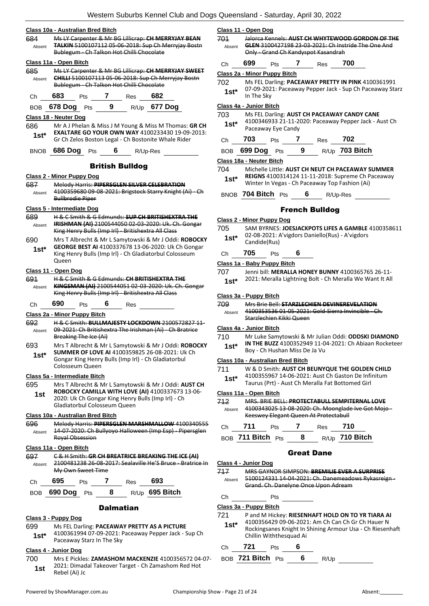#### **Class 10a - Australian Bred Bitch**

- 684 Ms LY Carpenter & Mr BG Lillicrap: **CH MERRYJAY BEAN TALKIN** 5100107112 05-06-2018: Sup Ch Merryjay Bostn Absent
	- Bublegum Ch Talkon Hot Chilli Chocolate

#### **Class 11a - Open Bitch**

| 685    | Ms LY Carpenter & Mr BG Lillicrap: CH MERRYJAY SWEET       |
|--------|------------------------------------------------------------|
| Absent | <b>CHILLI</b> 5100107113 05-06-2018: Sup Ch Merryjay Bostn |
|        | Bublegum - Ch Talkon Hot Chilli Chocolate                  |
|        |                                                            |

| :'n | 683 | 'ts | ≺es | 682 |
|-----|-----|-----|-----|-----|
|     |     |     |     |     |

BOB **678 Dog** Pts **9** R/Up **677 Dog**

#### **Class 18 - Neuter Dog**

686 Mr A J Phelan & Miss J M Young & Miss M Thomas: **GR CH EXALTARE GO YOUR OWN WAY** 4100233430 19-09-2013: 1st\* **EXALIARE GO YOUR OWN WAY** 4100233430 19-09-<br>Gr Ch Zelos Boston Legal - Ch Bostonite Whale Rider

BNOB **686 Dog** Pts **6** R/Up-Res

#### British Bulldog

#### **Class 2 - Minor Puppy Dog**

687 Melody Harris: **PIPERSGLEN SILVER CELEBRATION** 4100359680 09-08-2021: Brigstock Starry Knight (Ai) - Ch Bullbrodie Piper Absent

#### **Class 5 - Intermediate Dog**

- 689 H & C Smith & G Edmunds: **SUP CH BRITISHEXTRA THE IRISHMAN (AI)** 2100544050 02-03-2020: Uk. Ch. Gongar King Henry Bulls (Imp Irl) - Britishextra All Class Absent
- 690 Mrs T Albrecht & Mr L Samytowski & Mr J Oddi: **ROBOCKY GEORGE BEST AI** 4100337678 13-06-2020: Uk Ch Gongar King Henry Bulls (Imp Irl) - Ch Gladiatorbul Colosseum **Oueen 1st\***

#### **Class 11 - Open Dog**

691 H & C Smith & G Edmunds: **CH BRITISHEXTRA THE KINGSMAN (AI)** 2100544051 02-03-2020: Uk. Ch. Gongar King Henry Bulls (Imp Irl) - Britishextra All Class Absent

Ch **690** Pts **6** Res

#### **Class 2a - Minor Puppy Bitch**

- 692 H & C Smith: **BULLMAJESTY LOCKDOWN** 2100572827 11- 09-2021: Ch Britishextra The Irishman (Ai) - Ch Bratrice Breaking The Ice (Ai) Absent
- 693 Mrs T Albrecht & Mr L Samytowski & Mr J Oddi: **ROBOCKY SUMMER OF LOVE AI** 4100359825 26-08-2021: Uk Ch Gongar King Henry Bulls (Imp Irl) - Ch Gladiatorbul Colosseum Queen **1st\***

#### **Class 5a - Intermediate Bitch**

695 Mrs T Albrecht & Mr L Samytowski & Mr J Oddi: **AUST CH ROBOCKY CAMILLA WITH LOVE (AI)** 4100337673 13-06- 2020: Uk Ch Gongar King Henry Bulls (Imp Irl) - Ch Gladiatorbul Colosseum Queen **1st**

#### **Class 10a - Australian Bred Bitch**

696 Melody Harris: **PIPERSGLEN MARSHMALLOW** 4100340555 14-07-2020: Ch Bullyoyo Halloween (Imp Esp) - Pipersglen Royal Obsession Absent

#### **Class 11a - Open Bitch**

697 C & H Smith: **GR CH BREATRICE BREAKING THE ICE (AI)** 2100481238 26-08-2017: Sealaville He'S Bruce - Bratrice In My Own Sweet Time Absent Ch **695** Pts **7** Res **693** BOB **690 Dog** Pts **8** R/Up **695 Bitch**

Dalmatian

#### **Class 3 - Puppy Dog**

#### 699 Ms FEL Darling: **PACEAWAY PRETTY AS A PICTURE** 4100361994 07-09-2021: Paceaway Pepper Jack - Sup Ch

Paceaway Starz In The Sky **1st\***

#### **Class 4 - Junior Dog**

700 Mrs E Pickles: **ZAMASHOM MACKENZIE** 4100356572 04-07- 2021: Dimadal Takeover Target - Ch Zamashom Red Hot **1st Rebel** (Ai) Jc

#### **Class 11 - Open Dog**

- 701 Jalorca Kennels: **AUST CH WHYTEWOOD GORDON OF THE GLEN** 3100427198 23-03-2021: Ch Instride The One And Only - Grand Ch Kandyspot Kasandrah Absent
- Ch **699** Pts **7** Res **700**

**Class 2a - Minor Puppy Bitch**

702 Ms FEL Darling: **PACEAWAY PRETTY IN PINK** 4100361991 07-09-2021: Paceaway Pepper Jack - Sup Ch Paceaway Starz 1st<sup>\*</sup> U<sub>1-U9-202</sub>

#### **Class 4a - Junior Bitch**

- 703 Ms FEL Darling: **AUST CH PACEAWAY CANDY CANE** 4100346933 21-11-2020: Paceaway Pepper Jack - Aust Ch Paceaway Eye Candy **1st\***
- Ch **703** Pts **7** Res **702**

| BOB 699 Dog Pts |  | $R/Up$ 703 Bitch |
|-----------------|--|------------------|
|                 |  |                  |

#### **Class 18a - Neuter Bitch**

- 704 Michelle Little: **AUST CH NEUT CH PACEAWAY SUMMER REIGNS** 4100314124 11-11-2018: Supreme Ch Paceaway Winter In Vegas - Ch Paceaway Top Fashion (Ai) **1st\***
- BNOB **704 Bitch** Pts **6** R/Up-Res

#### French Bulldog

#### **Class 2 - Minor Puppy Dog**

- 705 SAM BYRNES: **JOESJACKPOTS LIFES A GAMBLE** 4100358611 02-08-2021: A'vigdors Daniello(Rus) - A'vigdors
- 1st<sup>\*</sup> U<sup>2-08-2021: A</sup> Candide(Rus)
- Ch **705** Pts **6**

#### **Class 1a - Baby Puppy Bitch**

- 707 Jenni bill: **MERALLA HONEY BUNNY** 4100365765 26-11-
	- 1st\* 2021: Meralla Lightning Bolt Ch Meralla We Want It All

#### **Class 3a - Puppy Bitch**

| 709    | Mrs Brie Bell: STARZLECHIEN DEVINEREVELATION        |
|--------|-----------------------------------------------------|
| Absent | 4100353536 01-05-2021: Gold-Sierra Invincible - Ch. |
|        | Starzlechien Kikki Queen                            |

#### **Class 4a - Junior Bitch**

- 710 Mr Luke Samytowski & Mr Julian Oddi: **ODDSKI DIAMOND** 
	- **IN THE BUZZ** 4100352949 11-04-2021: Ch Abiaan Rocketeer Boy - Ch Hushan Miss De Ja Vu **1st\***

#### **Class 10a - Australian Bred Bitch**

- 711 W & D Smith: **AUST CH BEUNYQUE THE GOLDEN CHILD**
- 4100355967 14-06-2021: Aust Ch Gaston De Infinitum Taurus (Prt) - Aust Ch Meralla Fat Bottomed Girl **1st\***
- 

#### **Class 11a - Open Bitch**

- 712 MRS. BRIE BELL: **PROTECTABULL SEMPITERNAL LOVE**
	- 4100343025 13-08-2020: Ch. Moonglade Ive Got Mojo Keeswey Elegant Queen At Protectabull Absent

| Ch. | 711               | <b>Pts</b> | Res | 710              |
|-----|-------------------|------------|-----|------------------|
|     | BOB 711 Bitch Pts |            |     | $R/Up$ 710 Bitch |

#### Great Dane

**Class 4 - Junior Dog**

717 MRS GAYNOR SIMPSON: **BREMILIE EVER A SURPRISE** 5100124331 14-04-2021: Ch. Danemeadows Rykasreign - Grand. Ch. Danelyne Once Upon Adream Absent

Ch Pts

#### **Class 3a - Puppy Bitch**

#### 721 P and M Hickey: **RIESENHAFT HOLD ON TO YR TIARA AI**

4100356429 09-06-2021: Am Ch Can Ch Gr Ch Hauer N Rockingsanes Knight In Shining Armour Usa - Ch Riesenhaft Chillin Withthesquad Ai **1st\***

#### Ch **721** Pts **6**

BOB **721 Bitch** Pts **6** R/Up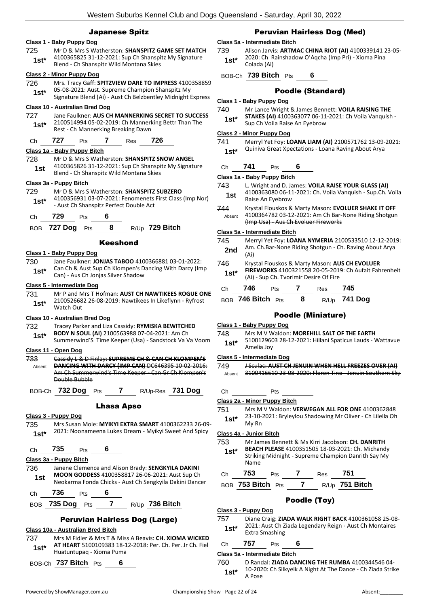#### Japanese Spitz

#### **Class 1 - Baby Puppy Dog**

725 Mr D & Mrs S Watherston: **SHANSPITZ GAME SET MATCH** 4100365825 31-12-2021: Sup Ch Shanspitz My Signature **1st** 4100365825 31-12-2021: Sup Cn Shanspitz Wild Montana Skies

#### **Class 2 - Minor Puppy Dog**

- 726 Mrs. Tracy Gaff: **SPITZVIEW DARE TO IMPRESS** 4100358859 05-08-2021: Aust. Supreme Champion Shanspitz My
- **1st** US-08-2021: Aust. Supreme Champion Shanspitz My<br>Signature Blend (Ai) Aust Ch Belzbentley Midnight Express

#### **Class 10 - Australian Bred Dog**

727 Jane Faulkner: **AUS CH MANNERKING SECRET TO SUCCESS** 2100514994 05-02-2019: Ch Mannerking Bettr Than The 1st\* 2100514994 05-02-2019: Ch Manner<br>Rest - Ch Mannerking Breaking Dawn

Ch **727** Pts **7** Res **726**

#### **Class 1a - Baby Puppy Bitch**

728 Mr D & Mrs S Watherston: **SHANSPITZ SNOW ANGEL** 4100365826 31-12-2021: Sup Ch Shanspitz My Signature **1st** 4100365826 31-12-2021: Sup Ch Shanspitz Wild Montana Skies

#### **Class 3a - Puppy Bitch**

- 729 Mr D & Mrs S Watherston: **SHANSPITZ SUBZERO** 4100356931 03-07-2021: Fenomenets First Class (Imp Nor)
	- 1st\* 4100356931 03-07-2021: Fenomenets<br>Aust Ch Shanspitz Perfect Double Act



#### Keeshond

#### **Class 1 - Baby Puppy Dog**

730 Jane Faulkner: **JONJAS TABOO** 4100366881 03-01-2022: Can Ch & Aust Sup Ch Klompen's Dancing With Darcy (Imp **1st**\* Can Ch & Aust Sup Ch Klompen's D<br>Can) - Aus Ch Jonjas Silver Shadow

#### **Class 5 - Intermediate Dog**

731 Mr P and Mrs T Hofman: **AUST CH NAWTIKEES ROGUE ONE** 2100526682 26-08-2019: Nawtikees In Likeflynn - Ryfrost Watch Out **1st\***

#### **Class 10 - Australian Bred Dog**

- 732 Tracey Parker and Liza Cassidy: **RYMISKA BEWITCHED**
- **BODY N SOUL (AI)** 2100563988 07-04-2021: Am Ch Summerwind'S Time Keeper (Usa) - Sandstock Va Va Voom **1st\***
- **Class 11 - Open Dog**
- 733 Cassidy L & D Finlay: **SUPREME CH & CAN CH KLOMPEN'S DANCING WITH DARCY (IMP CAN)** DC646395 10-02-2016: Am Ch Summerwind's Time Keeper - Can Gr Ch Klompen's Double Bubble Absent

BOB-Ch **732 Dog** Pts **7** R/Up-Res **731 Dog**

#### Lhasa Apso

#### **Class 3 - Puppy Dog**

735 Mrs Susan Mole: **MYIKYI EXTRA SMART** 4100362233 26-09- 2021: Noonameena Lukes Dream - Myikyi Sweet And Spicy **1st\***

#### Ch **735** Pts **6**

#### **Class 3a - Puppy Bitch**

736 Janene Clemence and Alison Brady: **SENGKYILA DAKINI MOON GODDESS** 4100358817 26-06-2021: Aust Sup Ch Neokarma Fonda Chicks - Aust Ch Sengkyila Dakini Dancer **1st**

Ch **736** Pts **6**

BOB **735 Dog** Pts **7** R/Up **736 Bitch**

### Peruvian Hairless Dog (Large)

#### **Class 10a - Australian Bred Bitch**

- 737 Mrs M Fidler & Mrs T & Miss A Beavis: **CH. XIOMA WICKED AT HEART** 5100109383 18-12-2018: Per. Ch. Per. Jr Ch. Fiel Huatuntupaq - Xioma Puma **1st\***
- BOB-Ch **737 Bitch** Pts **6**

### Peruvian Hairless Dog (Med)

### **Class 5a - Intermediate Bitch**

739 Alison Jarvis: **ARTMAC CHINA RIOT (AI)** 4100339141 23-05- 2020: Ch Rainshadow O'Aqcha (Imp Pri) - Xioma Pina **1st**\* <sup>2020: Ch F</sup><br>Colada (Ai)

BOB-Ch **739 Bitch** Pts **6**

### Poodle (Standard)

#### **Class 1 - Baby Puppy Dog**

740 Mr Lance Wright & James Bennett: **VOILA RAISING THE STAKES (AI)** 4100363077 06-11-2021: Ch Voila Vanquish - **1st\* STAKES (AI)** 4100363077 06-11<br>Sup Ch Voila Raise An Evebrow

#### **Class 2 - Minor Puppy Dog**

- 741 Merryl Yet Foy: **LOANA LIAM (AI)** 2100571762 13-09-2021:
- Quiniva Great Xpectations Loana Raving About Arya **1st\***

| Ch | 741 | Pts | 6 |
|----|-----|-----|---|
|    |     |     |   |

#### **Class 1a - Baby Puppy Bitch**

- 743 L. Wright and D. James: **VOILA RAISE YOUR GLASS (AI)** 4100363080 06-11-2021: Ch. Voila Vanquish - Sup.Ch. Voila 1st 4100303080 06-1.<br>Raise An Eyebrow
- 744 Krystal Flouskos & Marty Mason: **EVOLUER SHAKE IT OFF** 4100364782 03-12-2021: Am Ch Bar-None Riding Shotgun (Imp Usa) - Aus Ch Evoluer Fireworks Absent

#### **Class 5a - Intermediate Bitch**

- 745 Merryl Yet Foy: **LOANA NYMERIA** 2100533510 12-12-2019: Am. Ch.Bar-None Riding Shotgun - Ch. Raving About Arya **2nd**  $\frac{Am}{(Ai)}$
- 746 Krystal Flouskos & Marty Mason: **AUS CH EVOLUER FIREWORKS** 4100321558 20-05-2019: Ch Aufait Fahrenheit (Ai) - Sup Ch. Tvorimir Desire Of Fire **1st\***
- Ch **746** Pts **7** Res **745**
- BOB **746 Bitch** Pts **8** R/Up **741 Dog**

#### Poodle (Miniature)

#### **Class 1 - Baby Puppy Dog**

- 748 Mrs M V Waldon: **MOREHILL SALT OF THE EARTH**
- 5100129603 28-12-2021: Hillani Spaticus Lauds Wattavue Amelia Joy **1st\***

#### **Class 5 - Intermediate Dog**

- 749 J Sculac: **AUST CH JENUIN WHEN HELL FREEZES OVER (AI)** Absent 3100416610 23-08-2020: Floren Tino Jenuin Southern Sky
- Ch Pts
- 751 Mrs M V Waldon: **VERWEGAN ALL FOR ONE** 4100362848 23-10-2021: Bryleylou Shadowing Mr Oliver - Ch Lilella Oh **1st**\*  $\frac{23-10}{Mv}$  Rn

### **Class 4a - Junior Bitch**

753 Mr James Bennett & Ms Kirri Jacobson: **CH. DANRITH BEACH PLEASE** 4100351505 18-03-2021: Ch. Michandy Striking Midnight - Supreme Champion Danrith Say My Name **1st\***

| Ch | 753                         |  | Res | 751              |
|----|-----------------------------|--|-----|------------------|
|    | $p_{CD}$ 753 Ritch $p_{to}$ |  |     | $D/L2$ 751 Ritel |

BOB **753 Bitch** Pts **7** R/Up **751 Bitch**

#### Poodle (Toy)

#### **Class 3 - Puppy Dog**

757 Diane Craig: **ZIADA WALK RIGHT BACK** 4100361058 25-08- 2021: Aust Ch Ziada Legendary Reign - Aust Ch Montaires **1st**\* <sup>2021:</sup> Aust Ch Z<br>Extra Smashing

#### Ch **757** Pts **6**

#### **Class 5a - Intermediate Bitch**

760 D Randal: **ZIADA DANCING THE RUMBA** 4100344546 04- 10-2020: Ch Silkyelk A Night At The Dance - Ch Ziada Strike  $1$ St<sup>\*</sup>  $\frac{10-202}{4}$ 

- **Class 2a - Minor Puppy Bitch**
- 
-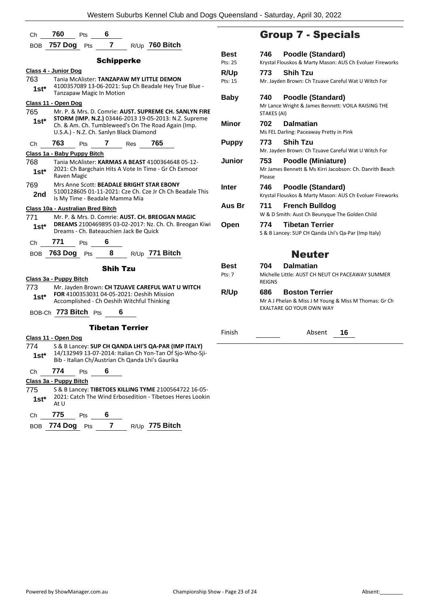| 760<br>6<br>Ch<br>Pts<br>$\overline{7}$                                                                                                                                              |                 | <b>Group</b>                                          |
|--------------------------------------------------------------------------------------------------------------------------------------------------------------------------------------|-----------------|-------------------------------------------------------|
| $R/Up$ 760 Bitch<br>757 Dog Pts<br><b>BOB</b>                                                                                                                                        | Best            | 746<br>Poo                                            |
| <b>Schipperke</b>                                                                                                                                                                    | Pts: 25         | Krystal Flouskos                                      |
| Class 4 - Junior Dog<br>763<br>Tania McAlister: TANZAPAW MY LITTLE DEMON<br>4100357089 13-06-2021: Sup Ch Beadale Hey True Blue -<br>1st*                                            | R/Up<br>Pts: 15 | <b>Shil</b><br>773<br>Mr. Jayden Brov                 |
| <b>Tanzapaw Magic In Motion</b>                                                                                                                                                      | <b>Baby</b>     | 740<br>Poo                                            |
| Class 11 - Open Dog<br>765<br>Mr. P. & Mrs. D. Comrie: AUST. SUPREME CH. SANLYN FIRE                                                                                                 |                 | Mr Lance Wrigh                                        |
| STORM (IMP. N.Z.) 03446-2013 19-05-2013: N.Z. Supreme<br>$1st*$<br>Ch. & Am. Ch. Tumbleweed's On The Road Again (Imp.<br>U.S.A.) - N.Z. Ch. Sanlyn Black Diamond                     | Minor           | STAKES (AI)<br>702<br>Dalr<br>Ms FEL Darling:         |
| 763<br>$\mathbf{7}$<br>765<br>Ch<br>Pts<br>Res                                                                                                                                       | <b>Puppy</b>    | 773<br>Shil                                           |
| Class 1a - Baby Puppy Bitch                                                                                                                                                          |                 | Mr. Jayden Brov                                       |
| Tania McAlister: KARMAS A BEAST 4100364648 05-12-<br>768<br>2021: Ch Bargchain Hits A Vote In Time - Gr Ch Exmoor<br>1st*<br>Raven Magic                                             | Junior          | 753<br>Poo<br>Mr James Benne<br>Please                |
| 769<br>Mrs Anne Scott: BEADALE BRIGHT STAR EBONY<br>5100128605 01-11-2021: Cze Ch. Cze Jr Ch Ch Beadale This<br>2nd<br>Is My Time - Beadale Mamma Mia                                | <b>Inter</b>    | 746<br>Poo<br>Krystal Flouskos                        |
| Class 10a - Australian Bred Bitch                                                                                                                                                    | Aus Br          | 711<br>Frer                                           |
| 771<br>Mr. P. & Mrs. D. Comrie: AUST. CH. BREOGAN MAGIC<br>DREAMS 2100469895 03-02-2017: Nz. Ch. Ch. Breogan Kiwi<br>$1st*$<br>Dreams - Ch. Bateauchien Jack Be Quick                | Open            | W & D Smith: A<br>774<br>Tibe<br>S & B Lancey: Sl     |
| 771<br>6<br><b>Pts</b><br>Ch                                                                                                                                                         |                 |                                                       |
| 763 Dog Pts 8 R/Up 771 Bitch<br><b>BOB</b>                                                                                                                                           |                 |                                                       |
| <b>Shih Tzu</b><br>Class 3a - Puppy Bitch                                                                                                                                            | Best<br>Pts: 7  | 704<br>Dalr<br>Michelle Little:<br><b>REIGNS</b>      |
| 773<br>Mr. Jayden Brown: CH TZUAVE CAREFUL WAT U WITCH<br>FOR 4100353031 04-05-2021: Oeshih Mission<br>$1st*$<br>Accomplished - Ch Oeshih Witchful Thinking                          | R/Up            | 686<br>Bos<br>Mr A J Phelan &<br><b>EXALTARE GO Y</b> |
| BOB-Ch 773 Bitch Pts<br>6                                                                                                                                                            |                 |                                                       |
| <b>Tibetan Terrier</b><br>Class 11 - Open Dog                                                                                                                                        | Finish          |                                                       |
| 774<br>S & B Lancey: SUP CH QANDA LHI'S QA-PAR (IMP ITALY)<br>14/132949 13-07-2014: Italian Ch Yon-Tan Of Sio-Who-Sii-<br>$1st*$<br>Bib - Italian Ch/Austrian Ch Qanda Lhi's Gaurika |                 |                                                       |
| 774<br>6<br>Pts<br>Ch                                                                                                                                                                |                 |                                                       |
| Class 3a - Puppy Bitch                                                                                                                                                               |                 |                                                       |
| S & B Lancey: TIBETOES KILLING TYME 2100564722 16-05-<br>775<br>2021: Catch The Wind Erbosedition - Tibetoes Heres Lookin<br>$1st*$<br>At U                                          |                 |                                                       |

Ch **775** Pts **6** BOB **774 Dog** Pts **7** R/Up **775 Bitch**

## **7 - Specials**

| Best         | Poodle (Standard)<br>746                                                                                                 |  |
|--------------|--------------------------------------------------------------------------------------------------------------------------|--|
| Pts: 25      | Krystal Flouskos & Marty Mason: AUS Ch Evoluer Fireworks                                                                 |  |
| R/Up         | <b>Shih Tzu</b><br>773                                                                                                   |  |
| Pts: 15      | Mr. Jayden Brown: Ch Tzuave Careful Wat U Witch For                                                                      |  |
| <b>Baby</b>  | 740<br>Poodle (Standard)<br>Mr Lance Wright & James Bennett: VOILA RAISING THE<br>STAKES (AI)                            |  |
| <b>Minor</b> | 702<br><b>Dalmatian</b><br>Ms FEL Darling: Paceaway Pretty in Pink                                                       |  |
| <b>Puppy</b> | 773<br><b>Shih Tzu</b><br>Mr. Jayden Brown: Ch Tzuave Careful Wat U Witch For                                            |  |
| Junior       | Poodle (Miniature)<br>753<br>Mr James Bennett & Ms Kirri Jacobson: Ch. Danrith Beach<br>Please                           |  |
| <b>Inter</b> | 746<br>Poodle (Standard)<br>Krystal Flouskos & Marty Mason: AUS Ch Evoluer Fireworks                                     |  |
| Aus Br       | 711<br><b>French Bulldog</b><br>W & D Smith: Aust Ch Beunyque The Golden Child                                           |  |
| Open         | 774<br><b>Tibetan Terrier</b><br>S & B Lancey: SUP CH Qanda Lhi's Qa-Par (Imp Italy)                                     |  |
|              | <b>Neuter</b>                                                                                                            |  |
| <b>Best</b>  | <b>Dalmatian</b><br>704                                                                                                  |  |
| Pts: 7       | Michelle Little: AUST CH NEUT CH PACEAWAY SUMMER<br><b>REIGNS</b>                                                        |  |
| R/Up         | <b>Boston Terrier</b><br>686<br>Mr A J Phelan & Miss J M Young & Miss M Thomas: Gr Ch<br><b>EXALTARE GO YOUR OWN WAY</b> |  |

Absent 16